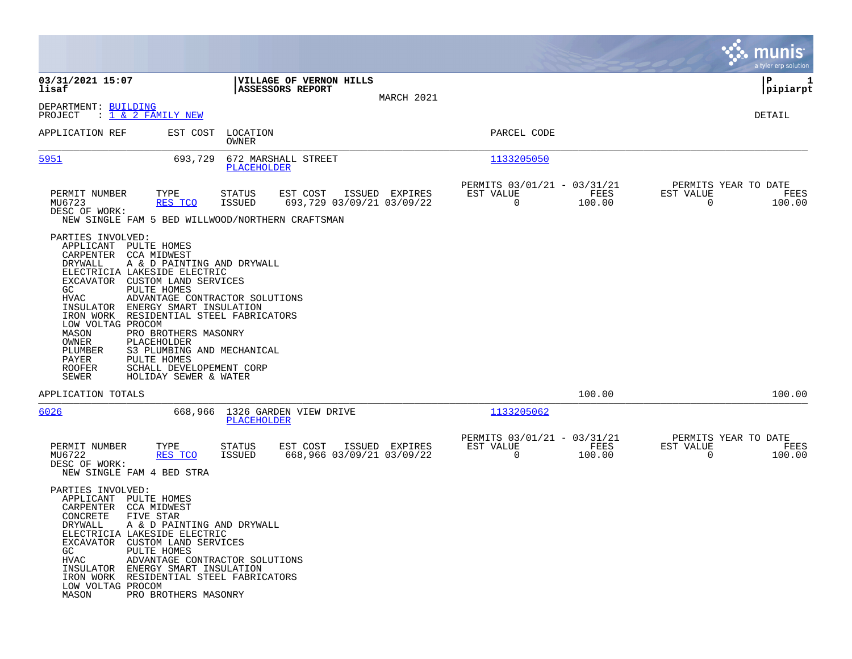|                                                                                                                                                                        |                                                                                                                                                                                                                                                                                                                                                                                            |                                |                                             |                |                                                         |                |                                               | a tyler erp solution          |
|------------------------------------------------------------------------------------------------------------------------------------------------------------------------|--------------------------------------------------------------------------------------------------------------------------------------------------------------------------------------------------------------------------------------------------------------------------------------------------------------------------------------------------------------------------------------------|--------------------------------|---------------------------------------------|----------------|---------------------------------------------------------|----------------|-----------------------------------------------|-------------------------------|
| 03/31/2021 15:07<br>lisaf<br>DEPARTMENT: BUILDING<br>PROJECT                                                                                                           | : <u>1 &amp; 2 FAMILY NEW</u>                                                                                                                                                                                                                                                                                                                                                              |                                | VILLAGE OF VERNON HILLS<br>ASSESSORS REPORT | MARCH 2021     |                                                         |                |                                               | P<br>1<br> pipiarpt<br>DETAIL |
| APPLICATION REF                                                                                                                                                        | EST COST                                                                                                                                                                                                                                                                                                                                                                                   | LOCATION<br>OWNER              |                                             |                | PARCEL CODE                                             |                |                                               |                               |
| 5951                                                                                                                                                                   | 693,729                                                                                                                                                                                                                                                                                                                                                                                    | PLACEHOLDER                    | 672 MARSHALL STREET                         |                | 1133205050                                              |                |                                               |                               |
| PERMIT NUMBER<br>MU6723<br>DESC OF WORK:                                                                                                                               | TYPE<br>RES TCO<br>NEW SINGLE FAM 5 BED WILLWOOD/NORTHERN CRAFTSMAN                                                                                                                                                                                                                                                                                                                        | <b>STATUS</b><br><b>ISSUED</b> | EST COST<br>693,729 03/09/21 03/09/22       | ISSUED EXPIRES | PERMITS 03/01/21 - 03/31/21<br>EST VALUE<br>0           | FEES<br>100.00 | PERMITS YEAR TO DATE<br>EST VALUE<br>0        | FEES<br>100.00                |
| PARTIES INVOLVED:<br>APPLICANT<br>DRYWALL<br>GC<br>HVAC<br>INSULATOR<br>IRON WORK<br>LOW VOLTAG PROCOM<br>MASON<br>OWNER<br>PLUMBER<br>PAYER<br><b>ROOFER</b><br>SEWER | PULTE HOMES<br>CARPENTER CCA MIDWEST<br>A & D PAINTING AND DRYWALL<br>ELECTRICIA LAKESIDE ELECTRIC<br>EXCAVATOR CUSTOM LAND SERVICES<br>PULTE HOMES<br>ADVANTAGE CONTRACTOR SOLUTIONS<br>ENERGY SMART INSULATION<br>RESIDENTIAL STEEL FABRICATORS<br>PRO BROTHERS MASONRY<br>PLACEHOLDER<br>S3 PLUMBING AND MECHANICAL<br>PULTE HOMES<br>SCHALL DEVELOPEMENT CORP<br>HOLIDAY SEWER & WATER |                                |                                             |                |                                                         |                |                                               |                               |
| APPLICATION TOTALS                                                                                                                                                     |                                                                                                                                                                                                                                                                                                                                                                                            |                                |                                             |                |                                                         | 100.00         |                                               | 100.00                        |
| 6026                                                                                                                                                                   |                                                                                                                                                                                                                                                                                                                                                                                            | PLACEHOLDER                    | 668,966 1326 GARDEN VIEW DRIVE              |                | 1133205062                                              |                |                                               |                               |
| PERMIT NUMBER<br>MU6722<br>DESC OF WORK:                                                                                                                               | TYPE<br>RES TCO<br>NEW SINGLE FAM 4 BED STRA                                                                                                                                                                                                                                                                                                                                               | STATUS<br>ISSUED               | EST COST<br>668,966 03/09/21 03/09/22       | ISSUED EXPIRES | PERMITS 03/01/21 - 03/31/21<br>EST VALUE<br>$\mathbf 0$ | FEES<br>100.00 | PERMITS YEAR TO DATE<br>EST VALUE<br>$\Omega$ | FEES<br>100.00                |
| PARTIES INVOLVED:<br>DRYWALL<br>GC<br>HVAC<br>LOW VOLTAG PROCOM<br>MASON                                                                                               | APPLICANT PULTE HOMES<br>CARPENTER CCA MIDWEST<br>CONCRETE FIVE STAR<br>A & D PAINTING AND DRYWALL<br>ELECTRICIA LAKESIDE ELECTRIC<br>EXCAVATOR CUSTOM LAND SERVICES<br>PULTE HOMES<br>ADVANTAGE CONTRACTOR SOLUTIONS<br>INSULATOR ENERGY SMART INSULATION<br>IRON WORK RESIDENTIAL STEEL FABRICATORS<br>PRO BROTHERS MASONRY                                                              |                                |                                             |                |                                                         |                |                                               |                               |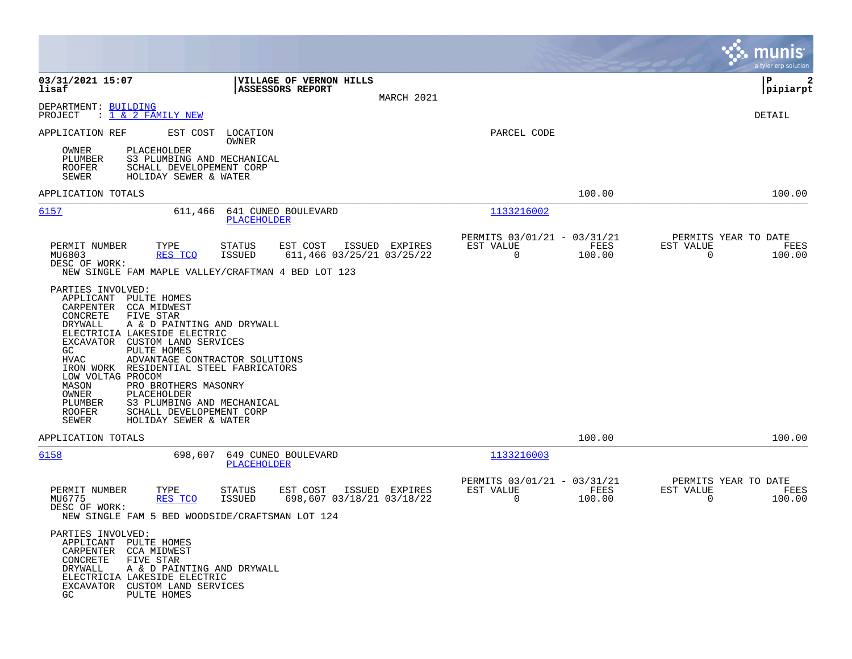|                                                                                                                                                                                                                                                                                                                                                                                                                                                                                                                                   |                                                                                           |                                                         |                             | munis<br>a tyler erp solution                         |
|-----------------------------------------------------------------------------------------------------------------------------------------------------------------------------------------------------------------------------------------------------------------------------------------------------------------------------------------------------------------------------------------------------------------------------------------------------------------------------------------------------------------------------------|-------------------------------------------------------------------------------------------|---------------------------------------------------------|-----------------------------|-------------------------------------------------------|
| 03/31/2021 15:07<br>lisaf                                                                                                                                                                                                                                                                                                                                                                                                                                                                                                         | VILLAGE OF VERNON HILLS<br>ASSESSORS REPORT<br>MARCH 2021                                 |                                                         |                             | l P<br>2<br> pipiarpt                                 |
| DEPARTMENT: BUILDING<br>: 1 & 2 FAMILY NEW<br>PROJECT                                                                                                                                                                                                                                                                                                                                                                                                                                                                             |                                                                                           |                                                         |                             | DETAIL                                                |
| APPLICATION REF<br>EST COST<br>OWNER<br>PLACEHOLDER<br>PLUMBER<br>S3 PLUMBING AND MECHANICAL<br><b>ROOFER</b><br>SCHALL DEVELOPEMENT CORP<br>SEWER<br>HOLIDAY SEWER & WATER                                                                                                                                                                                                                                                                                                                                                       | LOCATION<br>OWNER                                                                         | PARCEL CODE                                             |                             |                                                       |
| APPLICATION TOTALS                                                                                                                                                                                                                                                                                                                                                                                                                                                                                                                |                                                                                           |                                                         | 100.00                      | 100.00                                                |
| 6157<br>611,466                                                                                                                                                                                                                                                                                                                                                                                                                                                                                                                   | 641 CUNEO BOULEVARD<br>PLACEHOLDER                                                        | 1133216002                                              |                             |                                                       |
| PERMIT NUMBER<br>TYPE<br>MU6803<br>RES TCO<br>DESC OF WORK:<br>NEW SINGLE FAM MAPLE VALLEY/CRAFTMAN 4 BED LOT 123                                                                                                                                                                                                                                                                                                                                                                                                                 | <b>STATUS</b><br>EST COST<br>ISSUED EXPIRES<br><b>ISSUED</b><br>611,466 03/25/21 03/25/22 | PERMITS 03/01/21 - 03/31/21<br>EST VALUE<br>$\mathbf 0$ | FEES<br>EST VALUE<br>100.00 | PERMITS YEAR TO DATE<br>FEES<br>$\mathbf 0$<br>100.00 |
| PARTIES INVOLVED:<br>APPLICANT PULTE HOMES<br>CARPENTER<br>CCA MIDWEST<br>CONCRETE<br>FIVE STAR<br>DRYWALL<br>A & D PAINTING AND DRYWALL<br>ELECTRICIA LAKESIDE ELECTRIC<br>EXCAVATOR CUSTOM LAND SERVICES<br>GC<br>PULTE HOMES<br><b>HVAC</b><br>ADVANTAGE CONTRACTOR SOLUTIONS<br>IRON WORK RESIDENTIAL STEEL FABRICATORS<br>LOW VOLTAG PROCOM<br>PRO BROTHERS MASONRY<br>MASON<br>OWNER<br>PLACEHOLDER<br>PLUMBER<br>S3 PLUMBING AND MECHANICAL<br>SCHALL DEVELOPEMENT CORP<br><b>ROOFER</b><br>SEWER<br>HOLIDAY SEWER & WATER |                                                                                           |                                                         |                             |                                                       |
| APPLICATION TOTALS                                                                                                                                                                                                                                                                                                                                                                                                                                                                                                                |                                                                                           |                                                         | 100.00                      | 100.00                                                |
| 6158<br>698,607                                                                                                                                                                                                                                                                                                                                                                                                                                                                                                                   | 649 CUNEO BOULEVARD<br><b>PLACEHOLDER</b>                                                 | 1133216003                                              |                             |                                                       |
| PERMIT NUMBER<br>TYPE<br>RES TCO<br>MU6775<br>DESC OF WORK:<br>NEW SINGLE FAM 5 BED WOODSIDE/CRAFTSMAN LOT 124                                                                                                                                                                                                                                                                                                                                                                                                                    | <b>STATUS</b><br>EST COST<br>ISSUED EXPIRES<br>698,607 03/18/21 03/18/22<br><b>ISSUED</b> | PERMITS 03/01/21 - 03/31/21<br>EST VALUE<br>$\Omega$    | FEES<br>EST VALUE<br>100.00 | PERMITS YEAR TO DATE<br>FEES<br>$\Omega$<br>100.00    |
| PARTIES INVOLVED:<br>APPLICANT PULTE HOMES<br>CARPENTER<br>CCA MIDWEST<br>CONCRETE<br>FIVE STAR<br>DRYWALL<br>A & D PAINTING AND DRYWALL<br>ELECTRICIA LAKESIDE ELECTRIC<br>EXCAVATOR CUSTOM LAND SERVICES<br>GC<br>PULTE HOMES                                                                                                                                                                                                                                                                                                   |                                                                                           |                                                         |                             |                                                       |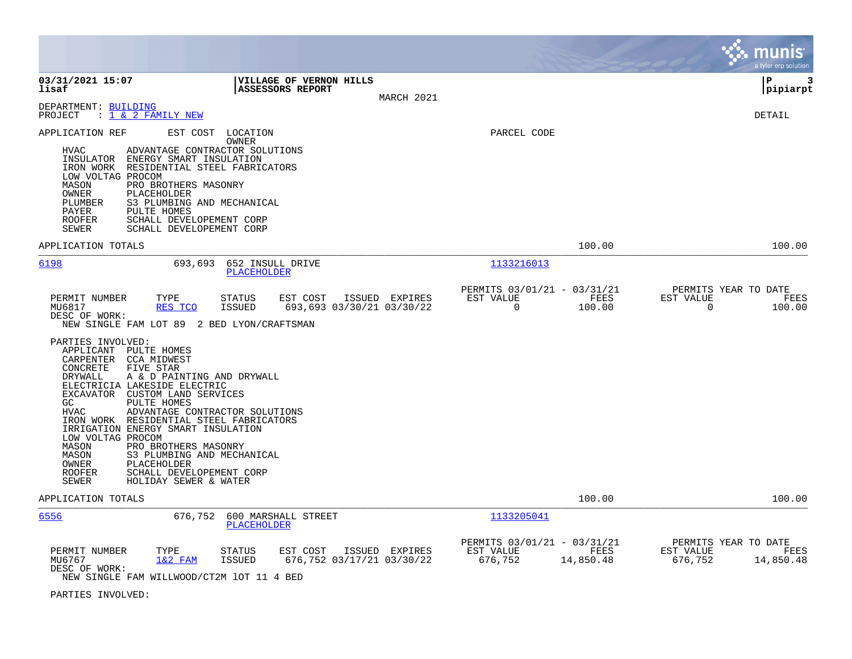|                                                                                                                                                                                                                                                                                                                                                                                                                                                                                                                                                                    |                                                                          | a tyler erp solution                                              |
|--------------------------------------------------------------------------------------------------------------------------------------------------------------------------------------------------------------------------------------------------------------------------------------------------------------------------------------------------------------------------------------------------------------------------------------------------------------------------------------------------------------------------------------------------------------------|--------------------------------------------------------------------------|-------------------------------------------------------------------|
| 03/31/2021 15:07<br>VILLAGE OF VERNON HILLS<br>lisaf<br>ASSESSORS REPORT<br>MARCH 2021                                                                                                                                                                                                                                                                                                                                                                                                                                                                             |                                                                          | 3<br>P<br> pipiarpt                                               |
| DEPARTMENT: BUILDING<br>PROJECT<br>: 1 & 2 FAMILY NEW                                                                                                                                                                                                                                                                                                                                                                                                                                                                                                              |                                                                          | DETAIL                                                            |
| APPLICATION REF<br>EST COST LOCATION<br>OWNER<br>ADVANTAGE CONTRACTOR SOLUTIONS<br>HVAC<br>INSULATOR ENERGY SMART INSULATION<br>RESIDENTIAL STEEL FABRICATORS<br>IRON WORK<br>LOW VOLTAG PROCOM<br>MASON<br>PRO BROTHERS MASONRY<br>OWNER<br>PLACEHOLDER<br>S3 PLUMBING AND MECHANICAL<br>PLUMBER<br>PULTE HOMES<br>PAYER<br><b>ROOFER</b><br>SCHALL DEVELOPEMENT CORP<br>SEWER<br>SCHALL DEVELOPEMENT CORP                                                                                                                                                        | PARCEL CODE                                                              |                                                                   |
| APPLICATION TOTALS                                                                                                                                                                                                                                                                                                                                                                                                                                                                                                                                                 | 100.00                                                                   | 100.00                                                            |
| 6198<br>693,693<br>652 INSULL DRIVE<br><b>PLACEHOLDER</b>                                                                                                                                                                                                                                                                                                                                                                                                                                                                                                          | 1133216013<br>PERMITS 03/01/21 - 03/31/21                                | PERMITS YEAR TO DATE                                              |
| PERMIT NUMBER<br>TYPE<br><b>STATUS</b><br>EST COST<br>ISSUED EXPIRES<br>RES TCO<br><b>ISSUED</b><br>693,693 03/30/21 03/30/22<br>MU6817<br>DESC OF WORK:<br>NEW SINGLE FAM LOT 89 2 BED LYON/CRAFTSMAN                                                                                                                                                                                                                                                                                                                                                             | EST VALUE<br>FEES<br>$\mathbf 0$<br>100.00                               | EST VALUE<br>FEES<br>$\Omega$<br>100.00                           |
| PARTIES INVOLVED:<br>APPLICANT PULTE HOMES<br>CARPENTER CCA MIDWEST<br>FIVE STAR<br>CONCRETE<br>DRYWALL<br>A & D PAINTING AND DRYWALL<br>ELECTRICIA LAKESIDE ELECTRIC<br>EXCAVATOR CUSTOM LAND SERVICES<br>GC<br>PULTE HOMES<br><b>HVAC</b><br>ADVANTAGE CONTRACTOR SOLUTIONS<br>IRON WORK RESIDENTIAL STEEL FABRICATORS<br>IRRIGATION ENERGY SMART INSULATION<br>LOW VOLTAG PROCOM<br>MASON<br>PRO BROTHERS MASONRY<br>MASON<br>S3 PLUMBING AND MECHANICAL<br>OWNER<br>PLACEHOLDER<br><b>ROOFER</b><br>SCHALL DEVELOPEMENT CORP<br>SEWER<br>HOLIDAY SEWER & WATER |                                                                          |                                                                   |
| APPLICATION TOTALS                                                                                                                                                                                                                                                                                                                                                                                                                                                                                                                                                 | 100.00                                                                   | 100.00                                                            |
| 6556<br>676,752<br>600 MARSHALL STREET<br>PLACEHOLDER                                                                                                                                                                                                                                                                                                                                                                                                                                                                                                              | 1133205041                                                               |                                                                   |
| PERMIT NUMBER<br>TYPE<br><b>STATUS</b><br>EST COST<br>ISSUED EXPIRES<br>676,752 03/17/21 03/30/22<br>MU6767<br>$1&2$ FAM<br><b>ISSUED</b><br>DESC OF WORK:<br>NEW SINGLE FAM WILLWOOD/CT2M 1OT 11 4 BED                                                                                                                                                                                                                                                                                                                                                            | PERMITS 03/01/21 - 03/31/21<br>EST VALUE<br>FEES<br>676,752<br>14,850.48 | PERMITS YEAR TO DATE<br>EST VALUE<br>FEES<br>676,752<br>14,850.48 |

PARTIES INVOLVED: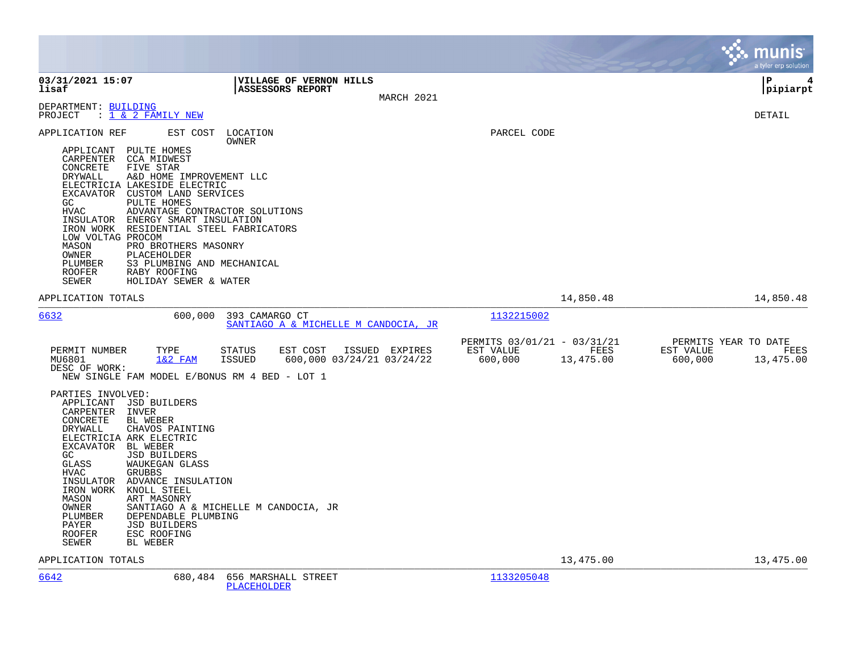|                                                                                                                                                                                                                                                                                                                              |                                                                                                                                                                                                                                                                                                                                                                           |                                                                               |                |                                                     |                   |                                              | munis<br>a tyler erp solution |
|------------------------------------------------------------------------------------------------------------------------------------------------------------------------------------------------------------------------------------------------------------------------------------------------------------------------------|---------------------------------------------------------------------------------------------------------------------------------------------------------------------------------------------------------------------------------------------------------------------------------------------------------------------------------------------------------------------------|-------------------------------------------------------------------------------|----------------|-----------------------------------------------------|-------------------|----------------------------------------------|-------------------------------|
| 03/31/2021 15:07<br>lisaf                                                                                                                                                                                                                                                                                                    |                                                                                                                                                                                                                                                                                                                                                                           | VILLAGE OF VERNON HILLS<br>ASSESSORS REPORT                                   | MARCH 2021     |                                                     |                   |                                              | l P<br>4<br> pipiarpt         |
| DEPARTMENT: BUILDING<br>PROJECT                                                                                                                                                                                                                                                                                              | $: 1 \& 2$ FAMILY NEW                                                                                                                                                                                                                                                                                                                                                     |                                                                               |                |                                                     |                   |                                              | DETAIL                        |
| APPLICATION REF<br>APPLICANT<br>CARPENTER<br>CONCRETE<br>DRYWALL<br>ELECTRICIA LAKESIDE ELECTRIC<br>GC<br>HVAC<br>LOW VOLTAG PROCOM<br>MASON<br>OWNER<br>PLUMBER<br><b>ROOFER</b><br><b>SEWER</b>                                                                                                                            | EST COST LOCATION<br>PULTE HOMES<br>CCA MIDWEST<br>FIVE STAR<br>A&D HOME IMPROVEMENT LLC<br>EXCAVATOR CUSTOM LAND SERVICES<br>PULTE HOMES<br>ADVANTAGE CONTRACTOR SOLUTIONS<br>INSULATOR ENERGY SMART INSULATION<br>IRON WORK RESIDENTIAL STEEL FABRICATORS<br>PRO BROTHERS MASONRY<br>PLACEHOLDER<br>S3 PLUMBING AND MECHANICAL<br>RABY ROOFING<br>HOLIDAY SEWER & WATER | OWNER                                                                         |                | PARCEL CODE                                         |                   |                                              |                               |
| APPLICATION TOTALS                                                                                                                                                                                                                                                                                                           |                                                                                                                                                                                                                                                                                                                                                                           |                                                                               |                |                                                     | 14,850.48         |                                              | 14,850.48                     |
| 6632                                                                                                                                                                                                                                                                                                                         | 600,000                                                                                                                                                                                                                                                                                                                                                                   | 393 CAMARGO CT<br>SANTIAGO A & MICHELLE M CANDOCIA, JR                        |                | 1132215002                                          |                   |                                              |                               |
| PERMIT NUMBER<br>MU6801<br>DESC OF WORK:<br>PARTIES INVOLVED:<br>APPLICANT JSD BUILDERS<br>CARPENTER INVER<br>CONCRETE<br>DRYWALL<br>ELECTRICIA ARK ELECTRIC<br>EXCAVATOR BL WEBER<br>GC.<br><b>GLASS</b><br><b>GRUBBS</b><br>HVAC<br>INSULATOR<br>IRON WORK<br>MASON<br>OWNER<br>PLUMBER<br>PAYER<br><b>ROOFER</b><br>SEWER | TYPE<br>STATUS<br>$1&2$ FAM<br><b>ISSUED</b><br>NEW SINGLE FAM MODEL E/BONUS RM 4 BED - LOT 1<br>BL WEBER<br>CHAVOS PAINTING<br>JSD BUILDERS<br>WAUKEGAN GLASS<br>ADVANCE INSULATION<br>KNOLL STEEL<br>ART MASONRY<br>DEPENDABLE PLUMBING<br><b>JSD BUILDERS</b><br>ESC ROOFING<br><b>BL WEBER</b>                                                                        | EST COST<br>600,000 03/24/21 03/24/22<br>SANTIAGO A & MICHELLE M CANDOCIA, JR | ISSUED EXPIRES | PERMITS 03/01/21 - 03/31/21<br>EST VALUE<br>600,000 | FEES<br>13,475.00 | PERMITS YEAR TO DATE<br>EST VALUE<br>600,000 | FEES<br>13,475.00             |
| APPLICATION TOTALS                                                                                                                                                                                                                                                                                                           |                                                                                                                                                                                                                                                                                                                                                                           |                                                                               |                |                                                     | 13,475.00         |                                              | 13,475.00                     |
| 6642                                                                                                                                                                                                                                                                                                                         | 680,484                                                                                                                                                                                                                                                                                                                                                                   | 656 MARSHALL STREET                                                           |                | 1133205048                                          |                   |                                              |                               |

[PLACEHOLDER](http://vvh-munis1:55000/views/PassThru.aspx?-E=jIyY/jks2SZNmifDimixOfMMm0w2YFm9A8%2B0DBoSK0g=&)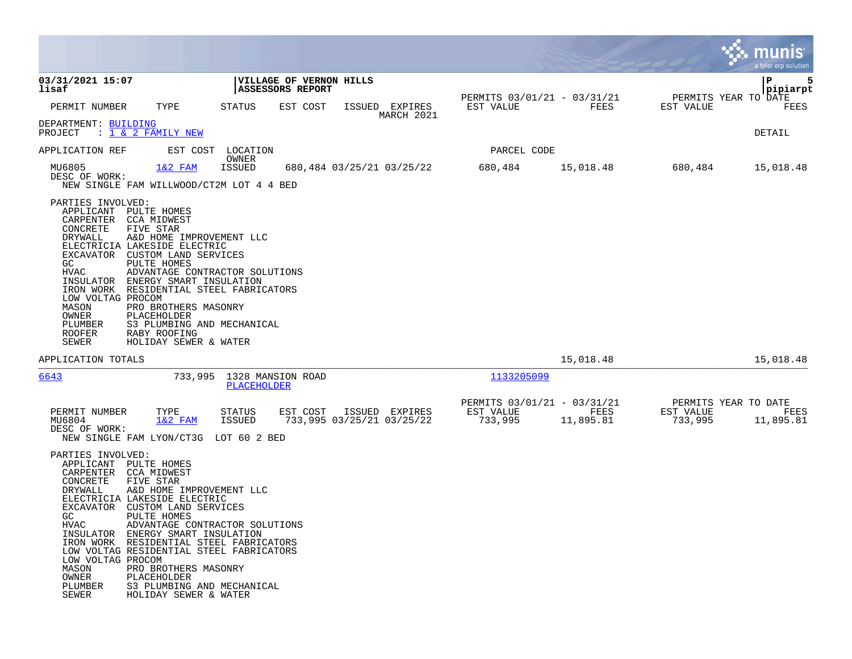|                                                                                                                                                     |                                                                                                                                                                                                                                                                                                                                                                                                                  |                                          |                                       |                              |                                                     |                   |                                              | a tyler erp solution |
|-----------------------------------------------------------------------------------------------------------------------------------------------------|------------------------------------------------------------------------------------------------------------------------------------------------------------------------------------------------------------------------------------------------------------------------------------------------------------------------------------------------------------------------------------------------------------------|------------------------------------------|---------------------------------------|------------------------------|-----------------------------------------------------|-------------------|----------------------------------------------|----------------------|
| 03/31/2021 15:07<br>lisaf                                                                                                                           |                                                                                                                                                                                                                                                                                                                                                                                                                  | <b>ASSESSORS REPORT</b>                  | <b>VILLAGE OF VERNON HILLS</b>        |                              |                                                     |                   |                                              | P<br>5<br> pipiarpt  |
| PERMIT NUMBER                                                                                                                                       | TYPE                                                                                                                                                                                                                                                                                                                                                                                                             | <b>STATUS</b>                            | EST COST                              | ISSUED EXPIRES<br>MARCH 2021 | PERMITS 03/01/21 - 03/31/21<br>EST VALUE            | FEES              | PERMITS YEAR TO DATE<br>EST VALUE            | FEES                 |
| DEPARTMENT: BUILDING<br>PROJECT                                                                                                                     | : 1 & 2 FAMILY NEW                                                                                                                                                                                                                                                                                                                                                                                               |                                          |                                       |                              |                                                     |                   |                                              | DETAIL               |
| APPLICATION REF                                                                                                                                     |                                                                                                                                                                                                                                                                                                                                                                                                                  | EST COST LOCATION<br>OWNER               |                                       |                              | PARCEL CODE                                         |                   |                                              |                      |
| MU6805<br>DESC OF WORK:                                                                                                                             | $1&2$ FAM<br>NEW SINGLE FAM WILLWOOD/CT2M LOT 4 4 BED                                                                                                                                                                                                                                                                                                                                                            | ISSUED                                   | 680,484 03/25/21 03/25/22             |                              | 680,484                                             | 15,018.48         | 680,484                                      | 15,018.48            |
| PARTIES INVOLVED:<br>CONCRETE<br>DRYWALL<br>GC<br>HVAC<br>LOW VOLTAG PROCOM<br>MASON<br>OWNER<br>PLUMBER<br><b>ROOFER</b><br>SEWER                  | APPLICANT PULTE HOMES<br>CARPENTER CCA MIDWEST<br>FIVE STAR<br>A&D HOME IMPROVEMENT LLC<br>ELECTRICIA LAKESIDE ELECTRIC<br>EXCAVATOR CUSTOM LAND SERVICES<br>PULTE HOMES<br>ADVANTAGE CONTRACTOR SOLUTIONS<br>INSULATOR ENERGY SMART INSULATION<br>IRON WORK RESIDENTIAL STEEL FABRICATORS<br>PRO BROTHERS MASONRY<br><b>PLACEHOLDER</b><br>S3 PLUMBING AND MECHANICAL<br>RABY ROOFING<br>HOLIDAY SEWER & WATER  |                                          |                                       |                              |                                                     |                   |                                              |                      |
| APPLICATION TOTALS                                                                                                                                  |                                                                                                                                                                                                                                                                                                                                                                                                                  |                                          |                                       |                              |                                                     | 15,018.48         |                                              | 15,018.48            |
| <u>6643</u>                                                                                                                                         |                                                                                                                                                                                                                                                                                                                                                                                                                  | 733,995 1328 MANSION ROAD<br>PLACEHOLDER |                                       |                              | 1133205099                                          |                   |                                              |                      |
| PERMIT NUMBER<br>MU6804<br>DESC OF WORK:                                                                                                            | TYPE<br>$1&2$ FAM<br>NEW SINGLE FAM LYON/CT3G LOT 60 2 BED                                                                                                                                                                                                                                                                                                                                                       | STATUS<br><b>ISSUED</b>                  | EST COST<br>733,995 03/25/21 03/25/22 | ISSUED EXPIRES               | PERMITS 03/01/21 - 03/31/21<br>EST VALUE<br>733,995 | FEES<br>11,895.81 | PERMITS YEAR TO DATE<br>EST VALUE<br>733,995 | FEES<br>11,895.81    |
| PARTIES INVOLVED:<br>CARPENTER<br>CONCRETE<br>DRYWALL<br>EXCAVATOR<br>GC<br>${\tt HVAC}$<br>LOW VOLTAG PROCOM<br>MASON<br>OWNER<br>PLUMBER<br>SEWER | APPLICANT PULTE HOMES<br>CCA MIDWEST<br>FIVE STAR<br>A&D HOME IMPROVEMENT LLC<br>ELECTRICIA LAKESIDE ELECTRIC<br>CUSTOM LAND SERVICES<br>PULTE HOMES<br>ADVANTAGE CONTRACTOR SOLUTIONS<br>INSULATOR ENERGY SMART INSULATION<br>IRON WORK RESIDENTIAL STEEL FABRICATORS<br>LOW VOLTAG RESIDENTIAL STEEL FABRICATORS<br>PRO BROTHERS MASONRY<br>PLACEHOLDER<br>S3 PLUMBING AND MECHANICAL<br>HOLIDAY SEWER & WATER |                                          |                                       |                              |                                                     |                   |                                              |                      |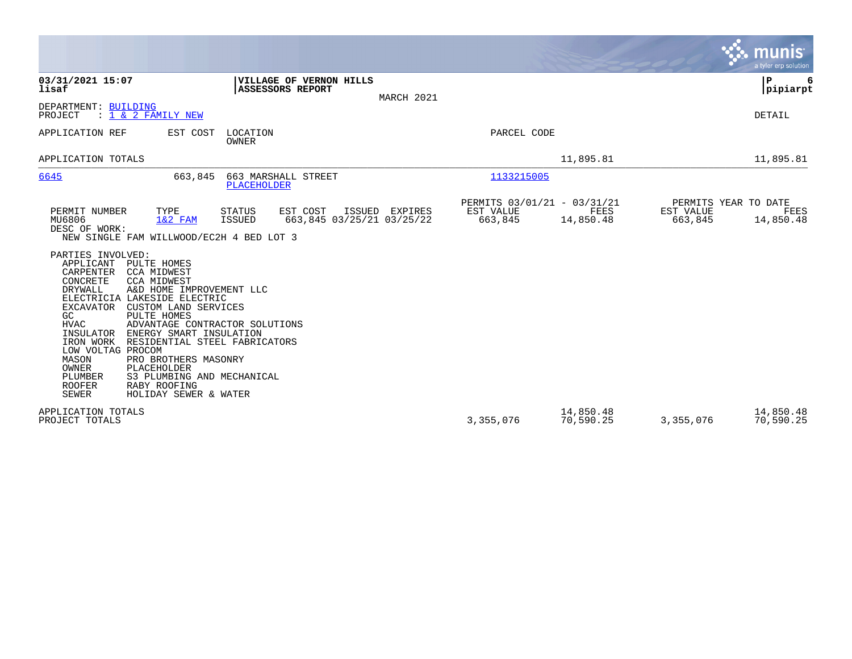|                                                                                                                                                                                                                                    |                                                                                                                                                                                                                                                                                                                             |                         |                                             |                |            |                                                     |                        |                                              | <b>munis</b><br>a tyler erp solution |
|------------------------------------------------------------------------------------------------------------------------------------------------------------------------------------------------------------------------------------|-----------------------------------------------------------------------------------------------------------------------------------------------------------------------------------------------------------------------------------------------------------------------------------------------------------------------------|-------------------------|---------------------------------------------|----------------|------------|-----------------------------------------------------|------------------------|----------------------------------------------|--------------------------------------|
| 03/31/2021 15:07<br>lisaf                                                                                                                                                                                                          |                                                                                                                                                                                                                                                                                                                             |                         | VILLAGE OF VERNON HILLS<br>ASSESSORS REPORT |                | MARCH 2021 |                                                     |                        |                                              | ${\bf P}$<br> pipiarpt               |
| DEPARTMENT: BUILDING<br>PROJECT                                                                                                                                                                                                    | : 1 & 2 FAMILY NEW                                                                                                                                                                                                                                                                                                          |                         |                                             |                |            |                                                     |                        |                                              | DETAIL                               |
| APPLICATION REF                                                                                                                                                                                                                    | EST COST                                                                                                                                                                                                                                                                                                                    | LOCATION<br>OWNER       |                                             |                |            | PARCEL CODE                                         |                        |                                              |                                      |
| APPLICATION TOTALS                                                                                                                                                                                                                 |                                                                                                                                                                                                                                                                                                                             |                         |                                             |                |            |                                                     | 11,895.81              |                                              | 11,895.81                            |
| 6645                                                                                                                                                                                                                               | 663,845                                                                                                                                                                                                                                                                                                                     | PLACEHOLDER             | 663 MARSHALL STREET                         |                |            | 1133215005                                          |                        |                                              |                                      |
| PERMIT NUMBER<br>MU6806<br>DESC OF WORK:<br>PARTIES INVOLVED:<br>APPLICANT<br>CARPENTER<br>CONCRETE<br><b>DRYWALL</b><br>ELECTRICIA LAKESIDE ELECTRIC<br>EXCAVATOR<br>GC<br><b>HVAC</b><br>INSULATOR<br>LOW VOLTAG PROCOM<br>MASON | TYPE<br>$1&2$ FAM<br>NEW SINGLE FAM WILLWOOD/EC2H 4 BED LOT 3<br>PULTE HOMES<br><b>CCA MIDWEST</b><br><b>CCA MIDWEST</b><br>A&D HOME IMPROVEMENT LLC<br>CUSTOM LAND SERVICES<br>PULTE HOMES<br>ADVANTAGE CONTRACTOR SOLUTIONS<br>ENERGY SMART INSULATION<br>IRON WORK RESIDENTIAL STEEL FABRICATORS<br>PRO BROTHERS MASONRY | <b>STATUS</b><br>ISSUED | EST COST<br>663,845 03/25/21 03/25/22       | ISSUED EXPIRES |            | PERMITS 03/01/21 - 03/31/21<br>EST VALUE<br>663,845 | FEES<br>14,850.48      | PERMITS YEAR TO DATE<br>EST VALUE<br>663,845 | FEES<br>14,850.48                    |
| OWNER<br>PLUMBER<br>ROOFER<br><b>SEWER</b><br>APPLICATION TOTALS<br>PROJECT TOTALS                                                                                                                                                 | PLACEHOLDER<br>S3 PLUMBING AND MECHANICAL<br>RABY ROOFING<br>HOLIDAY SEWER & WATER                                                                                                                                                                                                                                          |                         |                                             |                |            | 3,355,076                                           | 14,850.48<br>70,590.25 | 3,355,076                                    | 14,850.48<br>70,590.25               |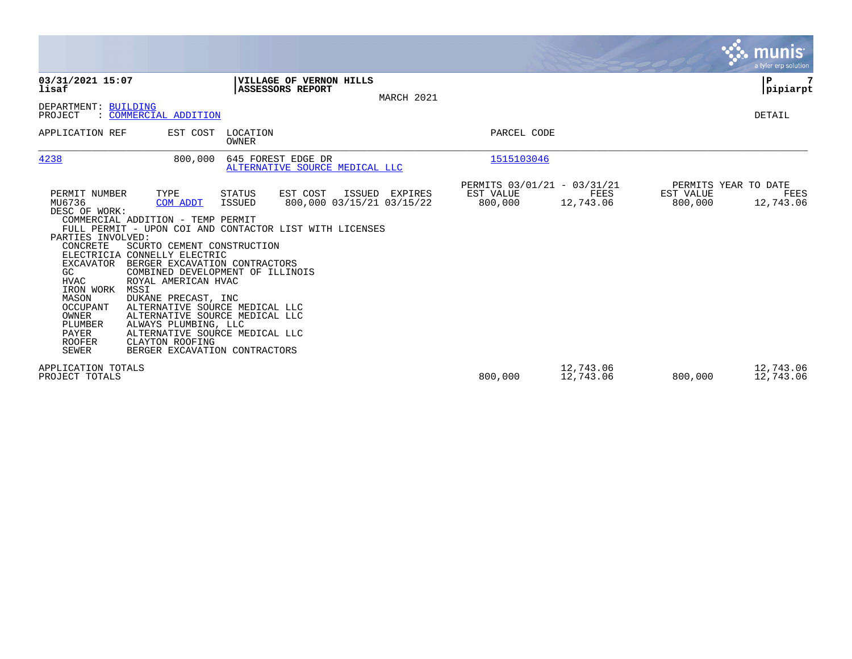|                                                                                                                                                                                                             |                                                                                                                                                                                                                                                                                                                                                                                                                                                                                                    |                          |                                                 |            |                                                     |                        |                      | <b>munis</b><br>a tyler erp solution      |
|-------------------------------------------------------------------------------------------------------------------------------------------------------------------------------------------------------------|----------------------------------------------------------------------------------------------------------------------------------------------------------------------------------------------------------------------------------------------------------------------------------------------------------------------------------------------------------------------------------------------------------------------------------------------------------------------------------------------------|--------------------------|-------------------------------------------------|------------|-----------------------------------------------------|------------------------|----------------------|-------------------------------------------|
| 03/31/2021 15:07<br>lisaf                                                                                                                                                                                   |                                                                                                                                                                                                                                                                                                                                                                                                                                                                                                    | ASSESSORS REPORT         | VILLAGE OF VERNON HILLS                         | MARCH 2021 |                                                     |                        |                      | P<br> pipiarpt                            |
| DEPARTMENT:<br>PROJECT                                                                                                                                                                                      | BUILDING<br>: COMMERCIAL ADDITION                                                                                                                                                                                                                                                                                                                                                                                                                                                                  |                          |                                                 |            |                                                     |                        |                      | <b>DETAIL</b>                             |
| APPLICATION REF                                                                                                                                                                                             | EST COST                                                                                                                                                                                                                                                                                                                                                                                                                                                                                           | LOCATION<br><b>OWNER</b> |                                                 |            | PARCEL CODE                                         |                        |                      |                                           |
| 4238                                                                                                                                                                                                        | 800,000                                                                                                                                                                                                                                                                                                                                                                                                                                                                                            | 645 FOREST EDGE DR       | ALTERNATIVE SOURCE MEDICAL LLC                  |            | 1515103046                                          |                        |                      |                                           |
| PERMIT NUMBER<br>MU6736<br>DESC OF WORK:<br>PARTIES INVOLVED:<br>CONCRETE<br>EXCAVATOR<br>GC<br><b>HVAC</b><br>IRON WORK<br>MASON<br>OCCUPANT<br>OWNER<br>PLUMBER<br>PAYER<br><b>ROOFER</b><br><b>SEWER</b> | TYPE<br><b>COM ADDT</b><br>COMMERCIAL ADDITION - TEMP PERMIT<br>FULL PERMIT - UPON COI AND CONTACTOR LIST WITH LICENSES<br>SCURTO CEMENT CONSTRUCTION<br>ELECTRICIA CONNELLY ELECTRIC<br>BERGER EXCAVATION CONTRACTORS<br>COMBINED DEVELOPMENT OF ILLINOIS<br>ROYAL AMERICAN HVAC<br>MSSI<br>DUKANE PRECAST, INC<br>ALTERNATIVE SOURCE MEDICAL LLC<br>ALTERNATIVE SOURCE MEDICAL LLC<br>ALWAYS PLUMBING, LLC<br>ALTERNATIVE SOURCE MEDICAL LLC<br>CLAYTON ROOFING<br>BERGER EXCAVATION CONTRACTORS | STATUS<br><b>ISSUED</b>  | EST COST<br>ISSUED<br>800,000 03/15/21 03/15/22 | EXPIRES    | PERMITS 03/01/21 - 03/31/21<br>EST VALUE<br>800,000 | FEES<br>12,743.06      | EST VALUE<br>800,000 | PERMITS YEAR TO DATE<br>FEES<br>12,743.06 |
| APPLICATION TOTALS<br>PROJECT TOTALS                                                                                                                                                                        |                                                                                                                                                                                                                                                                                                                                                                                                                                                                                                    |                          |                                                 |            | 800,000                                             | 12,743.06<br>12,743.06 | 800,000              | 12,743.06<br>12,743.06                    |

 $\mathcal{L}^{\text{max}}$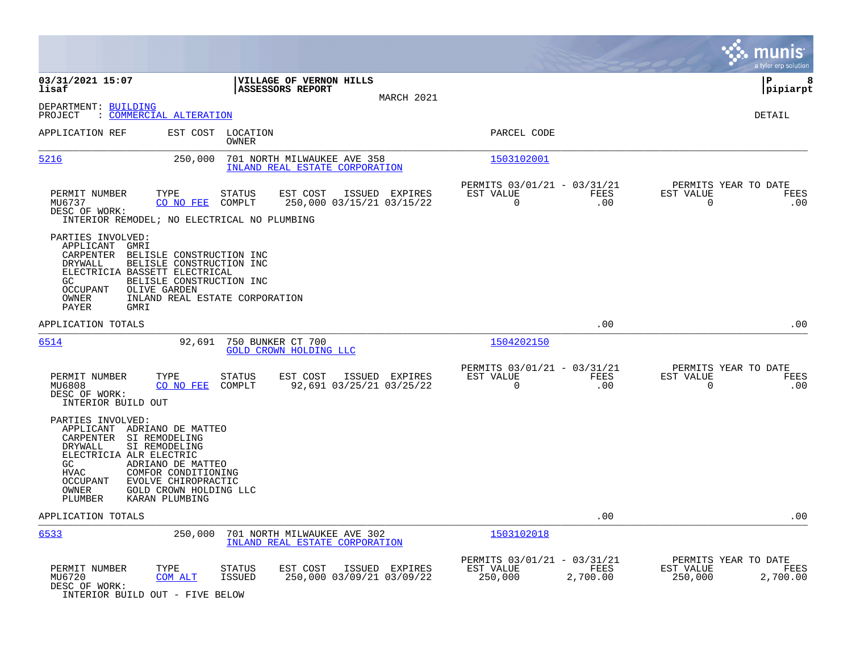|                                                                                                                                                                                                                                                                                                         |                                                                                           |                                                                         | munis<br>a tyler erp solution                                    |
|---------------------------------------------------------------------------------------------------------------------------------------------------------------------------------------------------------------------------------------------------------------------------------------------------------|-------------------------------------------------------------------------------------------|-------------------------------------------------------------------------|------------------------------------------------------------------|
| 03/31/2021 15:07<br>lisaf                                                                                                                                                                                                                                                                               | VILLAGE OF VERNON HILLS<br>ASSESSORS REPORT                                               |                                                                         | P<br>8<br> pipiarpt                                              |
| DEPARTMENT: BUILDING<br>: COMMERCIAL ALTERATION<br>PROJECT                                                                                                                                                                                                                                              | MARCH 2021                                                                                |                                                                         | <b>DETAIL</b>                                                    |
| APPLICATION REF                                                                                                                                                                                                                                                                                         | EST COST LOCATION<br>OWNER                                                                | PARCEL CODE                                                             |                                                                  |
| 5216<br>250,000                                                                                                                                                                                                                                                                                         | 701 NORTH MILWAUKEE AVE 358<br>INLAND REAL ESTATE CORPORATION                             | 1503102001                                                              |                                                                  |
| PERMIT NUMBER<br>TYPE<br>MU6737<br>CO NO FEE<br>DESC OF WORK:<br>INTERIOR REMODEL; NO ELECTRICAL NO PLUMBING                                                                                                                                                                                            | <b>STATUS</b><br>EST COST<br>ISSUED EXPIRES<br>250,000 03/15/21 03/15/22<br>COMPLT        | PERMITS 03/01/21 - 03/31/21<br>EST VALUE<br>FEES<br>$\Omega$<br>.00     | PERMITS YEAR TO DATE<br>EST VALUE<br>FEES<br>.00<br>$\Omega$     |
| PARTIES INVOLVED:<br>APPLICANT<br>GMRI<br>CARPENTER<br>BELISLE CONSTRUCTION INC<br>DRYWALL<br>BELISLE CONSTRUCTION INC<br>ELECTRICIA BASSETT ELECTRICAL<br>BELISLE CONSTRUCTION INC<br>GC.<br><b>OCCUPANT</b><br>OLIVE GARDEN<br>OWNER<br>PAYER<br>GMRI                                                 | INLAND REAL ESTATE CORPORATION                                                            |                                                                         |                                                                  |
| APPLICATION TOTALS                                                                                                                                                                                                                                                                                      |                                                                                           | .00                                                                     | .00                                                              |
| 6514<br>92,691                                                                                                                                                                                                                                                                                          | 750 BUNKER CT 700<br><b>GOLD CROWN HOLDING LLC</b>                                        | 1504202150                                                              |                                                                  |
| PERMIT NUMBER<br>TYPE<br>MU6808<br>CO NO FEE<br>DESC OF WORK:<br>INTERIOR BUILD OUT                                                                                                                                                                                                                     | EST COST<br><b>STATUS</b><br>ISSUED EXPIRES<br>92,691 03/25/21 03/25/22<br>COMPLT         | PERMITS 03/01/21 - 03/31/21<br>EST VALUE<br>FEES<br>$\mathbf 0$<br>.00  | PERMITS YEAR TO DATE<br>EST VALUE<br>FEES<br>$\mathbf 0$<br>.00  |
| PARTIES INVOLVED:<br>APPLICANT ADRIANO DE MATTEO<br>CARPENTER SI REMODELING<br>DRYWALL<br>SI REMODELING<br>ELECTRICIA ALR ELECTRIC<br>GC.<br>ADRIANO DE MATTEO<br><b>HVAC</b><br>COMFOR CONDITIONING<br>EVOLVE CHIROPRACTIC<br>OCCUPANT<br>OWNER<br>GOLD CROWN HOLDING LLC<br>PLUMBER<br>KARAN PLUMBING |                                                                                           |                                                                         |                                                                  |
| APPLICATION TOTALS                                                                                                                                                                                                                                                                                      |                                                                                           | .00                                                                     | .00                                                              |
| 6533<br>250,000                                                                                                                                                                                                                                                                                         | 701 NORTH MILWAUKEE AVE 302<br>INLAND REAL ESTATE CORPORATION                             | 1503102018                                                              |                                                                  |
| PERMIT NUMBER<br>TYPE<br>MU6720<br>COM ALT<br>DESC OF WORK:<br>INTERIOR BUILD OUT - FIVE BELOW                                                                                                                                                                                                          | <b>STATUS</b><br>EST COST<br>ISSUED EXPIRES<br>250,000 03/09/21 03/09/22<br><b>ISSUED</b> | PERMITS 03/01/21 - 03/31/21<br>EST VALUE<br>FEES<br>250,000<br>2,700.00 | PERMITS YEAR TO DATE<br>EST VALUE<br>FEES<br>250,000<br>2,700.00 |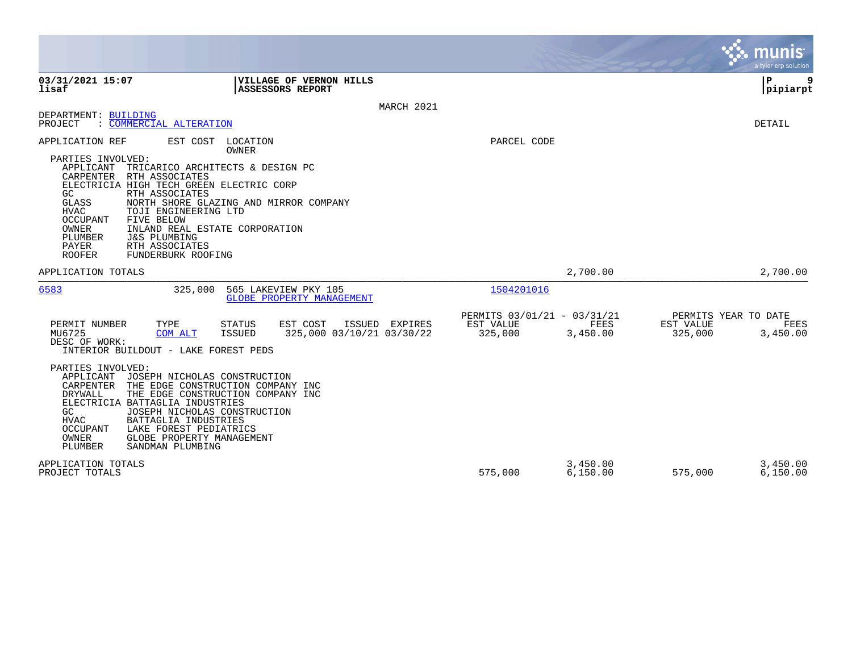|                                                                                                                                                                                                                                                                                                                                                                                                                                                                                                                       |                                                     |                                                                  | <b>munis</b><br>a tyler erp solution |
|-----------------------------------------------------------------------------------------------------------------------------------------------------------------------------------------------------------------------------------------------------------------------------------------------------------------------------------------------------------------------------------------------------------------------------------------------------------------------------------------------------------------------|-----------------------------------------------------|------------------------------------------------------------------|--------------------------------------|
| 03/31/2021 15:07<br>VILLAGE OF VERNON HILLS<br>lisaf<br>ASSESSORS REPORT                                                                                                                                                                                                                                                                                                                                                                                                                                              |                                                     |                                                                  | $\mathbf{P}$<br>9<br> pipiarpt       |
| MARCH 2021<br>DEPARTMENT: BUILDING<br>: COMMERCIAL ALTERATION<br>PROJECT                                                                                                                                                                                                                                                                                                                                                                                                                                              |                                                     |                                                                  | DETAIL                               |
| APPLICATION REF<br>EST COST<br>LOCATION<br><b>OWNER</b><br>PARTIES INVOLVED:<br>APPLICANT<br>TRICARICO ARCHITECTS & DESIGN PC<br>RTH ASSOCIATES<br>CARPENTER<br>ELECTRICIA HIGH TECH GREEN ELECTRIC CORP<br>GC<br>RTH ASSOCIATES<br><b>GLASS</b><br>NORTH SHORE GLAZING AND MIRROR COMPANY<br>TOJI ENGINEERING LTD<br>HVAC<br><b>OCCUPANT</b><br>FIVE BELOW<br><b>OWNER</b><br>INLAND REAL ESTATE CORPORATION<br>PLUMBER<br><b>J&amp;S PLUMBING</b><br>RTH ASSOCIATES<br>PAYER<br><b>ROOFER</b><br>FUNDERBURK ROOFING | PARCEL CODE                                         |                                                                  |                                      |
| APPLICATION TOTALS                                                                                                                                                                                                                                                                                                                                                                                                                                                                                                    |                                                     | 2,700.00                                                         | 2,700.00                             |
| 6583<br>325,000<br>565 LAKEVIEW PKY 105<br>GLOBE PROPERTY MANAGEMENT                                                                                                                                                                                                                                                                                                                                                                                                                                                  | 1504201016                                          |                                                                  |                                      |
| PERMIT NUMBER<br>EST COST<br><b>ISSUED</b><br>EXPIRES<br>TYPE<br><b>STATUS</b><br>MU6725<br><b>ISSUED</b><br>325,000 03/10/21 03/30/22<br>COM ALT<br>DESC OF WORK:<br>INTERIOR BUILDOUT - LAKE FOREST PEDS                                                                                                                                                                                                                                                                                                            | PERMITS 03/01/21 - 03/31/21<br>EST VALUE<br>325,000 | PERMITS YEAR TO DATE<br>FEES<br>EST VALUE<br>3,450.00<br>325,000 | FEES<br>3,450.00                     |
| PARTIES INVOLVED:<br>APPLICANT<br>JOSEPH NICHOLAS CONSTRUCTION<br>THE EDGE CONSTRUCTION COMPANY INC<br>CARPENTER<br>THE EDGE CONSTRUCTION COMPANY INC<br>DRYWALL<br>ELECTRICIA BATTAGLIA INDUSTRIES<br>JOSEPH NICHOLAS CONSTRUCTION<br>GC.<br>BATTAGLIA INDUSTRIES<br>HVAC<br>OCCUPANT<br>LAKE FOREST PEDIATRICS<br>OWNER<br>GLOBE PROPERTY MANAGEMENT<br>PLUMBER<br>SANDMAN PLUMBING                                                                                                                                 |                                                     |                                                                  |                                      |
| APPLICATION TOTALS<br>PROJECT TOTALS                                                                                                                                                                                                                                                                                                                                                                                                                                                                                  | 575,000                                             | 3,450.00<br>575,000<br>6, 150.00                                 | 3,450.00<br>6,150.00                 |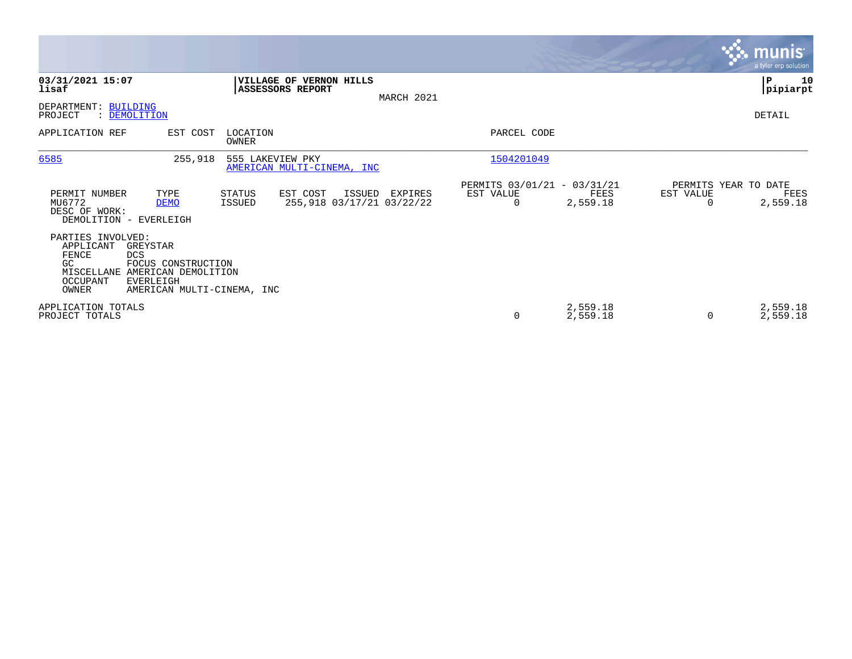|                                                                                                                                                                      |                                                                            |                           |                                                 |                                   | munis <sup>®</sup><br>a tyler erp solution. |
|----------------------------------------------------------------------------------------------------------------------------------------------------------------------|----------------------------------------------------------------------------|---------------------------|-------------------------------------------------|-----------------------------------|---------------------------------------------|
| 03/31/2021 15:07<br>lisaf                                                                                                                                            | <b>VILLAGE OF VERNON HILLS</b><br>ASSESSORS REPORT                         | MARCH 2021                |                                                 |                                   | 10<br>P<br> pipiarpt                        |
| DEPARTMENT: BUILDING<br>PROJECT<br>: DEMOLITION                                                                                                                      |                                                                            |                           |                                                 |                                   | DETAIL                                      |
| APPLICATION REF<br>EST COST                                                                                                                                          | LOCATION<br>OWNER                                                          | PARCEL CODE               |                                                 |                                   |                                             |
| 6585<br>255,918                                                                                                                                                      | 555 LAKEVIEW PKY<br>AMERICAN MULTI-CINEMA, INC                             | 1504201049                |                                                 |                                   |                                             |
| PERMIT NUMBER<br>TYPE<br>MU6772<br><b>DEMO</b><br>DESC OF WORK:<br>DEMOLITION - EVERLEIGH                                                                            | EST COST<br>ISSUED<br><b>STATUS</b><br>255,918 03/17/21 03/22/22<br>ISSUED | EST VALUE<br>EXPIRES<br>0 | PERMITS 03/01/21 - 03/31/21<br>FEES<br>2,559.18 | PERMITS YEAR TO DATE<br>EST VALUE | FEES<br>2,559.18                            |
| PARTIES INVOLVED:<br>APPLICANT<br>GREYSTAR<br><b>DCS</b><br>FENCE<br>GC<br>FOCUS CONSTRUCTION<br>MISCELLANE<br>AMERICAN DEMOLITION<br>OCCUPANT<br>EVERLEIGH<br>OWNER | AMERICAN MULTI-CINEMA, INC                                                 |                           |                                                 |                                   |                                             |
| APPLICATION TOTALS<br>PROJECT TOTALS                                                                                                                                 |                                                                            | 0                         | 2,559.18<br>2,559.18                            | 0                                 | 2,559.18<br>2,559.18                        |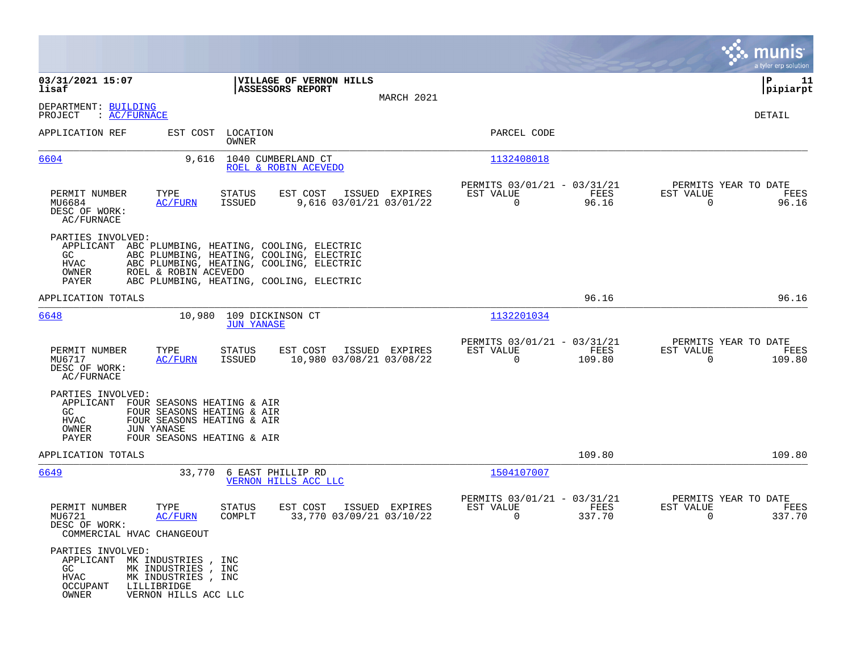|                                                                                             |                                                                                                                                           |                                       |                                                                                                                                                                                        |                |                                                         |                |                                               | munis<br>a tyler erp solution |
|---------------------------------------------------------------------------------------------|-------------------------------------------------------------------------------------------------------------------------------------------|---------------------------------------|----------------------------------------------------------------------------------------------------------------------------------------------------------------------------------------|----------------|---------------------------------------------------------|----------------|-----------------------------------------------|-------------------------------|
| 03/31/2021 15:07<br>lisaf                                                                   |                                                                                                                                           |                                       | VILLAGE OF VERNON HILLS<br>ASSESSORS REPORT                                                                                                                                            |                |                                                         |                |                                               | P<br>11<br> pipiarpt          |
| DEPARTMENT: BUILDING<br>PROJECT<br>: <u>AC/FURNACE</u>                                      |                                                                                                                                           |                                       |                                                                                                                                                                                        | MARCH 2021     |                                                         |                |                                               | DETAIL                        |
| APPLICATION REF                                                                             |                                                                                                                                           | EST COST LOCATION<br>OWNER            |                                                                                                                                                                                        |                | PARCEL CODE                                             |                |                                               |                               |
| 6604                                                                                        | 9,616                                                                                                                                     |                                       | 1040 CUMBERLAND CT<br>ROEL & ROBIN ACEVEDO                                                                                                                                             |                | 1132408018                                              |                |                                               |                               |
| PERMIT NUMBER<br>MU6684<br>DESC OF WORK:<br>AC/FURNACE                                      | TYPE<br><b>AC/FURN</b>                                                                                                                    | STATUS<br>ISSUED                      | EST COST<br>9,616 03/01/21 03/01/22                                                                                                                                                    | ISSUED EXPIRES | PERMITS 03/01/21 - 03/31/21<br>EST VALUE<br>$\mathbf 0$ | FEES<br>96.16  | PERMITS YEAR TO DATE<br>EST VALUE<br>$\Omega$ | FEES<br>96.16                 |
| PARTIES INVOLVED:<br>GC.<br>HVAC<br>OWNER<br>PAYER                                          | ROEL & ROBIN ACEVEDO                                                                                                                      |                                       | APPLICANT ABC PLUMBING, HEATING, COOLING, ELECTRIC<br>ABC PLUMBING, HEATING, COOLING, ELECTRIC<br>ABC PLUMBING, HEATING, COOLING, ELECTRIC<br>ABC PLUMBING, HEATING, COOLING, ELECTRIC |                |                                                         |                |                                               |                               |
| APPLICATION TOTALS                                                                          |                                                                                                                                           |                                       |                                                                                                                                                                                        |                |                                                         | 96.16          |                                               | 96.16                         |
| 6648                                                                                        | 10,980                                                                                                                                    | 109 DICKINSON CT<br><b>JUN YANASE</b> |                                                                                                                                                                                        |                | 1132201034                                              |                |                                               |                               |
| PERMIT NUMBER<br>MU6717<br>DESC OF WORK:<br>AC/FURNACE                                      | TYPE<br>AC/FURN                                                                                                                           | <b>STATUS</b><br>ISSUED               | EST COST<br>10,980 03/08/21 03/08/22                                                                                                                                                   | ISSUED EXPIRES | PERMITS 03/01/21 - 03/31/21<br>EST VALUE<br>$\mathbf 0$ | FEES<br>109.80 | PERMITS YEAR TO DATE<br>EST VALUE<br>$\Omega$ | FEES<br>109.80                |
| PARTIES INVOLVED:<br>APPLICANT<br>GC.<br>HVAC<br>OWNER<br>PAYER                             | FOUR SEASONS HEATING & AIR<br>FOUR SEASONS HEATING & AIR<br>FOUR SEASONS HEATING & AIR<br><b>JUN YANASE</b><br>FOUR SEASONS HEATING & AIR |                                       |                                                                                                                                                                                        |                |                                                         |                |                                               |                               |
| APPLICATION TOTALS                                                                          |                                                                                                                                           |                                       |                                                                                                                                                                                        |                |                                                         | 109.80         |                                               | 109.80                        |
| 6649                                                                                        | 33,770                                                                                                                                    |                                       | 6 EAST PHILLIP RD<br>VERNON HILLS ACC LLC                                                                                                                                              |                | 1504107007                                              |                |                                               |                               |
| PERMIT NUMBER<br>MU6721<br>DESC OF WORK:<br>COMMERCIAL HVAC CHANGEOUT                       | TYPE<br>AC/FURN                                                                                                                           | STATUS<br>COMPLT                      | EST COST<br>33,770 03/09/21 03/10/22                                                                                                                                                   | ISSUED EXPIRES | PERMITS 03/01/21 - 03/31/21<br>EST VALUE<br>0           | FEES<br>337.70 | PERMITS YEAR TO DATE<br>EST VALUE<br>0        | FEES<br>337.70                |
| PARTIES INVOLVED:<br>APPLICANT MK INDUSTRIES, INC<br>GC<br><b>HVAC</b><br>OCCUPANT<br>OWNER | MK INDUSTRIES , INC<br>MK INDUSTRIES, INC<br>LILLIBRIDGE<br>VERNON HILLS ACC LLC                                                          |                                       |                                                                                                                                                                                        |                |                                                         |                |                                               |                               |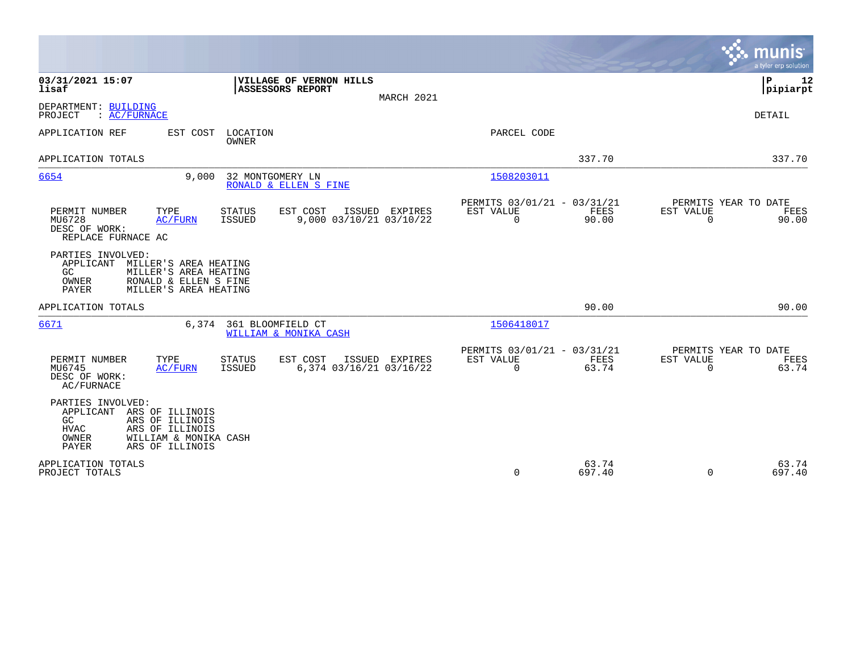|                                                                                                                                                                         | munis<br>a tyler erp solution                                                                                                                            |
|-------------------------------------------------------------------------------------------------------------------------------------------------------------------------|----------------------------------------------------------------------------------------------------------------------------------------------------------|
| 03/31/2021 15:07<br>VILLAGE OF VERNON HILLS<br>lisaf<br>ASSESSORS REPORT                                                                                                | P<br>12<br> pipiarpt<br>MARCH 2021                                                                                                                       |
| DEPARTMENT: BUILDING<br>: AC/FURNACE<br>PROJECT                                                                                                                         | DETAIL                                                                                                                                                   |
| APPLICATION REF<br>LOCATION<br>EST COST<br><b>OWNER</b>                                                                                                                 | PARCEL CODE                                                                                                                                              |
| APPLICATION TOTALS                                                                                                                                                      | 337.70<br>337.70                                                                                                                                         |
| 6654<br>32 MONTGOMERY LN<br>9,000<br>RONALD & ELLEN S FINE                                                                                                              | 1508203011                                                                                                                                               |
| PERMIT NUMBER<br>TYPE<br>EST COST<br>ISSUED<br>STATUS<br>9,000 03/10/21 03/10/22<br>MU6728<br>AC/FURN<br>ISSUED<br>DESC OF WORK:<br>REPLACE FURNACE AC                  | PERMITS 03/01/21 - 03/31/21<br>PERMITS YEAR TO DATE<br>EXPIRES<br>EST VALUE<br>FEES<br>EST VALUE<br>FEES<br>$\mathbf 0$<br>90.00<br>$\mathbf 0$<br>90.00 |
| PARTIES INVOLVED:<br>APPLICANT<br>MILLER'S AREA HEATING<br>GC<br>MILLER'S AREA HEATING<br>RONALD & ELLEN S FINE<br>OWNER<br>MILLER'S AREA HEATING<br><b>PAYER</b>       |                                                                                                                                                          |
| APPLICATION TOTALS                                                                                                                                                      | 90.00<br>90.00                                                                                                                                           |
| 6671<br>6,374<br>361 BLOOMFIELD CT<br>WILLIAM & MONIKA CASH                                                                                                             | 1506418017                                                                                                                                               |
| PERMIT NUMBER<br>TYPE<br><b>STATUS</b><br>EST COST<br>ISSUED EXPIRES<br>MU6745<br>ISSUED<br>6,374 03/16/21 03/16/22<br>AC/FURN<br>DESC OF WORK:<br>AC/FURNACE           | PERMITS 03/01/21 - 03/31/21<br>PERMITS YEAR TO DATE<br>EST VALUE<br><b>EST VALUE</b><br>FEES<br>FEES<br>$\Omega$<br>63.74<br>$\Omega$<br>63.74           |
| PARTIES INVOLVED:<br>APPLICANT ARS OF ILLINOIS<br>GC<br>ARS OF ILLINOIS<br>ARS OF ILLINOIS<br>HVAC<br>WILLIAM & MONIKA CASH<br>OWNER<br><b>PAYER</b><br>ARS OF ILLINOIS |                                                                                                                                                          |
| APPLICATION TOTALS<br>PROJECT TOTALS                                                                                                                                    | 63.74<br>63.74<br>$\mathbf 0$<br>697.40<br>697.40<br>$\Omega$                                                                                            |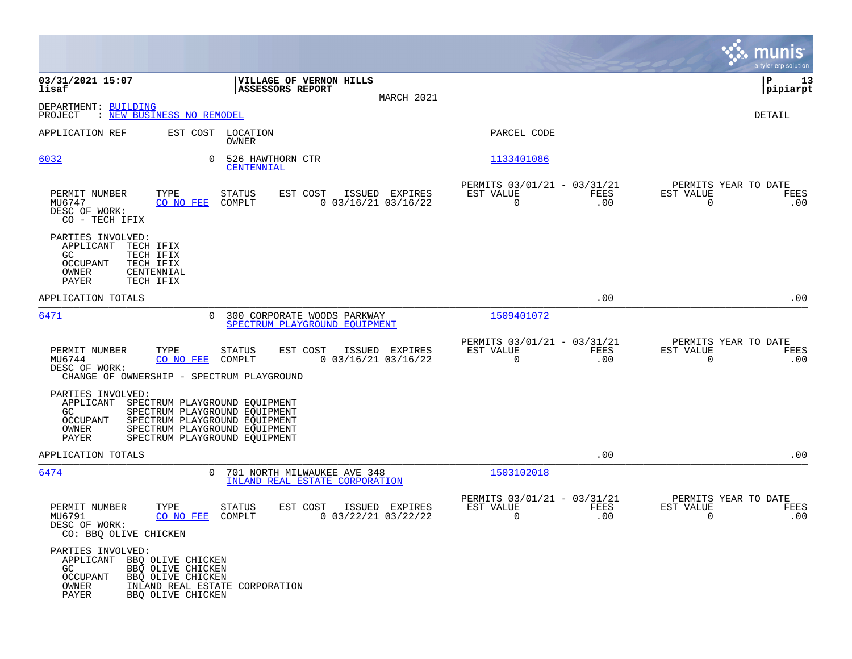|                                                                                                                                                            |                                                                                                                                                                   |                                                                           | munis<br>a tyler erp solution                                   |
|------------------------------------------------------------------------------------------------------------------------------------------------------------|-------------------------------------------------------------------------------------------------------------------------------------------------------------------|---------------------------------------------------------------------------|-----------------------------------------------------------------|
| 03/31/2021 15:07<br>lisaf                                                                                                                                  | VILLAGE OF VERNON HILLS<br>ASSESSORS REPORT<br>MARCH 2021                                                                                                         |                                                                           | ΙP<br>13<br> pipiarpt                                           |
| DEPARTMENT: BUILDING<br>: NEW BUSINESS NO REMODEL<br>PROJECT                                                                                               |                                                                                                                                                                   |                                                                           | DETAIL                                                          |
| APPLICATION REF                                                                                                                                            | EST COST LOCATION<br>OWNER                                                                                                                                        | PARCEL CODE                                                               |                                                                 |
| 6032                                                                                                                                                       | $\Omega$<br>526 HAWTHORN CTR<br>CENTENNIAL                                                                                                                        | 1133401086                                                                |                                                                 |
| TYPE<br>PERMIT NUMBER<br>MU6747<br>CO NO FEE<br>DESC OF WORK:<br>CO - TECH IFIX                                                                            | <b>STATUS</b><br>EST COST<br>ISSUED EXPIRES<br>$0$ 03/16/21 03/16/22<br>COMPLT                                                                                    | PERMITS 03/01/21 - 03/31/21<br>EST VALUE<br>FEES<br>$\overline{0}$<br>.00 | PERMITS YEAR TO DATE<br>EST VALUE<br>FEES<br>$\mathbf 0$<br>.00 |
| PARTIES INVOLVED:<br>APPLICANT<br>TECH IFIX<br>TECH IFIX<br>GC.<br><b>OCCUPANT</b><br>TECH IFIX<br>OWNER<br>CENTENNIAL<br>PAYER<br>TECH IFIX               |                                                                                                                                                                   |                                                                           |                                                                 |
| APPLICATION TOTALS                                                                                                                                         |                                                                                                                                                                   | .00                                                                       | .00                                                             |
| 6471                                                                                                                                                       | $\Omega$<br>300 CORPORATE WOODS PARKWAY<br>SPECTRUM PLAYGROUND EQUIPMENT                                                                                          | 1509401072                                                                |                                                                 |
| TYPE<br>PERMIT NUMBER<br>MU6744<br>CO NO FEE<br>DESC OF WORK:<br>CHANGE OF OWNERSHIP - SPECTRUM PLAYGROUND                                                 | STATUS<br>EST COST<br>ISSUED EXPIRES<br>COMPLT<br>$0$ 03/16/21 03/16/22                                                                                           | PERMITS 03/01/21 - 03/31/21<br>EST VALUE<br>FEES<br>$\overline{0}$<br>.00 | PERMITS YEAR TO DATE<br>EST VALUE<br>FEES<br>$\mathbf 0$<br>.00 |
| PARTIES INVOLVED:<br>APPLICANT<br>GC.<br><b>OCCUPANT</b><br>OWNER<br>PAYER                                                                                 | SPECTRUM PLAYGROUND EQUIPMENT<br>SPECTRUM PLAYGROUND EQUIPMENT<br>SPECTRUM PLAYGROUND EQUIPMENT<br>SPECTRUM PLAYGROUND EQUIPMENT<br>SPECTRUM PLAYGROUND EQUIPMENT |                                                                           |                                                                 |
| APPLICATION TOTALS                                                                                                                                         |                                                                                                                                                                   | .00                                                                       | .00                                                             |
| 6474                                                                                                                                                       | $\Omega$<br>701 NORTH MILWAUKEE AVE 348<br>INLAND REAL ESTATE CORPORATION                                                                                         | 1503102018                                                                |                                                                 |
| PERMIT NUMBER<br>TYPE<br>MU6791<br>CO NO FEE<br>DESC OF WORK:<br>CO: BBQ OLIVE CHICKEN                                                                     | STATUS<br>EST COST<br>ISSUED EXPIRES<br>COMPLT<br>$0$ 03/22/21 03/22/22                                                                                           | PERMITS 03/01/21 - 03/31/21<br>EST VALUE<br>FEES<br>0<br>.00              | PERMITS YEAR TO DATE<br>EST VALUE<br>FEES<br>0<br>.00           |
| PARTIES INVOLVED:<br>APPLICANT BBQ OLIVE CHICKEN<br>GC<br>BBQ OLIVE CHICKEN<br><b>OCCUPANT</b><br>BBQ OLIVE CHICKEN<br>OWNER<br>PAYER<br>BBO OLIVE CHICKEN | INLAND REAL ESTATE CORPORATION                                                                                                                                    |                                                                           |                                                                 |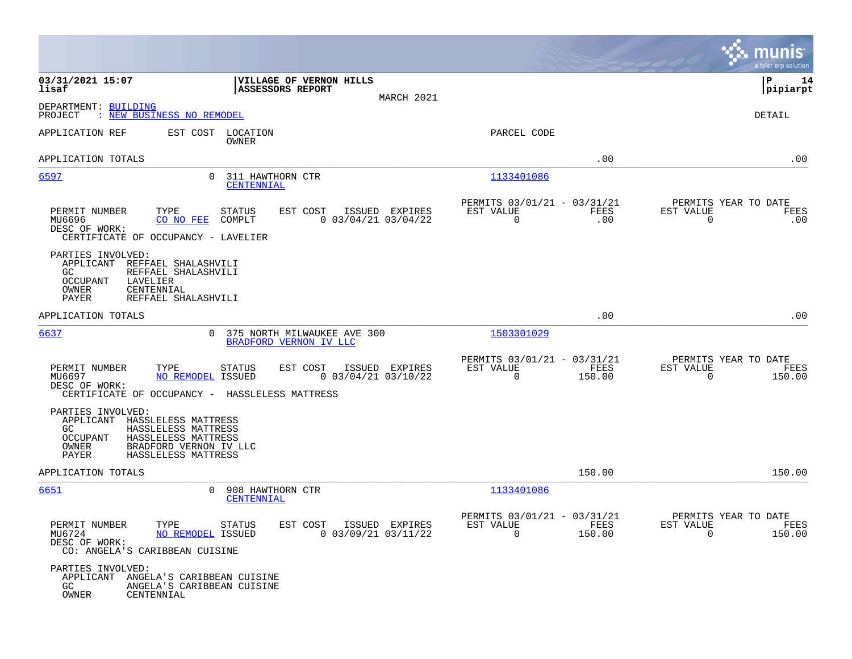|                                                                                                                                                                                           |                                                                         |                                                      |                |                                                  | munis<br>a tyler erp solution |
|-------------------------------------------------------------------------------------------------------------------------------------------------------------------------------------------|-------------------------------------------------------------------------|------------------------------------------------------|----------------|--------------------------------------------------|-------------------------------|
| 03/31/2021 15:07<br>lisaf                                                                                                                                                                 | VILLAGE OF VERNON HILLS<br><b>ASSESSORS REPORT</b><br>MARCH 2021        |                                                      |                |                                                  | P<br>14<br> pipiarpt          |
| DEPARTMENT: BUILDING<br>PROJECT<br>: NEW BUSINESS NO REMODEL                                                                                                                              |                                                                         |                                                      |                |                                                  | <b>DETAIL</b>                 |
| APPLICATION REF                                                                                                                                                                           | EST COST LOCATION<br>OWNER                                              | PARCEL CODE                                          |                |                                                  |                               |
| APPLICATION TOTALS                                                                                                                                                                        |                                                                         |                                                      | .00            |                                                  | .00                           |
| 6597<br>$\Omega$                                                                                                                                                                          | 311 HAWTHORN CTR<br>CENTENNIAL                                          | 1133401086                                           |                |                                                  |                               |
| TYPE<br>PERMIT NUMBER<br>MU6696<br>CO NO FEE<br>DESC OF WORK:<br>CERTIFICATE OF OCCUPANCY - LAVELIER                                                                                      | ISSUED EXPIRES<br>STATUS<br>EST COST<br>COMPLT<br>$0$ 03/04/21 03/04/22 | PERMITS 03/01/21 - 03/31/21<br>EST VALUE<br>0        | FEES<br>.00    | PERMITS YEAR TO DATE<br>EST VALUE<br>0           | FEES<br>.00                   |
| PARTIES INVOLVED:<br>APPLICANT<br>REFFAEL SHALASHVILI<br>REFFAEL SHALASHVILI<br>GC.<br>OCCUPANT<br>LAVELIER<br>OWNER<br>CENTENNIAL<br>PAYER<br>REFFAEL SHALASHVILI                        |                                                                         |                                                      |                |                                                  |                               |
| APPLICATION TOTALS                                                                                                                                                                        |                                                                         |                                                      | .00            |                                                  | .00                           |
| 6637                                                                                                                                                                                      | 375 NORTH MILWAUKEE AVE 300<br>BRADFORD VERNON IV LLC                   | 1503301029                                           |                |                                                  |                               |
| PERMIT NUMBER<br>TYPE<br>MU6697<br>NO REMODEL ISSUED<br>DESC OF WORK:<br>CERTIFICATE OF OCCUPANCY - HASSLELESS MATTRESS                                                                   | EST COST<br>ISSUED EXPIRES<br>STATUS<br>$0$ 03/04/21 03/10/22           | PERMITS 03/01/21 - 03/31/21<br>EST VALUE<br>0        | FEES<br>150.00 | PERMITS YEAR TO DATE<br>EST VALUE<br>$\mathbf 0$ | FEES<br>150.00                |
| PARTIES INVOLVED:<br>APPLICANT<br>HASSLELESS MATTRESS<br>HASSLELESS MATTRESS<br>GC.<br>HASSLELESS MATTRESS<br>OCCUPANT<br>OWNER<br>BRADFORD VERNON IV LLC<br>PAYER<br>HASSLELESS MATTRESS |                                                                         |                                                      |                |                                                  |                               |
| APPLICATION TOTALS                                                                                                                                                                        |                                                                         |                                                      | 150.00         |                                                  | 150.00                        |
| 6651<br>$\Omega$                                                                                                                                                                          | 908 HAWTHORN CTR<br>CENTENNIAL                                          | 1133401086                                           |                |                                                  |                               |
| PERMIT NUMBER<br>TYPE<br>MU6724<br>NO REMODEL ISSUED<br>DESC OF WORK:<br>CO: ANGELA'S CARIBBEAN CUISINE                                                                                   | EST COST ISSUED EXPIRES<br>STATUS<br>$0$ 03/09/21 03/11/22              | PERMITS 03/01/21 - 03/31/21<br>EST VALUE<br>$\Omega$ | FEES<br>150.00 | PERMITS YEAR TO DATE<br>EST VALUE<br>$\Omega$    | ${\tt FEES}$<br>150.00        |
| PARTIES INVOLVED:<br>APPLICANT ANGELA'S CARIBBEAN CUISINE<br>GC<br>ANGELA'S CARIBBEAN CUISINE<br>OWNER<br>CENTENNIAL                                                                      |                                                                         |                                                      |                |                                                  |                               |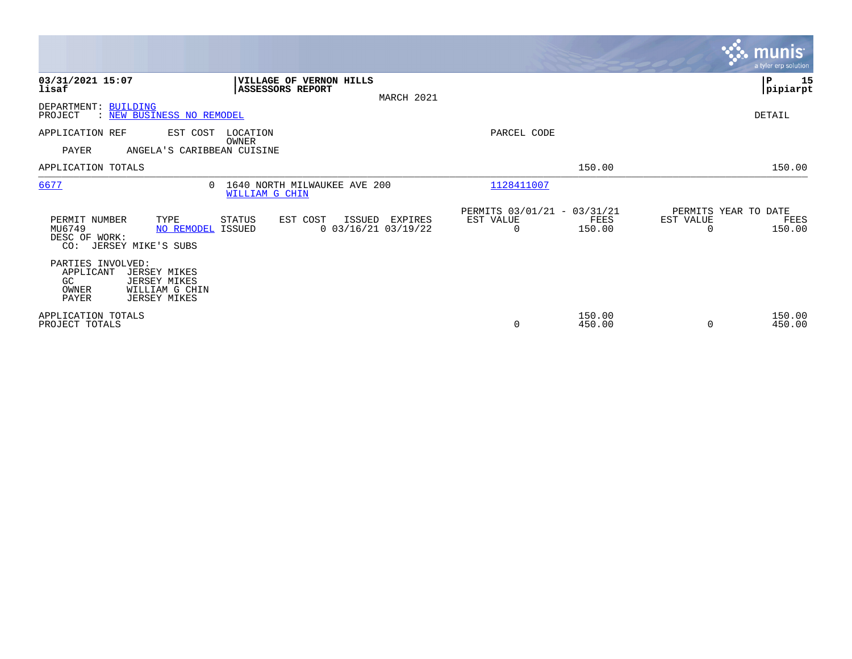|                                                                                                                                                      |                                                                            |                                                      |                                                                 | munis<br>a tyler erp solution |
|------------------------------------------------------------------------------------------------------------------------------------------------------|----------------------------------------------------------------------------|------------------------------------------------------|-----------------------------------------------------------------|-------------------------------|
| 03/31/2021 15:07<br>lisaf                                                                                                                            | VILLAGE OF VERNON HILLS<br><b>ASSESSORS REPORT</b><br>MARCH 2021           |                                                      |                                                                 | P<br>15<br> pipiarpt          |
| <b>BUILDING</b><br>DEPARTMENT:<br>PROJECT<br>: NEW BUSINESS NO REMODEL                                                                               |                                                                            |                                                      |                                                                 | DETAIL                        |
| APPLICATION REF<br>EST COST<br>PAYER<br>ANGELA'S CARIBBEAN CUISINE                                                                                   | LOCATION<br>OWNER                                                          | PARCEL CODE                                          |                                                                 |                               |
| APPLICATION TOTALS                                                                                                                                   |                                                                            |                                                      | 150.00                                                          | 150.00                        |
| 6677                                                                                                                                                 | 1640 NORTH MILWAUKEE AVE 200<br>$\Omega$<br>WILLIAM G CHIN                 | 1128411007                                           |                                                                 |                               |
| PERMIT NUMBER<br>TYPE<br>MU6749<br>NO REMODEL<br>DESC OF WORK:<br>JERSEY MIKE'S SUBS<br>CO:                                                          | EST COST<br>ISSUED<br>EXPIRES<br>STATUS<br>$0$ 03/16/21 03/19/22<br>ISSUED | PERMITS 03/01/21 - 03/31/21<br>EST VALUE<br>$\Omega$ | PERMITS YEAR TO DATE<br>EST VALUE<br>FEES<br>150.00<br>$\Omega$ | FEES<br>150.00                |
| PARTIES INVOLVED:<br>APPLICANT<br><b>JERSEY MIKES</b><br>GC<br><b>JERSEY MIKES</b><br><b>OWNER</b><br>WILLIAM G CHIN<br>PAYER<br><b>JERSEY MIKES</b> |                                                                            |                                                      |                                                                 |                               |
| APPLICATION TOTALS<br>PROJECT TOTALS                                                                                                                 |                                                                            | $\mathbf 0$                                          | 150.00<br>450.00<br>$\Omega$                                    | 150.00<br>450.00              |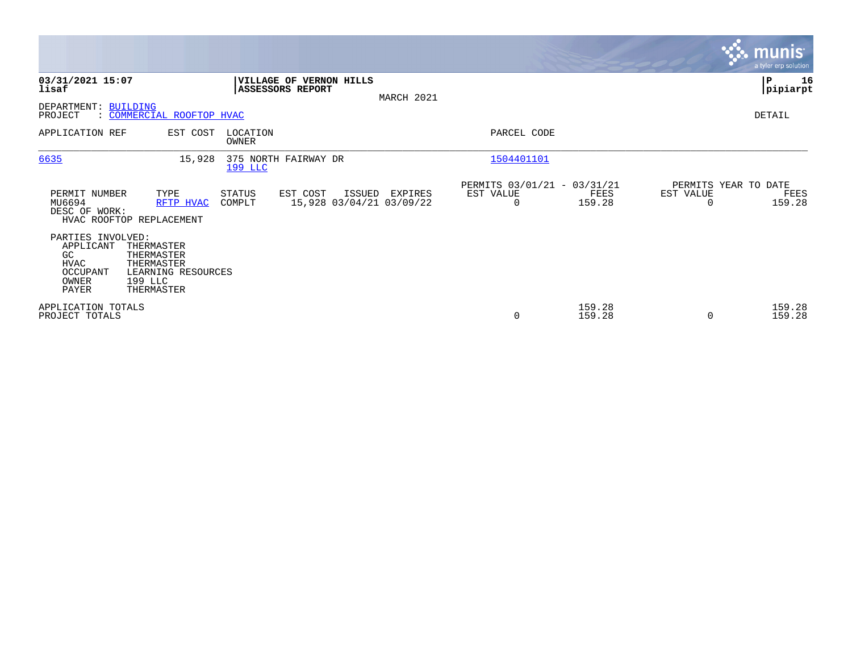|                                                                                   |                                                                                       |                   |                                                    |            |                                               |                  |                       | <b>munis</b><br>a tyler erp solution,  |
|-----------------------------------------------------------------------------------|---------------------------------------------------------------------------------------|-------------------|----------------------------------------------------|------------|-----------------------------------------------|------------------|-----------------------|----------------------------------------|
| 03/31/2021 15:07<br>lisaf                                                         |                                                                                       |                   | <b>VILLAGE OF VERNON HILLS</b><br>ASSESSORS REPORT | MARCH 2021 |                                               |                  |                       | P<br>16<br> pipiarpt                   |
| DEPARTMENT: BUILDING<br>PROJECT                                                   | : COMMERCIAL ROOFTOP HVAC                                                             |                   |                                                    |            |                                               |                  |                       | DETAIL                                 |
| APPLICATION REF                                                                   | EST COST                                                                              | LOCATION<br>OWNER |                                                    |            | PARCEL CODE                                   |                  |                       |                                        |
| 6635                                                                              | 15,928                                                                                | <b>199 LLC</b>    | 375 NORTH FAIRWAY DR                               |            | 1504401101                                    |                  |                       |                                        |
| PERMIT NUMBER<br>MU6694<br>DESC OF WORK:                                          | TYPE<br>RFTP HVAC<br>HVAC ROOFTOP REPLACEMENT                                         | STATUS<br>COMPLT  | EST COST<br>ISSUED<br>15,928 03/04/21 03/09/22     | EXPIRES    | PERMITS 03/01/21 - 03/31/21<br>EST VALUE<br>0 | FEES<br>159.28   | EST VALUE<br>$\Omega$ | PERMITS YEAR TO DATE<br>FEES<br>159.28 |
| PARTIES INVOLVED:<br>APPLICANT<br>GC<br><b>HVAC</b><br>OCCUPANT<br>OWNER<br>PAYER | THERMASTER<br>THERMASTER<br>THERMASTER<br>LEARNING RESOURCES<br>199 LLC<br>THERMASTER |                   |                                                    |            |                                               |                  |                       |                                        |
| APPLICATION TOTALS<br>PROJECT TOTALS                                              |                                                                                       |                   |                                                    |            | 0                                             | 159.28<br>159.28 | $\Omega$              | 159.28<br>159.28                       |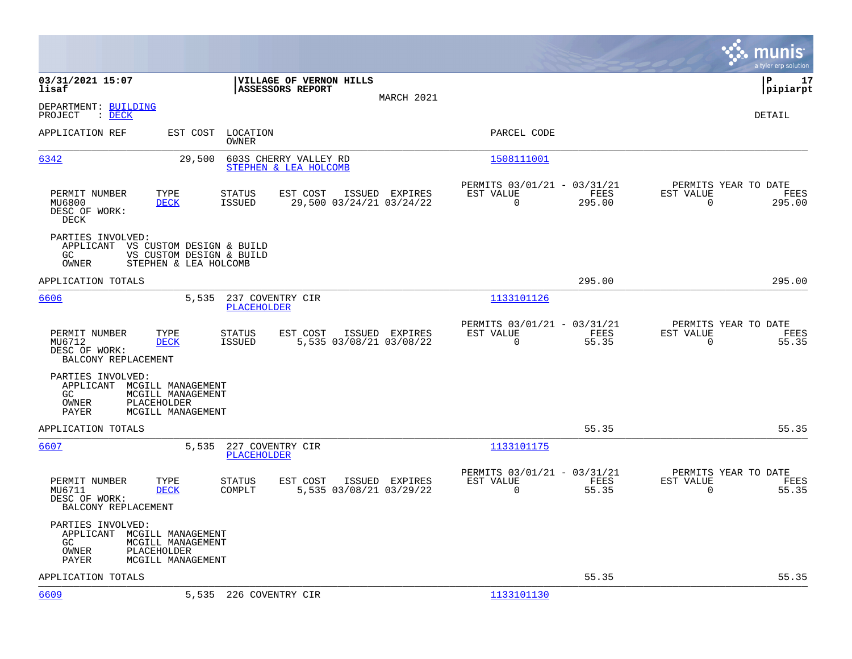|                                                                                                                                    |                                                                                   |                                                                           | munis<br>a tyler erp solution                                      |
|------------------------------------------------------------------------------------------------------------------------------------|-----------------------------------------------------------------------------------|---------------------------------------------------------------------------|--------------------------------------------------------------------|
| 03/31/2021 15:07<br>lisaf                                                                                                          | VILLAGE OF VERNON HILLS<br><b>ASSESSORS REPORT</b><br>MARCH 2021                  |                                                                           | l P<br>17<br> pipiarpt                                             |
| DEPARTMENT: BUILDING<br>PROJECT<br>$\therefore$ DECK                                                                               |                                                                                   |                                                                           | <b>DETAIL</b>                                                      |
| APPLICATION REF                                                                                                                    | EST COST LOCATION<br>OWNER                                                        | PARCEL CODE                                                               |                                                                    |
| 6342                                                                                                                               | 29,500<br>603S CHERRY VALLEY RD<br>STEPHEN & LEA HOLCOMB                          | 1508111001                                                                |                                                                    |
| PERMIT NUMBER<br>TYPE<br>MU6800<br><b>DECK</b><br>DESC OF WORK:<br>DECK                                                            | <b>STATUS</b><br>EST COST<br>ISSUED EXPIRES<br>ISSUED<br>29,500 03/24/21 03/24/22 | PERMITS 03/01/21 - 03/31/21<br>EST VALUE<br>FEES<br>$\mathbf 0$<br>295.00 | PERMITS YEAR TO DATE<br>EST VALUE<br>FEES<br>$\mathbf 0$<br>295.00 |
| PARTIES INVOLVED:<br>APPLICANT VS CUSTOM DESIGN & BUILD<br>GC<br>OWNER<br>STEPHEN & LEA HOLCOMB                                    | VS CUSTOM DESIGN & BUILD                                                          |                                                                           |                                                                    |
| APPLICATION TOTALS                                                                                                                 |                                                                                   | 295.00                                                                    | 295.00                                                             |
| 6606                                                                                                                               | 5,535<br>237 COVENTRY CIR<br><b>PLACEHOLDER</b>                                   | 1133101126                                                                |                                                                    |
| PERMIT NUMBER<br>TYPE<br>MU6712<br><b>DECK</b><br>DESC OF WORK:<br>BALCONY REPLACEMENT                                             | <b>STATUS</b><br>EST COST<br>ISSUED EXPIRES<br>5,535 03/08/21 03/08/22<br>ISSUED  | PERMITS 03/01/21 - 03/31/21<br>EST VALUE<br>FEES<br>$\mathbf 0$<br>55.35  | PERMITS YEAR TO DATE<br>EST VALUE<br>FEES<br>$\mathbf 0$<br>55.35  |
| PARTIES INVOLVED:<br>APPLICANT MCGILL MANAGEMENT<br>GC.<br>MCGILL MANAGEMENT<br>OWNER<br>PLACEHOLDER<br>MCGILL MANAGEMENT<br>PAYER |                                                                                   |                                                                           |                                                                    |
| APPLICATION TOTALS                                                                                                                 |                                                                                   | 55.35                                                                     | 55.35                                                              |
| 6607                                                                                                                               | 227 COVENTRY CIR<br>5,535<br>PLACEHOLDER                                          | 1133101175                                                                |                                                                    |
| PERMIT NUMBER<br>TYPE<br><b>DECK</b><br>MU6711<br>DESC OF WORK:<br>BALCONY REPLACEMENT                                             | STATUS<br>EST COST<br>ISSUED EXPIRES<br>COMPLT<br>5,535 03/08/21 03/29/22         | PERMITS 03/01/21 - 03/31/21<br>FEES<br>EST VALUE<br>$\Omega$<br>55.35     | PERMITS YEAR TO DATE<br>EST VALUE<br>FEES<br>$\Omega$<br>55.35     |
| PARTIES INVOLVED:<br>APPLICANT MCGILL MANAGEMENT<br>GC<br>MCGILL MANAGEMENT<br>OWNER<br>PLACEHOLDER<br>MCGILL MANAGEMENT<br>PAYER  |                                                                                   |                                                                           |                                                                    |
| APPLICATION TOTALS                                                                                                                 |                                                                                   | 55.35                                                                     | 55.35                                                              |
| 6609                                                                                                                               | 5,535 226 COVENTRY CIR                                                            | 1133101130                                                                |                                                                    |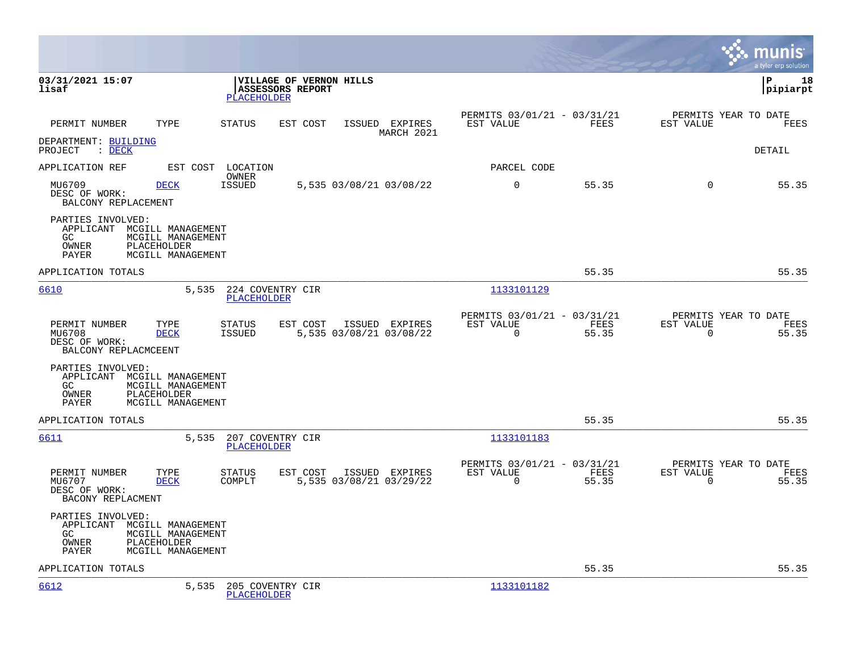|                                                                                                                                             |                                                 |                                                       |                              |                                                            |               |                                                     | munis<br>a tyler erp solution |
|---------------------------------------------------------------------------------------------------------------------------------------------|-------------------------------------------------|-------------------------------------------------------|------------------------------|------------------------------------------------------------|---------------|-----------------------------------------------------|-------------------------------|
| 03/31/2021 15:07<br>lisaf                                                                                                                   | ASSESSORS REPORT<br><b>PLACEHOLDER</b>          | VILLAGE OF VERNON HILLS                               |                              |                                                            |               |                                                     | İΡ<br>18<br> pipiarpt         |
| PERMIT NUMBER<br>TYPE                                                                                                                       | STATUS                                          | EST COST                                              | ISSUED EXPIRES<br>MARCH 2021 | PERMITS 03/01/21 - 03/31/21<br>EST VALUE                   | FEES          | PERMITS YEAR TO DATE<br>EST VALUE                   | FEES                          |
| DEPARTMENT: BUILDING<br>PROJECT : DECK                                                                                                      |                                                 |                                                       |                              |                                                            |               |                                                     | DETAIL                        |
| APPLICATION REF                                                                                                                             | EST COST LOCATION                               |                                                       |                              | PARCEL CODE                                                |               |                                                     |                               |
| MU6709<br><b>DECK</b><br>DESC OF WORK:<br>BALCONY REPLACEMENT                                                                               | OWNER<br><b>ISSUED</b>                          | 5,535 03/08/21 03/08/22                               |                              | $\mathbf 0$                                                | 55.35         | $\Omega$                                            | 55.35                         |
| PARTIES INVOLVED:<br>APPLICANT MCGILL MANAGEMENT<br>GC<br>MCGILL MANAGEMENT<br>OWNER<br>PLACEHOLDER<br>PAYER<br>MCGILL MANAGEMENT           |                                                 |                                                       |                              |                                                            |               |                                                     |                               |
| APPLICATION TOTALS                                                                                                                          |                                                 |                                                       |                              |                                                            | 55.35         |                                                     | 55.35                         |
| 6610                                                                                                                                        | 224 COVENTRY CIR<br>5,535<br>PLACEHOLDER        |                                                       |                              | 1133101129                                                 |               |                                                     |                               |
| PERMIT NUMBER<br>TYPE<br>MU6708<br><b>DECK</b><br>DESC OF WORK:<br>BALCONY REPLACMCEENT                                                     | STATUS<br>ISSUED                                | EST COST<br>5,535 03/08/21 03/08/22                   | ISSUED EXPIRES               | PERMITS 03/01/21 - 03/31/21<br>EST VALUE<br>$\mathbf 0$    | FEES<br>55.35 | PERMITS YEAR TO DATE<br>EST VALUE<br>$\overline{0}$ | FEES<br>55.35                 |
| PARTIES INVOLVED:<br>APPLICANT<br>MCGILL MANAGEMENT<br>MCGILL MANAGEMENT<br>GC<br><b>PLACEHOLDER</b><br>OWNER<br>PAYER<br>MCGILL MANAGEMENT |                                                 |                                                       |                              |                                                            |               |                                                     |                               |
| APPLICATION TOTALS                                                                                                                          |                                                 |                                                       |                              |                                                            | 55.35         |                                                     | 55.35                         |
| 6611                                                                                                                                        | 5,535<br>207 COVENTRY CIR<br><b>PLACEHOLDER</b> |                                                       |                              | 1133101183                                                 |               |                                                     |                               |
| PERMIT NUMBER<br>TYPE<br><b>DECK</b><br>MU6707<br>DESC OF WORK:<br>BACONY REPLACMENT                                                        | STATUS<br>COMPLT                                | EST COST<br>ISSUED EXPIRES<br>5,535 03/08/21 03/29/22 |                              | PERMITS 03/01/21 - 03/31/21<br>EST VALUE<br>$\overline{0}$ | FEES<br>55.35 | PERMITS YEAR TO DATE<br>EST VALUE<br>$\overline{0}$ | FEES<br>55.35                 |
| PARTIES INVOLVED:<br>APPLICANT MCGILL MANAGEMENT<br>GC<br>MCGILL MANAGEMENT<br>PLACEHOLDER<br>OWNER<br>MCGILL MANAGEMENT<br>PAYER           |                                                 |                                                       |                              |                                                            |               |                                                     |                               |
| APPLICATION TOTALS                                                                                                                          |                                                 |                                                       |                              |                                                            | 55.35         |                                                     | 55.35                         |
| 6612                                                                                                                                        | 205 COVENTRY CIR<br>5,535<br>PLACEHOLDER        |                                                       |                              | 1133101182                                                 |               |                                                     |                               |

**College**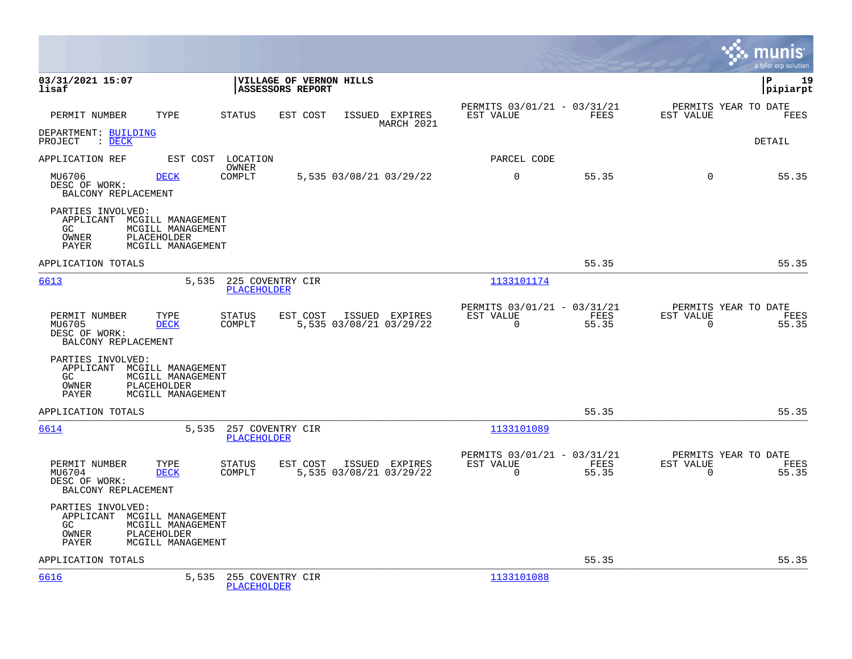|                                                                                                                                           |                                                 |                                                           |                                           |                                                         |               |                                                  | munis<br>a tyler erp solution |
|-------------------------------------------------------------------------------------------------------------------------------------------|-------------------------------------------------|-----------------------------------------------------------|-------------------------------------------|---------------------------------------------------------|---------------|--------------------------------------------------|-------------------------------|
| 03/31/2021 15:07<br>lisaf                                                                                                                 |                                                 | <b>VILLAGE OF VERNON HILLS</b><br><b>ASSESSORS REPORT</b> |                                           |                                                         |               |                                                  | l P<br>19<br> pipiarpt        |
| TYPE<br>PERMIT NUMBER                                                                                                                     | STATUS                                          | EST COST                                                  | ISSUED EXPIRES<br>MARCH 2021              | PERMITS 03/01/21 - 03/31/21<br>EST VALUE                | <b>FEES</b>   | PERMITS YEAR TO DATE<br>EST VALUE                | FEES                          |
| DEPARTMENT: BUILDING<br>$\mathcal{L}$ : DECK<br>PROJECT                                                                                   |                                                 |                                                           |                                           |                                                         |               |                                                  | <b>DETAIL</b>                 |
| APPLICATION REF<br>EST COST                                                                                                               | LOCATION<br>OWNER                               |                                                           |                                           | PARCEL CODE                                             |               |                                                  |                               |
| MU6706<br><b>DECK</b><br>DESC OF WORK:<br>BALCONY REPLACEMENT                                                                             | COMPLT                                          |                                                           | 5,535 03/08/21 03/29/22                   | $\mathbf 0$                                             | 55.35         | $\Omega$                                         | 55.35                         |
| PARTIES INVOLVED:<br>APPLICANT MCGILL MANAGEMENT<br>GC<br>MCGILL MANAGEMENT<br>OWNER<br>PLACEHOLDER<br>PAYER<br>MCGILL MANAGEMENT         |                                                 |                                                           |                                           |                                                         |               |                                                  |                               |
| APPLICATION TOTALS                                                                                                                        |                                                 |                                                           |                                           |                                                         | 55.35         |                                                  | 55.35                         |
| 6613                                                                                                                                      | 5,535<br>225 COVENTRY CIR<br><b>PLACEHOLDER</b> |                                                           |                                           | 1133101174                                              |               |                                                  |                               |
| PERMIT NUMBER<br>TYPE<br>MU6705<br><b>DECK</b><br>DESC OF WORK:<br>BALCONY REPLACEMENT                                                    | <b>STATUS</b><br>COMPLT                         | EST COST                                                  | ISSUED EXPIRES<br>5,535 03/08/21 03/29/22 | PERMITS 03/01/21 - 03/31/21<br>EST VALUE<br>$\Omega$    | FEES<br>55.35 | PERMITS YEAR TO DATE<br>EST VALUE<br>$\Omega$    | FEES<br>55.35                 |
| PARTIES INVOLVED:<br>APPLICANT MCGILL MANAGEMENT<br>GC.<br>MCGILL MANAGEMENT<br>OWNER<br><b>PLACEHOLDER</b><br>PAYER<br>MCGILL MANAGEMENT |                                                 |                                                           |                                           |                                                         |               |                                                  |                               |
| APPLICATION TOTALS                                                                                                                        |                                                 |                                                           |                                           |                                                         | 55.35         |                                                  | 55.35                         |
| 6614                                                                                                                                      | 5,535<br>257 COVENTRY CIR<br><b>PLACEHOLDER</b> |                                                           |                                           | 1133101089                                              |               |                                                  |                               |
| PERMIT NUMBER<br>TYPE<br>MU6704<br><b>DECK</b><br>DESC OF WORK:<br>BALCONY REPLACEMENT                                                    | <b>STATUS</b><br>COMPLT                         | EST COST                                                  | ISSUED EXPIRES<br>5,535 03/08/21 03/29/22 | PERMITS 03/01/21 - 03/31/21<br>EST VALUE<br>$\mathbf 0$ | FEES<br>55.35 | PERMITS YEAR TO DATE<br>EST VALUE<br>$\mathbf 0$ | FEES<br>55.35                 |
| PARTIES INVOLVED:<br>APPLICANT MCGILL MANAGEMENT<br>MCGILL MANAGEMENT<br>GC.<br>OWNER<br><b>PLACEHOLDER</b><br>PAYER<br>MCGILL MANAGEMENT |                                                 |                                                           |                                           |                                                         |               |                                                  |                               |
| APPLICATION TOTALS                                                                                                                        |                                                 |                                                           |                                           |                                                         | 55.35         |                                                  | 55.35                         |
| 6616                                                                                                                                      | 5,535<br>255 COVENTRY CIR<br>PLACEHOLDER        |                                                           |                                           | 1133101088                                              |               |                                                  |                               |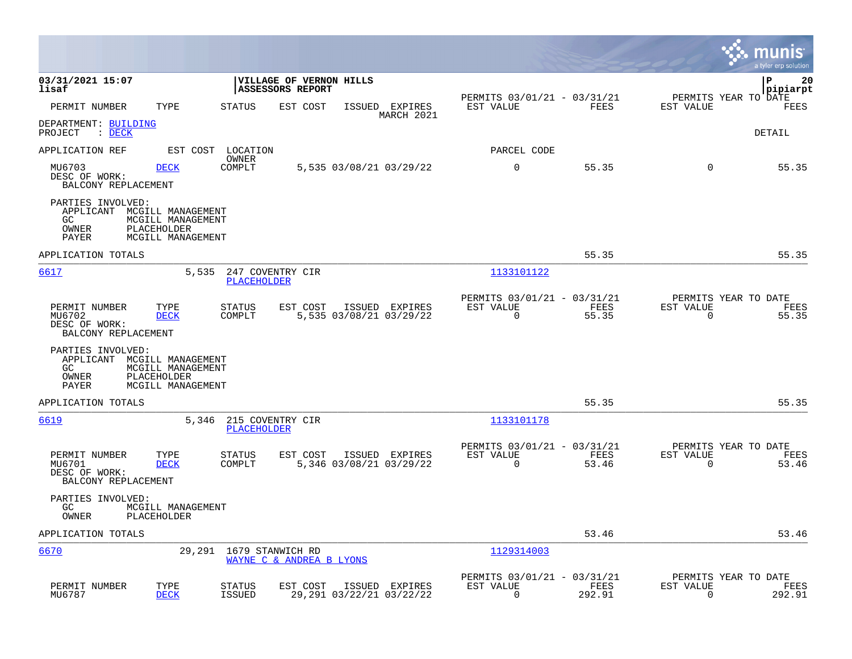|                                                                                          |                                        |                                 |                                                           |                                            |                                                            |                |                                                  | munis<br>a tyler erp solution |
|------------------------------------------------------------------------------------------|----------------------------------------|---------------------------------|-----------------------------------------------------------|--------------------------------------------|------------------------------------------------------------|----------------|--------------------------------------------------|-------------------------------|
| 03/31/2021 15:07<br>lisaf                                                                |                                        |                                 | <b>VILLAGE OF VERNON HILLS</b><br><b>ASSESSORS REPORT</b> |                                            |                                                            |                |                                                  | ΙP<br>20<br> pipiarpt         |
| PERMIT NUMBER                                                                            | TYPE                                   | <b>STATUS</b>                   | EST COST                                                  | ISSUED EXPIRES                             | PERMITS 03/01/21 - 03/31/21<br>EST VALUE                   | FEES           | PERMITS YEAR TO DATE<br>EST VALUE                | FEES                          |
| DEPARTMENT: BUILDING<br>PROJECT<br>$\mathrel{\mathop:}\nolimits$ DECK                    |                                        |                                 |                                                           | MARCH 2021                                 |                                                            |                |                                                  | DETAIL                        |
| APPLICATION REF                                                                          |                                        | EST COST LOCATION               |                                                           |                                            | PARCEL CODE                                                |                |                                                  |                               |
| MU6703<br>DESC OF WORK:<br>BALCONY REPLACEMENT                                           | <b>DECK</b>                            | OWNER<br>COMPLT                 |                                                           | 5,535 03/08/21 03/29/22                    | $\mathbf 0$                                                | 55.35          | $\Omega$                                         | 55.35                         |
| PARTIES INVOLVED:<br>APPLICANT MCGILL MANAGEMENT<br>GC.<br>OWNER<br>PLACEHOLDER<br>PAYER | MCGILL MANAGEMENT<br>MCGILL MANAGEMENT |                                 |                                                           |                                            |                                                            |                |                                                  |                               |
| APPLICATION TOTALS                                                                       |                                        |                                 |                                                           |                                            |                                                            | 55.35          |                                                  | 55.35                         |
| 6617                                                                                     | 5,535                                  | 247 COVENTRY CIR<br>PLACEHOLDER |                                                           |                                            | 1133101122                                                 |                |                                                  |                               |
| PERMIT NUMBER<br>MU6702<br>DESC OF WORK:<br>BALCONY REPLACEMENT                          | TYPE<br><b>DECK</b>                    | STATUS<br>COMPLT                | EST COST                                                  | ISSUED EXPIRES<br>5,535 03/08/21 03/29/22  | PERMITS 03/01/21 - 03/31/21<br>EST VALUE<br>$\overline{0}$ | FEES<br>55.35  | PERMITS YEAR TO DATE<br>EST VALUE<br>$\mathbf 0$ | FEES<br>55.35                 |
| PARTIES INVOLVED:<br>APPLICANT MCGILL MANAGEMENT<br>GC.<br>OWNER<br>PLACEHOLDER<br>PAYER | MCGILL MANAGEMENT<br>MCGILL MANAGEMENT |                                 |                                                           |                                            |                                                            |                |                                                  |                               |
| APPLICATION TOTALS                                                                       |                                        |                                 |                                                           |                                            |                                                            | 55.35          |                                                  | 55.35                         |
| 6619                                                                                     | 5,346                                  | 215 COVENTRY CIR<br>PLACEHOLDER |                                                           |                                            | 1133101178                                                 |                |                                                  |                               |
| PERMIT NUMBER<br>MU6701<br>DESC OF WORK:<br>BALCONY REPLACEMENT                          | TYPE<br><b>DECK</b>                    | STATUS<br>COMPLT                | EST COST                                                  | ISSUED EXPIRES<br>5,346 03/08/21 03/29/22  | PERMITS 03/01/21 - 03/31/21<br>EST VALUE<br>$\mathbf 0$    | FEES<br>53.46  | PERMITS YEAR TO DATE<br>EST VALUE<br>$\mathbf 0$ | FEES<br>53.46                 |
| PARTIES INVOLVED:<br>GC<br>OWNER<br>PLACEHOLDER                                          | MCGILL MANAGEMENT                      |                                 |                                                           |                                            |                                                            |                |                                                  |                               |
| APPLICATION TOTALS                                                                       |                                        |                                 |                                                           |                                            |                                                            | 53.46          |                                                  | 53.46                         |
| 6670                                                                                     |                                        | 29,291 1679 STANWICH RD         | WAYNE C & ANDREA B LYONS                                  |                                            | 1129314003                                                 |                |                                                  |                               |
| PERMIT NUMBER<br>MU6787                                                                  | TYPE<br><b>DECK</b>                    | <b>STATUS</b><br><b>ISSUED</b>  | EST COST                                                  | ISSUED EXPIRES<br>29,291 03/22/21 03/22/22 | PERMITS 03/01/21 - 03/31/21<br>EST VALUE<br>$\mathbf 0$    | FEES<br>292.91 | PERMITS YEAR TO DATE<br>EST VALUE<br>$\mathbf 0$ | FEES<br>292.91                |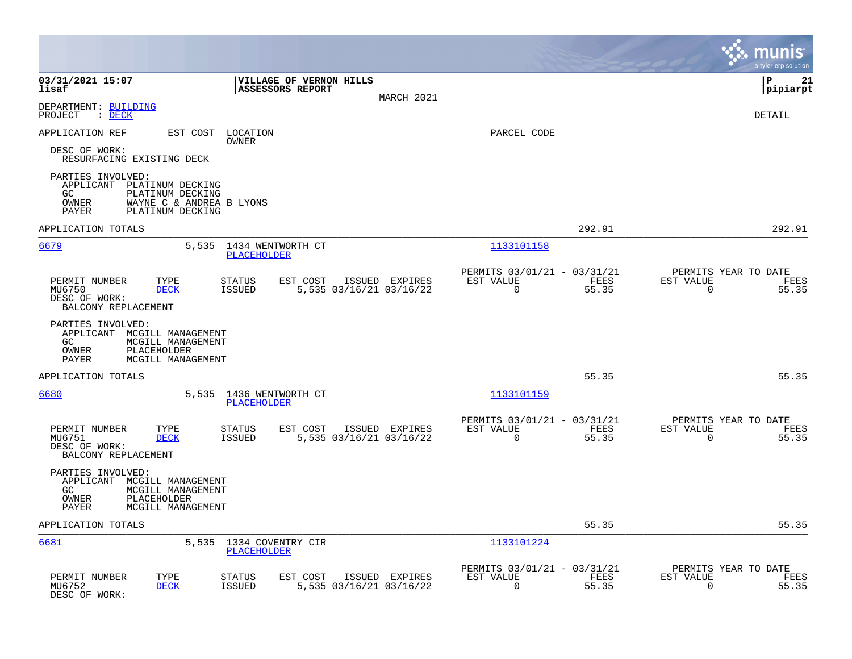|                                                                                                                                              |                                                                                         |                                                                          | munis<br>a tyler erp solution                                        |
|----------------------------------------------------------------------------------------------------------------------------------------------|-----------------------------------------------------------------------------------------|--------------------------------------------------------------------------|----------------------------------------------------------------------|
| 03/31/2021 15:07<br>lisaf                                                                                                                    | VILLAGE OF VERNON HILLS<br>ASSESSORS REPORT<br>MARCH 2021                               |                                                                          | l P<br>21<br> pipiarpt                                               |
| DEPARTMENT: BUILDING<br>PROJECT<br>$\therefore$ DECK                                                                                         |                                                                                         |                                                                          | DETAIL                                                               |
| APPLICATION REF<br>EST COST                                                                                                                  | LOCATION<br>OWNER                                                                       | PARCEL CODE                                                              |                                                                      |
| DESC OF WORK:<br>RESURFACING EXISTING DECK                                                                                                   |                                                                                         |                                                                          |                                                                      |
| PARTIES INVOLVED:<br>APPLICANT PLATINUM DECKING<br>GC.<br>PLATINUM DECKING<br>WAYNE C & ANDREA B LYONS<br>OWNER<br>PLATINUM DECKING<br>PAYER |                                                                                         |                                                                          |                                                                      |
| APPLICATION TOTALS                                                                                                                           |                                                                                         | 292.91                                                                   | 292.91                                                               |
| 6679<br>5,535                                                                                                                                | 1434 WENTWORTH CT<br><b>PLACEHOLDER</b>                                                 | 1133101158                                                               |                                                                      |
| PERMIT NUMBER<br>TYPE<br>MU6750<br><b>DECK</b><br>DESC OF WORK:<br>BALCONY REPLACEMENT                                                       | <b>STATUS</b><br>EST COST<br>ISSUED EXPIRES<br><b>ISSUED</b><br>5,535 03/16/21 03/16/22 | PERMITS 03/01/21 - 03/31/21<br>EST VALUE<br>FEES<br>$\Omega$<br>55.35    | PERMITS YEAR TO DATE<br>EST VALUE<br>FEES<br>$\Omega$<br>55.35       |
| PARTIES INVOLVED:<br>APPLICANT MCGILL MANAGEMENT<br>GC<br>MCGILL MANAGEMENT<br>OWNER<br>PLACEHOLDER<br>PAYER<br>MCGILL MANAGEMENT            |                                                                                         |                                                                          |                                                                      |
| APPLICATION TOTALS                                                                                                                           |                                                                                         | 55.35                                                                    | 55.35                                                                |
| 6680<br>5,535                                                                                                                                | 1436 WENTWORTH CT<br><b>PLACEHOLDER</b>                                                 | 1133101159                                                               |                                                                      |
| PERMIT NUMBER<br>TYPE<br>MU6751<br><b>DECK</b><br>DESC OF WORK:<br>BALCONY REPLACEMENT                                                       | <b>STATUS</b><br>EST COST<br>ISSUED EXPIRES<br><b>ISSUED</b><br>5,535 03/16/21 03/16/22 | PERMITS 03/01/21 - 03/31/21<br>EST VALUE<br>FEES<br>$\mathbf 0$<br>55.35 | PERMITS YEAR TO DATE<br>EST VALUE<br>FEES<br>$\mathbf 0$<br>55.35    |
| PARTIES INVOLVED:<br>APPLICANT MCGILL MANAGEMENT<br>GC<br>MCGILL MANAGEMENT<br>OWNER<br>PLACEHOLDER<br><b>PAYER</b><br>MCGILL MANAGEMENT     |                                                                                         |                                                                          |                                                                      |
| APPLICATION TOTALS                                                                                                                           |                                                                                         | 55.35                                                                    | 55.35                                                                |
| 6681                                                                                                                                         | 5,535 1334 COVENTRY CIR<br><b>PLACEHOLDER</b>                                           | 1133101224                                                               |                                                                      |
| PERMIT NUMBER<br>TYPE<br><b>DECK</b><br>MU6752<br>DESC OF WORK:                                                                              | <b>STATUS</b><br>EST COST<br>ISSUED EXPIRES<br><b>ISSUED</b><br>5,535 03/16/21 03/16/22 | PERMITS 03/01/21 - 03/31/21<br>EST VALUE<br>FEES<br>$\mathbf 0$<br>55.35 | PERMITS YEAR TO DATE<br>EST VALUE<br>FEES<br>$\overline{0}$<br>55.35 |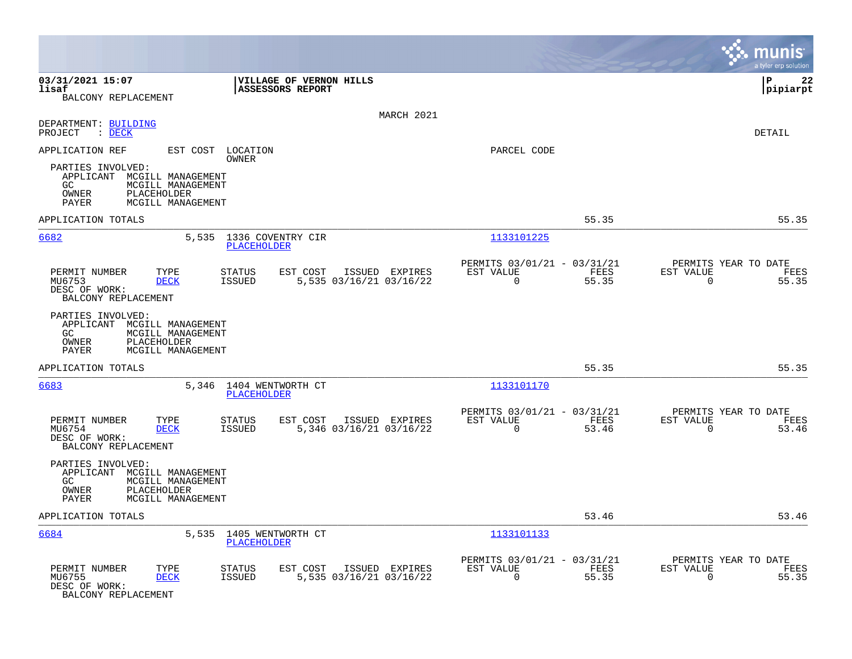|                                                                                                                                                                                     | munis<br>a tyler erp solution                                                                                                                    |
|-------------------------------------------------------------------------------------------------------------------------------------------------------------------------------------|--------------------------------------------------------------------------------------------------------------------------------------------------|
| 03/31/2021 15:07<br>VILLAGE OF VERNON HILLS<br>lisaf<br>ASSESSORS REPORT<br>BALCONY REPLACEMENT                                                                                     | lР<br>22<br> pipiarpt                                                                                                                            |
| MARCH 2021<br>DEPARTMENT: BUILDING<br>: DECK<br>PROJECT                                                                                                                             | DETAIL                                                                                                                                           |
| APPLICATION REF<br>EST COST LOCATION<br>OWNER<br>PARTIES INVOLVED:<br>APPLICANT MCGILL MANAGEMENT<br>MCGILL MANAGEMENT<br>GC.<br>PLACEHOLDER<br>OWNER<br>PAYER<br>MCGILL MANAGEMENT | PARCEL CODE                                                                                                                                      |
| APPLICATION TOTALS                                                                                                                                                                  | 55.35<br>55.35                                                                                                                                   |
| 6682<br>5,535<br>1336 COVENTRY CIR<br>PLACEHOLDER                                                                                                                                   | 1133101225                                                                                                                                       |
| PERMIT NUMBER<br><b>STATUS</b><br>EST COST<br>TYPE<br>ISSUED EXPIRES<br>5,535 03/16/21 03/16/22<br>MU6753<br><b>DECK</b><br><b>ISSUED</b><br>DESC OF WORK:<br>BALCONY REPLACEMENT   | PERMITS 03/01/21 - 03/31/21<br>PERMITS YEAR TO DATE<br>EST VALUE<br>FEES<br>EST VALUE<br>FEES<br>$\Omega$<br>55.35<br>$\mathbf 0$<br>55.35       |
| PARTIES INVOLVED:<br>APPLICANT MCGILL MANAGEMENT<br>GC<br>MCGILL MANAGEMENT<br>OWNER<br>PLACEHOLDER<br>PAYER<br>MCGILL MANAGEMENT                                                   |                                                                                                                                                  |
| APPLICATION TOTALS                                                                                                                                                                  | 55.35<br>55.35                                                                                                                                   |
| 6683<br>5,346 1404 WENTWORTH CT<br>PLACEHOLDER                                                                                                                                      | 1133101170                                                                                                                                       |
| PERMIT NUMBER<br>TYPE<br><b>STATUS</b><br>EST COST<br>ISSUED EXPIRES<br>5,346 03/16/21 03/16/22<br>MU6754<br>DECK<br>ISSUED<br>DESC OF WORK:<br>BALCONY REPLACEMENT                 | PERMITS 03/01/21 - 03/31/21<br>PERMITS YEAR TO DATE<br>EST VALUE<br>FEES<br>EST VALUE<br>FEES<br>$\mathbf 0$<br>53.46<br>$\overline{0}$<br>53.46 |
| PARTIES INVOLVED:<br>APPLICANT MCGILL MANAGEMENT<br>GC.<br>MCGILL MANAGEMENT<br>OWNER<br>PLACEHOLDER<br>PAYER<br>MCGILL MANAGEMENT                                                  |                                                                                                                                                  |
| APPLICATION TOTALS                                                                                                                                                                  | 53.46<br>53.46                                                                                                                                   |
| 6684<br>5,535 1405 WENTWORTH CT<br>PLACEHOLDER                                                                                                                                      | 1133101133                                                                                                                                       |
| EST COST<br>PERMIT NUMBER<br>TYPE<br>STATUS<br>ISSUED EXPIRES<br>MU6755<br><b>DECK</b><br><b>ISSUED</b><br>5,535 03/16/21 03/16/22<br>DESC OF WORK:<br>BALCONY REPLACEMENT          | PERMITS 03/01/21 - 03/31/21<br>PERMITS YEAR TO DATE<br>EST VALUE<br>EST VALUE<br>FEES<br>FEES<br>$\Omega$<br>55.35<br>$\mathbf 0$<br>55.35       |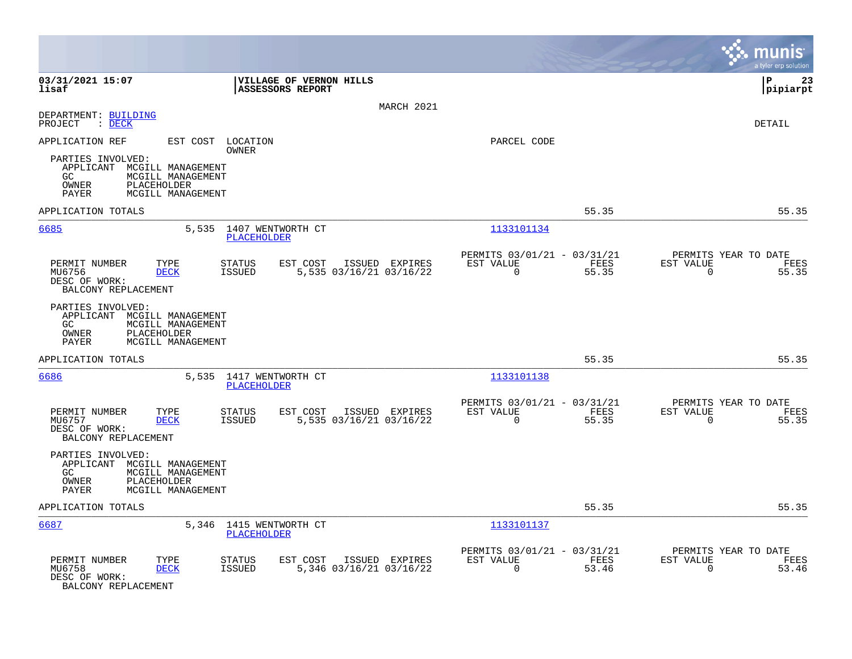|                                                                                                                                    |                                                                                         |                                                                          | a tyler erp solution                                              |
|------------------------------------------------------------------------------------------------------------------------------------|-----------------------------------------------------------------------------------------|--------------------------------------------------------------------------|-------------------------------------------------------------------|
| 03/31/2021 15:07<br>lisaf                                                                                                          | VILLAGE OF VERNON HILLS<br>ASSESSORS REPORT                                             |                                                                          | l P<br>23<br> pipiarpt                                            |
|                                                                                                                                    |                                                                                         | MARCH 2021                                                               |                                                                   |
| DEPARTMENT: BUILDING<br>PROJECT<br>$\mathcal{L}$ : DECK                                                                            |                                                                                         |                                                                          | DETAIL                                                            |
| APPLICATION REF                                                                                                                    | EST COST LOCATION<br><b>OWNER</b>                                                       | PARCEL CODE                                                              |                                                                   |
| PARTIES INVOLVED:<br>APPLICANT MCGILL MANAGEMENT<br>GC<br>MCGILL MANAGEMENT<br>OWNER<br>PLACEHOLDER<br>MCGILL MANAGEMENT<br>PAYER  |                                                                                         |                                                                          |                                                                   |
| APPLICATION TOTALS                                                                                                                 |                                                                                         | 55.35                                                                    | 55.35                                                             |
| 6685                                                                                                                               | 5,535 1407 WENTWORTH CT<br><b>PLACEHOLDER</b>                                           | 1133101134                                                               |                                                                   |
| PERMIT NUMBER<br>TYPE<br>MU6756<br><b>DECK</b><br>DESC OF WORK:<br>BALCONY REPLACEMENT                                             | EST COST<br>ISSUED EXPIRES<br><b>STATUS</b><br><b>ISSUED</b><br>5,535 03/16/21 03/16/22 | PERMITS 03/01/21 - 03/31/21<br>EST VALUE<br>FEES<br>$\Omega$<br>55.35    | PERMITS YEAR TO DATE<br>EST VALUE<br>FEES<br>$\Omega$<br>55.35    |
| PARTIES INVOLVED:<br>APPLICANT MCGILL MANAGEMENT<br>GC<br>MCGILL MANAGEMENT<br>PLACEHOLDER<br>OWNER<br>MCGILL MANAGEMENT<br>PAYER  |                                                                                         |                                                                          |                                                                   |
| APPLICATION TOTALS                                                                                                                 |                                                                                         | 55.35                                                                    | 55.35                                                             |
| 6686                                                                                                                               | 5,535 1417 WENTWORTH CT<br><b>PLACEHOLDER</b>                                           | 1133101138                                                               |                                                                   |
| PERMIT NUMBER<br>TYPE<br>MU6757<br><b>DECK</b><br>DESC OF WORK:<br>BALCONY REPLACEMENT                                             | <b>STATUS</b><br>EST COST<br>ISSUED EXPIRES<br><b>ISSUED</b><br>5,535 03/16/21 03/16/22 | PERMITS 03/01/21 - 03/31/21<br>EST VALUE<br>FEES<br>$\Omega$<br>55.35    | PERMITS YEAR TO DATE<br>EST VALUE<br>FEES<br>55.35<br>$\Omega$    |
| PARTIES INVOLVED:<br>APPLICANT MCGILL MANAGEMENT<br>GC.<br>MCGILL MANAGEMENT<br>PLACEHOLDER<br>OWNER<br>PAYER<br>MCGILL MANAGEMENT |                                                                                         |                                                                          |                                                                   |
| APPLICATION TOTALS                                                                                                                 |                                                                                         | 55.35                                                                    | 55.35                                                             |
| 6687                                                                                                                               | 5,346 1415 WENTWORTH CT<br><b>PLACEHOLDER</b>                                           | 1133101137                                                               |                                                                   |
| PERMIT NUMBER<br>TYPE<br>MU6758<br><b>DECK</b><br>DESC OF WORK:<br>BALCONY REPLACEMENT                                             | <b>STATUS</b><br>EST COST<br>ISSUED EXPIRES<br><b>ISSUED</b><br>5,346 03/16/21 03/16/22 | PERMITS 03/01/21 - 03/31/21<br>EST VALUE<br>FEES<br>$\mathbf 0$<br>53.46 | PERMITS YEAR TO DATE<br>EST VALUE<br>FEES<br>$\mathbf 0$<br>53.46 |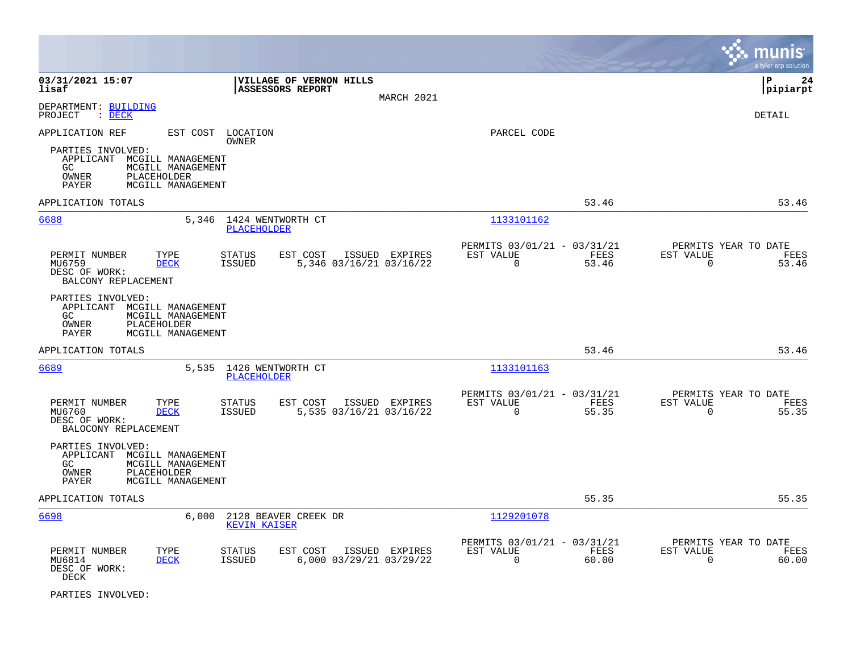|                                                                                                                                                                  |                                                                                                                                                   | munis<br>a tyler erp solution |
|------------------------------------------------------------------------------------------------------------------------------------------------------------------|---------------------------------------------------------------------------------------------------------------------------------------------------|-------------------------------|
| 03/31/2021 15:07<br>VILLAGE OF VERNON HILLS<br><b>ASSESSORS REPORT</b><br>lisaf                                                                                  | MARCH 2021                                                                                                                                        | l P<br>24<br> pipiarpt        |
| DEPARTMENT: BUILDING<br>PROJECT<br>$\mathcal{L}$ : DECK                                                                                                          |                                                                                                                                                   | <b>DETAIL</b>                 |
| APPLICATION REF<br>EST COST LOCATION<br>OWNER                                                                                                                    | PARCEL CODE                                                                                                                                       |                               |
| PARTIES INVOLVED:<br>APPLICANT MCGILL MANAGEMENT<br>GC<br>MCGILL MANAGEMENT<br>PLACEHOLDER<br>OWNER<br>MCGILL MANAGEMENT<br>PAYER                                |                                                                                                                                                   |                               |
| APPLICATION TOTALS                                                                                                                                               | 53.46                                                                                                                                             | 53.46                         |
| 1424 WENTWORTH CT<br>6688<br>5,346<br><b>PLACEHOLDER</b>                                                                                                         | 1133101162                                                                                                                                        |                               |
| EST COST<br>PERMIT NUMBER<br>TYPE<br><b>STATUS</b><br>5,346 03/16/21 03/16/22<br>MU6759<br><b>DECK</b><br><b>ISSUED</b><br>DESC OF WORK:<br>BALCONY REPLACEMENT  | PERMITS 03/01/21 - 03/31/21<br>PERMITS YEAR TO DATE<br>ISSUED EXPIRES<br>EST VALUE<br>FEES<br>EST VALUE<br>$\Omega$<br>53.46<br>$\Omega$          | FEES<br>53.46                 |
| PARTIES INVOLVED:<br>APPLICANT MCGILL MANAGEMENT<br>MCGILL MANAGEMENT<br>GC<br>PLACEHOLDER<br>OWNER<br>MCGILL MANAGEMENT<br><b>PAYER</b>                         |                                                                                                                                                   |                               |
| APPLICATION TOTALS                                                                                                                                               | 53.46                                                                                                                                             | 53.46                         |
| 6689<br>5,535 1426 WENTWORTH CT<br><b>PLACEHOLDER</b>                                                                                                            | 1133101163                                                                                                                                        |                               |
| PERMIT NUMBER<br>TYPE<br><b>STATUS</b><br>EST COST<br>5,535 03/16/21 03/16/22<br>MU6760<br><b>DECK</b><br><b>ISSUED</b><br>DESC OF WORK:<br>BALOCONY REPLACEMENT | PERMITS 03/01/21 - 03/31/21<br>PERMITS YEAR TO DATE<br>EST VALUE<br>ISSUED EXPIRES<br>FEES<br>EST VALUE<br>$\mathbf 0$<br>55.35<br>$\overline{0}$ | FEES<br>55.35                 |
| PARTIES INVOLVED:<br>APPLICANT MCGILL MANAGEMENT<br>GC<br>MCGILL MANAGEMENT<br><b>PLACEHOLDER</b><br>OWNER<br>MCGILL MANAGEMENT<br><b>PAYER</b>                  |                                                                                                                                                   |                               |
| APPLICATION TOTALS                                                                                                                                               | 55.35                                                                                                                                             | 55.35                         |
| 6698<br>6,000<br>2128 BEAVER CREEK DR<br><b>KEVIN KAISER</b>                                                                                                     | 1129201078                                                                                                                                        |                               |
| PERMIT NUMBER<br>TYPE<br>STATUS<br>EST COST<br>6,000 03/29/21 03/29/22<br><b>DECK</b><br><b>ISSUED</b><br>MU6814<br>DESC OF WORK:<br>DECK                        | PERMITS 03/01/21 - 03/31/21<br>PERMITS YEAR TO DATE<br>EST VALUE<br>FEES<br>EST VALUE<br>ISSUED EXPIRES<br>$\Omega$<br>60.00<br>$\Omega$          | FEES<br>60.00                 |

PARTIES INVOLVED: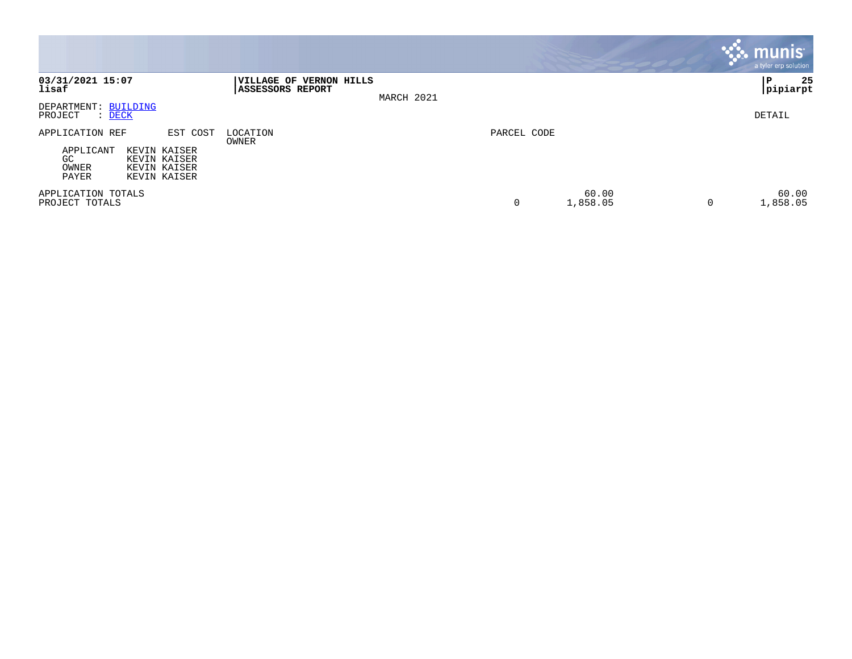|                                                      |                                                                          |                                             |            |             |                        | munis <sup>®</sup><br>a tyler erp solution |
|------------------------------------------------------|--------------------------------------------------------------------------|---------------------------------------------|------------|-------------|------------------------|--------------------------------------------|
| 03/31/2021 15:07<br>lisaf                            |                                                                          | VILLAGE OF VERNON HILLS<br>ASSESSORS REPORT | MARCH 2021 |             |                        | 25<br>l P<br> pipiarpt                     |
| DEPARTMENT: BUILDING<br>PROJECT<br>: <u>DECK</u>     |                                                                          |                                             |            |             |                        | DETAIL                                     |
| APPLICATION REF<br>APPLICANT<br>GC<br>OWNER<br>PAYER | EST COST<br>KEVIN KAISER<br>KEVIN KAISER<br>KEVIN KAISER<br>KEVIN KAISER | LOCATION<br>OWNER                           |            | PARCEL CODE |                        |                                            |
| APPLICATION TOTALS<br>PROJECT TOTALS                 |                                                                          |                                             |            | 0           | 60.00<br>1,858.05<br>0 | 60.00<br>1,858.05                          |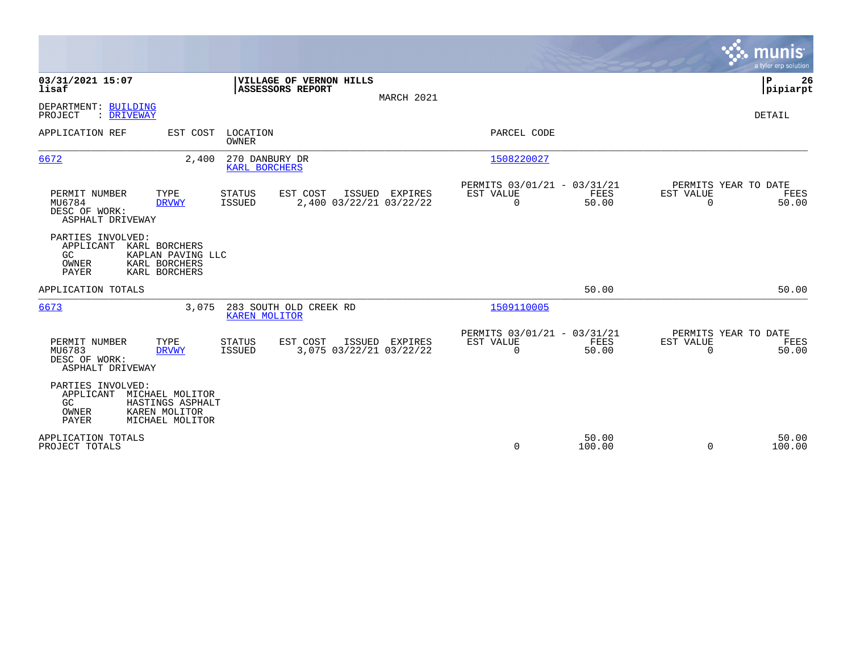|                                                               |                                                                         |                                 |                                             |                |                                                      |                 |                          | munis<br>a tyler erp solution         |
|---------------------------------------------------------------|-------------------------------------------------------------------------|---------------------------------|---------------------------------------------|----------------|------------------------------------------------------|-----------------|--------------------------|---------------------------------------|
| 03/31/2021 15:07<br>lisaf                                     |                                                                         |                                 | VILLAGE OF VERNON HILLS<br>ASSESSORS REPORT |                |                                                      |                 |                          | ΙP<br>26<br> pipiarpt                 |
| DEPARTMENT: BUILDING<br>: DRIVEWAY<br>PROJECT                 |                                                                         |                                 |                                             | MARCH 2021     |                                                      |                 |                          | DETAIL                                |
| APPLICATION REF                                               | EST COST                                                                | LOCATION<br><b>OWNER</b>        |                                             |                | PARCEL CODE                                          |                 |                          |                                       |
| 6672                                                          | 2,400                                                                   | 270 DANBURY DR<br>KARL BORCHERS |                                             |                | 1508220027                                           |                 |                          |                                       |
| PERMIT NUMBER<br>MU6784<br>DESC OF WORK:<br>ASPHALT DRIVEWAY  | TYPE<br><b>DRVWY</b>                                                    | <b>STATUS</b><br>ISSUED         | EST COST<br>2,400 03/22/21 03/22/22         | ISSUED EXPIRES | PERMITS 03/01/21 - 03/31/21<br>EST VALUE<br>$\Omega$ | FEES<br>50.00   | EST VALUE<br>$\Omega$    | PERMITS YEAR TO DATE<br>FEES<br>50.00 |
| PARTIES INVOLVED:<br>APPLICANT<br>GC<br><b>OWNER</b><br>PAYER | KARL BORCHERS<br>KAPLAN PAVING LLC<br>KARL BORCHERS<br>KARL BORCHERS    |                                 |                                             |                |                                                      |                 |                          |                                       |
| APPLICATION TOTALS                                            |                                                                         |                                 |                                             |                |                                                      | 50.00           |                          | 50.00                                 |
| 6673                                                          | 3,075                                                                   | <b>KAREN MOLITOR</b>            | 283 SOUTH OLD CREEK RD                      |                | 1509110005                                           |                 |                          |                                       |
| PERMIT NUMBER<br>MU6783<br>DESC OF WORK:<br>ASPHALT DRIVEWAY  | TYPE<br><b>DRVWY</b>                                                    | <b>STATUS</b><br><b>ISSUED</b>  | EST COST<br>3,075 03/22/21 03/22/22         | ISSUED EXPIRES | PERMITS 03/01/21 - 03/31/21<br>EST VALUE<br>0        | FEES<br>50.00   | EST VALUE<br>$\mathbf 0$ | PERMITS YEAR TO DATE<br>FEES<br>50.00 |
| PARTIES INVOLVED:<br>APPLICANT<br>GC<br>OWNER<br><b>PAYER</b> | MICHAEL MOLITOR<br>HASTINGS ASPHALT<br>KAREN MOLITOR<br>MICHAEL MOLITOR |                                 |                                             |                |                                                      |                 |                          |                                       |
| APPLICATION TOTALS<br>PROJECT TOTALS                          |                                                                         |                                 |                                             |                | 0                                                    | 50.00<br>100.00 | $\Omega$                 | 50.00<br>100.00                       |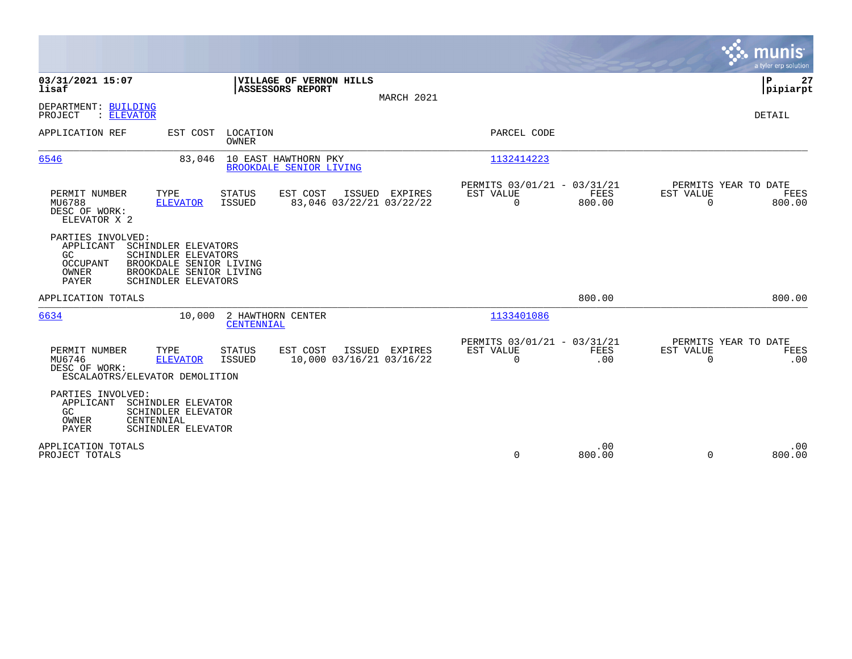|                                                                                                                                                                                                              |                                                                                                                                | munis<br>a tyler erp solution |
|--------------------------------------------------------------------------------------------------------------------------------------------------------------------------------------------------------------|--------------------------------------------------------------------------------------------------------------------------------|-------------------------------|
| 03/31/2021 15:07<br>VILLAGE OF VERNON HILLS<br>lisaf<br><b>ASSESSORS REPORT</b><br>MARCH 2021                                                                                                                |                                                                                                                                | P<br>27<br> pipiarpt          |
| DEPARTMENT: BUILDING<br>: ELEVATOR<br>PROJECT                                                                                                                                                                |                                                                                                                                | DETAIL                        |
| APPLICATION REF<br>EST COST<br>LOCATION<br><b>OWNER</b>                                                                                                                                                      | PARCEL CODE                                                                                                                    |                               |
| 6546<br>10 EAST HAWTHORN PKY<br>83,046<br>BROOKDALE SENIOR LIVING                                                                                                                                            | 1132414223                                                                                                                     |                               |
| EST COST<br>PERMIT NUMBER<br>TYPE<br><b>STATUS</b><br><b>ISSUED</b><br><b>EXPIRES</b><br>MU6788<br>83,046 03/22/21 03/22/22<br><b>ELEVATOR</b><br>ISSUED<br>DESC OF WORK:<br>ELEVATOR X 2                    | PERMITS 03/01/21 - 03/31/21<br>PERMITS YEAR TO DATE<br>EST VALUE<br>EST VALUE<br>FEES<br>800.00<br>$\mathbf 0$<br>$\Omega$     | FEES<br>800.00                |
| PARTIES INVOLVED:<br>APPLICANT<br><b>SCHINDLER ELEVATORS</b><br>GC.<br>SCHINDLER ELEVATORS<br>OCCUPANT<br>BROOKDALE SENIOR LIVING<br>BROOKDALE SENIOR LIVING<br>OWNER<br><b>PAYER</b><br>SCHINDLER ELEVATORS |                                                                                                                                |                               |
| APPLICATION TOTALS                                                                                                                                                                                           | 800.00                                                                                                                         | 800.00                        |
| 6634<br>2 HAWTHORN CENTER<br>10,000<br>CENTENNIAL                                                                                                                                                            | 1133401086                                                                                                                     |                               |
| EST COST<br>PERMIT NUMBER<br>TYPE<br><b>STATUS</b><br>ISSUED EXPIRES<br>MU6746<br>10,000 03/16/21 03/16/22<br><b>ISSUED</b><br><b>ELEVATOR</b><br>DESC OF WORK:<br>ESCALAOTRS/ELEVATOR DEMOLITION            | PERMITS 03/01/21 - 03/31/21<br>PERMITS YEAR TO DATE<br><b>FEES</b><br>EST VALUE<br>EST VALUE<br>$\mathbf 0$<br>.00<br>$\Omega$ | FEES<br>.00                   |
| PARTIES INVOLVED:<br>APPLICANT<br><b>SCHINDLER ELEVATOR</b><br>GC<br><b>SCHINDLER ELEVATOR</b><br>OWNER<br>CENTENNIAL<br>PAYER<br><b>SCHINDLER ELEVATOR</b>                                                  |                                                                                                                                |                               |
| APPLICATION TOTALS<br>PROJECT TOTALS                                                                                                                                                                         | .00<br>0<br>800.00<br>$\Omega$                                                                                                 | .00<br>800.00                 |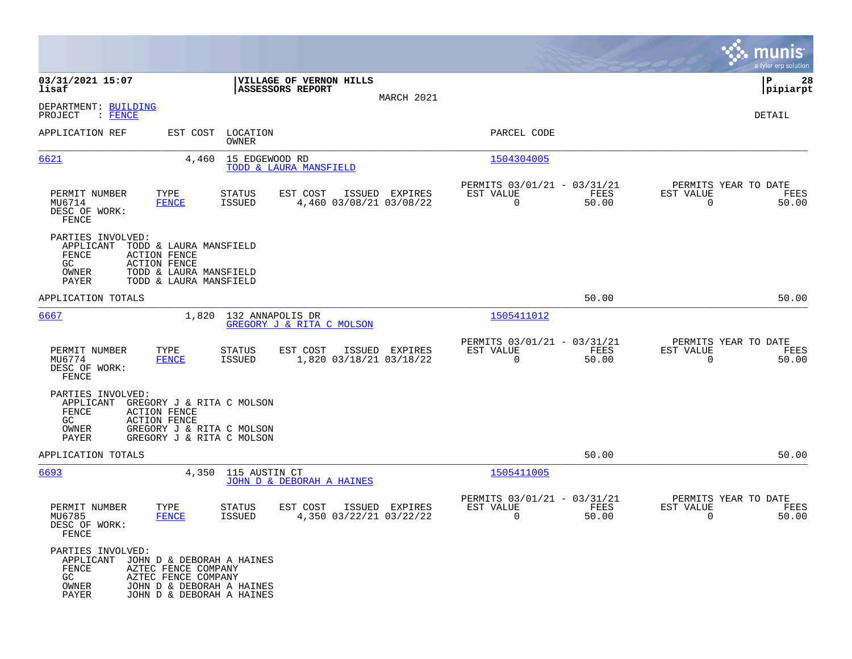|                                                                                                                                                                                              |                                                                                     |                |                                                                          | munis<br>a tyler erp solution                                  |
|----------------------------------------------------------------------------------------------------------------------------------------------------------------------------------------------|-------------------------------------------------------------------------------------|----------------|--------------------------------------------------------------------------|----------------------------------------------------------------|
| 03/31/2021 15:07<br>lisaf                                                                                                                                                                    | VILLAGE OF VERNON HILLS<br><b>ASSESSORS REPORT</b>                                  |                |                                                                          | 28<br>IΡ<br> pipiarpt                                          |
| DEPARTMENT: BUILDING<br>PROJECT<br>: FENCE                                                                                                                                                   |                                                                                     | MARCH 2021     |                                                                          | DETAIL                                                         |
| APPLICATION REF                                                                                                                                                                              | EST COST LOCATION<br>OWNER                                                          |                | PARCEL CODE                                                              |                                                                |
| 6621                                                                                                                                                                                         | 15 EDGEWOOD RD<br>4,460<br>TODD & LAURA MANSFIELD                                   |                | 1504304005                                                               |                                                                |
| TYPE<br>PERMIT NUMBER<br>MU6714<br><b>FENCE</b><br>DESC OF WORK:<br>FENCE                                                                                                                    | <b>STATUS</b><br>EST COST<br><b>ISSUED</b><br>4,460 03/08/21 03/08/22               | ISSUED EXPIRES | PERMITS 03/01/21 - 03/31/21<br>FEES<br>EST VALUE<br>$\mathbf 0$<br>50.00 | PERMITS YEAR TO DATE<br>EST VALUE<br>FEES<br>$\Omega$<br>50.00 |
| PARTIES INVOLVED:<br>APPLICANT<br>TODD & LAURA MANSFIELD<br>FENCE<br><b>ACTION FENCE</b><br>GC.<br><b>ACTION FENCE</b><br>OWNER<br>TODD & LAURA MANSFIELD<br>PAYER<br>TODD & LAURA MANSFIELD |                                                                                     |                |                                                                          |                                                                |
| APPLICATION TOTALS                                                                                                                                                                           |                                                                                     |                | 50.00                                                                    | 50.00                                                          |
| 6667                                                                                                                                                                                         | 1,820<br>132 ANNAPOLIS DR<br>GREGORY J & RITA C MOLSON                              |                | 1505411012                                                               |                                                                |
| PERMIT NUMBER<br>TYPE<br>MU6774<br>FENCE<br>DESC OF WORK:<br>FENCE                                                                                                                           | EST COST<br>STATUS<br>1,820 03/18/21 03/18/22<br><b>ISSUED</b>                      | ISSUED EXPIRES | PERMITS 03/01/21 - 03/31/21<br>EST VALUE<br>FEES<br>$\Omega$<br>50.00    | PERMITS YEAR TO DATE<br>EST VALUE<br>FEES<br>$\Omega$<br>50.00 |
| PARTIES INVOLVED:<br>APPLICANT<br>FENCE<br><b>ACTION FENCE</b><br><b>ACTION FENCE</b><br>GC<br>OWNER<br>PAYER                                                                                | GREGORY J & RITA C MOLSON<br>GREGORY J & RITA C MOLSON<br>GREGORY J & RITA C MOLSON |                |                                                                          |                                                                |
| APPLICATION TOTALS                                                                                                                                                                           |                                                                                     |                | 50.00                                                                    | 50.00                                                          |
| 6693                                                                                                                                                                                         | 4,350<br>115 AUSTIN CT<br>JOHN D & DEBORAH A HAINES                                 |                | 1505411005                                                               |                                                                |
| PERMIT NUMBER<br>TYPE<br>MU6785<br><b>FENCE</b><br>DESC OF WORK:<br>FENCE                                                                                                                    | STATUS<br>EST COST<br><b>ISSUED</b><br>4,350 03/22/21 03/22/22                      | ISSUED EXPIRES | PERMITS 03/01/21 - 03/31/21<br>EST VALUE<br>FEES<br>0<br>50.00           | PERMITS YEAR TO DATE<br>EST VALUE<br>FEES<br>0<br>50.00        |
| PARTIES INVOLVED:<br>APPLICANT<br>FENCE<br>AZTEC FENCE COMPANY<br>GC<br>AZTEC FENCE COMPANY<br>OWNER<br>PAYER                                                                                | JOHN D & DEBORAH A HAINES<br>JOHN D & DEBORAH A HAINES<br>JOHN D & DEBORAH A HAINES |                |                                                                          |                                                                |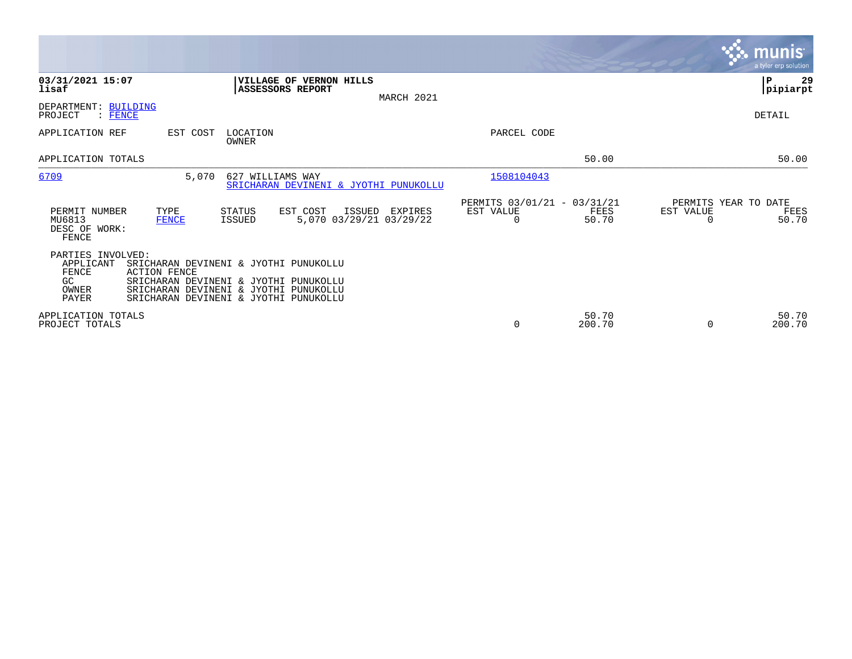|                                                                                                                                                                                                                                                            |                                                      |                 | munis<br>a tyler erp solution                                  |
|------------------------------------------------------------------------------------------------------------------------------------------------------------------------------------------------------------------------------------------------------------|------------------------------------------------------|-----------------|----------------------------------------------------------------|
| 03/31/2021 15:07<br><b>VILLAGE OF VERNON HILLS</b><br>lisaf<br><b>ASSESSORS REPORT</b><br>MARCH 2021                                                                                                                                                       |                                                      |                 | 29<br>lР<br> pipiarpt                                          |
| DEPARTMENT: BUILDING<br>PROJECT<br>: FENCE                                                                                                                                                                                                                 |                                                      |                 | DETAIL                                                         |
| EST COST<br>LOCATION<br>APPLICATION REF<br><b>OWNER</b>                                                                                                                                                                                                    | PARCEL CODE                                          |                 |                                                                |
| APPLICATION TOTALS                                                                                                                                                                                                                                         |                                                      | 50.00           | 50.00                                                          |
| 6709<br>5,070<br>627 WILLIAMS WAY<br>SRICHARAN DEVINENI & JYOTHI PUNUKOLLU                                                                                                                                                                                 | 1508104043                                           |                 |                                                                |
| TYPE<br>PERMIT NUMBER<br>STATUS<br>EST COST<br>ISSUED<br>EXPIRES<br>MU6813<br>5,070 03/29/21 03/29/22<br><b>ISSUED</b><br><b>FENCE</b><br>DESC OF WORK:<br>FENCE                                                                                           | PERMITS 03/01/21 - 03/31/21<br>EST VALUE<br>$\Omega$ | FEES<br>50.70   | PERMITS YEAR TO DATE<br>EST VALUE<br>FEES<br>50.70<br>$\Omega$ |
| PARTIES INVOLVED:<br>APPLICANT<br>SRICHARAN DEVINENI & JYOTHI PUNUKOLLU<br>FENCE<br><b>ACTION FENCE</b><br>GC<br>SRICHARAN DEVINENI & JYOTHI PUNUKOLLU<br>OWNER<br>SRICHARAN DEVINENI & JYOTHI PUNUKOLLU<br>PAYER<br>SRICHARAN DEVINENI & JYOTHI PUNUKOLLU |                                                      |                 |                                                                |
| APPLICATION TOTALS<br>PROJECT TOTALS                                                                                                                                                                                                                       | 0                                                    | 50.70<br>200.70 | 50.70<br>200.70<br>$\Omega$                                    |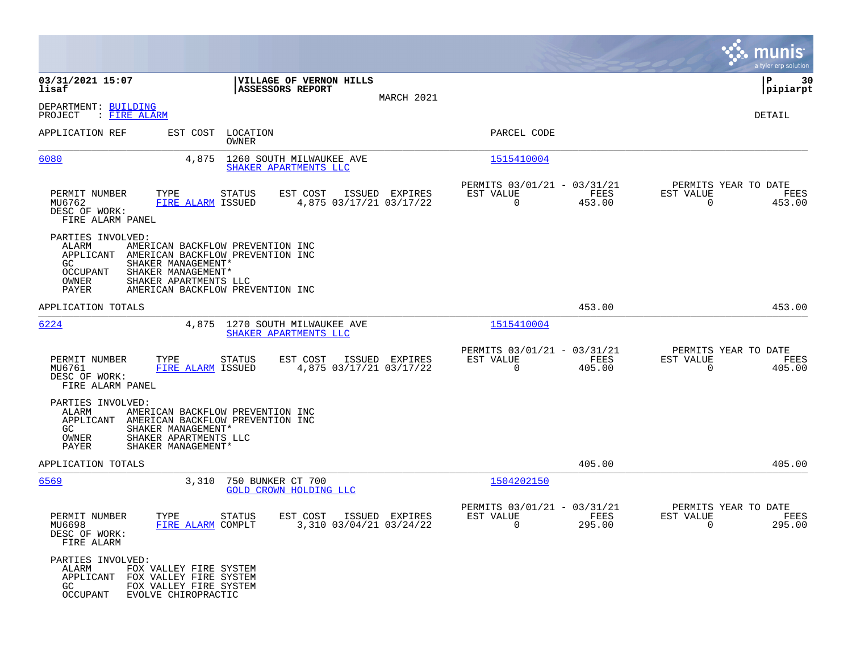|                                                                                                                                                                                   |                                                                      |                |                                                                           | munis<br>a tyler erp solution                                      |
|-----------------------------------------------------------------------------------------------------------------------------------------------------------------------------------|----------------------------------------------------------------------|----------------|---------------------------------------------------------------------------|--------------------------------------------------------------------|
| 03/31/2021 15:07<br>lisaf                                                                                                                                                         | VILLAGE OF VERNON HILLS<br>ASSESSORS REPORT                          |                |                                                                           | 30<br>l P<br> pipiarpt                                             |
| DEPARTMENT: BUILDING<br>: FIRE ALARM<br>PROJECT                                                                                                                                   |                                                                      | MARCH 2021     |                                                                           | DETAIL                                                             |
| APPLICATION REF                                                                                                                                                                   | EST COST LOCATION<br>OWNER                                           |                | PARCEL CODE                                                               |                                                                    |
| 6080<br>4,875                                                                                                                                                                     | 1260 SOUTH MILWAUKEE AVE<br>SHAKER APARTMENTS LLC                    |                | 1515410004                                                                |                                                                    |
| PERMIT NUMBER<br>TYPE<br>MU6762<br>FIRE ALARM ISSUED<br>DESC OF WORK:<br>FIRE ALARM PANEL                                                                                         | EST COST<br><b>STATUS</b><br>4,875 03/17/21 03/17/22                 | ISSUED EXPIRES | PERMITS 03/01/21 - 03/31/21<br>FEES<br>EST VALUE<br>$\mathbf 0$<br>453.00 | PERMITS YEAR TO DATE<br>EST VALUE<br>FEES<br>$\mathbf 0$<br>453.00 |
| PARTIES INVOLVED:<br>ALARM<br>APPLICANT AMERICAN BACKFLOW PREVENTION INC<br>GC<br>SHAKER MANAGEMENT*<br>OCCUPANT<br>SHAKER MANAGEMENT*<br>SHAKER APARTMENTS LLC<br>OWNER<br>PAYER | AMERICAN BACKFLOW PREVENTION INC<br>AMERICAN BACKFLOW PREVENTION INC |                |                                                                           |                                                                    |
| APPLICATION TOTALS                                                                                                                                                                |                                                                      |                | 453.00                                                                    | 453.00                                                             |
| 6224<br>4,875                                                                                                                                                                     | 1270 SOUTH MILWAUKEE AVE<br>SHAKER APARTMENTS LLC                    |                | 1515410004                                                                |                                                                    |
| PERMIT NUMBER<br>TYPE<br>FIRE ALARM ISSUED<br>MU6761<br>DESC OF WORK:<br>FIRE ALARM PANEL                                                                                         | EST COST<br>STATUS<br>4,875 03/17/21 03/17/22                        | ISSUED EXPIRES | PERMITS 03/01/21 - 03/31/21<br>EST VALUE<br>FEES<br>0<br>405.00           | PERMITS YEAR TO DATE<br>EST VALUE<br>FEES<br>$\mathbf 0$<br>405.00 |
| PARTIES INVOLVED:<br>ALARM<br>APPLICANT<br>GC.<br>SHAKER MANAGEMENT*<br>OWNER<br>SHAKER APARTMENTS LLC<br>SHAKER MANAGEMENT*<br>PAYER                                             | AMERICAN BACKFLOW PREVENTION INC<br>AMERICAN BACKFLOW PREVENTION INC |                |                                                                           |                                                                    |
| APPLICATION TOTALS                                                                                                                                                                |                                                                      |                | 405.00                                                                    | 405.00                                                             |
| 6569<br>3,310                                                                                                                                                                     | 750 BUNKER CT 700<br>GOLD CROWN HOLDING LLC                          |                | 1504202150                                                                |                                                                    |
| PERMIT NUMBER<br>TYPE<br>MU6698<br>FIRE ALARM COMPLT<br>DESC OF WORK:<br>FIRE ALARM                                                                                               | EST COST<br><b>STATUS</b><br>3,310 03/04/21 03/24/22                 | ISSUED EXPIRES | PERMITS 03/01/21 - 03/31/21<br>EST VALUE<br>FEES<br>$\mathbf 0$<br>295.00 | PERMITS YEAR TO DATE<br>EST VALUE<br>FEES<br>$\mathbf 0$<br>295.00 |
| PARTIES INVOLVED:<br>ALARM<br>FOX VALLEY FIRE SYSTEM<br>APPLICANT<br>FOX VALLEY FIRE SYSTEM<br>FOX VALLEY FIRE SYSTEM<br>GC<br>OCCUPANT<br>EVOLVE CHIROPRACTIC                    |                                                                      |                |                                                                           |                                                                    |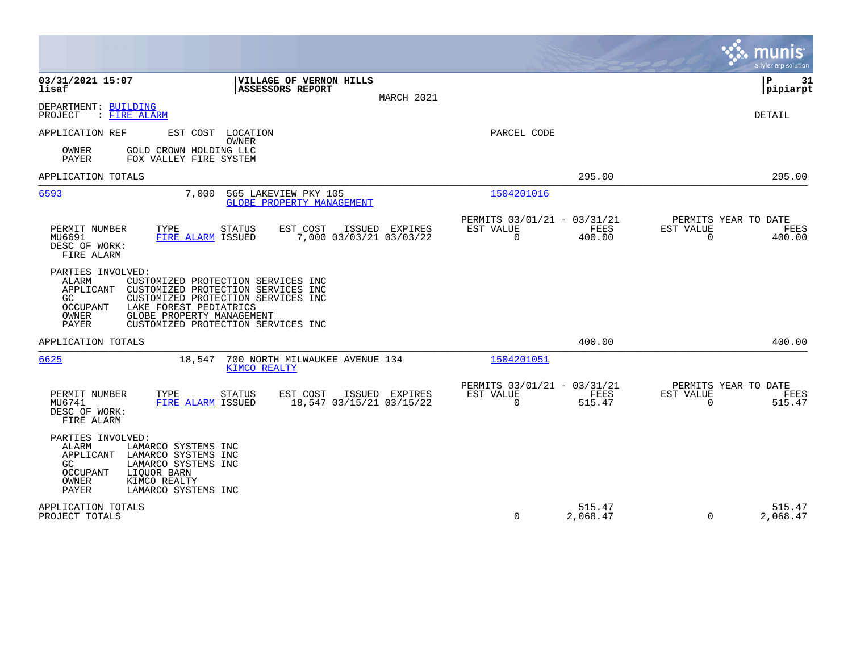|                                                                                                                                                                                                                                                                                                   |                                                                                  | munis<br>a tyler erp solution                                      |
|---------------------------------------------------------------------------------------------------------------------------------------------------------------------------------------------------------------------------------------------------------------------------------------------------|----------------------------------------------------------------------------------|--------------------------------------------------------------------|
| 03/31/2021 15:07<br>VILLAGE OF VERNON HILLS<br>lisaf<br>ASSESSORS REPORT<br>MARCH 2021                                                                                                                                                                                                            |                                                                                  | l P<br>31<br> pipiarpt                                             |
| DEPARTMENT: BUILDING<br>PROJECT<br>: FIRE ALARM                                                                                                                                                                                                                                                   |                                                                                  | DETAIL                                                             |
| APPLICATION REF<br>EST COST<br>LOCATION<br><b>OWNER</b><br>OWNER<br>GOLD CROWN HOLDING LLC<br><b>PAYER</b><br>FOX VALLEY FIRE SYSTEM                                                                                                                                                              | PARCEL CODE                                                                      |                                                                    |
| APPLICATION TOTALS                                                                                                                                                                                                                                                                                | 295.00                                                                           | 295.00                                                             |
| 6593<br>7,000<br>565 LAKEVIEW PKY 105<br>GLOBE PROPERTY MANAGEMENT                                                                                                                                                                                                                                | 1504201016                                                                       |                                                                    |
| PERMIT NUMBER<br>TYPE<br>EST COST<br><b>STATUS</b><br>ISSUED EXPIRES<br>FIRE ALARM ISSUED<br>7,000 03/03/21 03/03/22<br>MU6691<br>DESC OF WORK:<br>FIRE ALARM                                                                                                                                     | PERMITS 03/01/21 - 03/31/21<br>EST VALUE<br>FEES<br>$\Omega$<br>400.00           | PERMITS YEAR TO DATE<br>EST VALUE<br>FEES<br>$\Omega$<br>400.00    |
| PARTIES INVOLVED:<br>ALARM<br>CUSTOMIZED PROTECTION SERVICES INC<br>APPLICANT<br>CUSTOMIZED PROTECTION SERVICES INC<br>GC<br>CUSTOMIZED PROTECTION SERVICES INC<br><b>OCCUPANT</b><br>LAKE FOREST PEDIATRICS<br>OWNER<br>GLOBE PROPERTY MANAGEMENT<br>PAYER<br>CUSTOMIZED PROTECTION SERVICES INC |                                                                                  |                                                                    |
| APPLICATION TOTALS                                                                                                                                                                                                                                                                                | 400.00                                                                           | 400.00                                                             |
| 6625<br>700 NORTH MILWAUKEE AVENUE 134<br>18,547<br>KIMCO REALTY                                                                                                                                                                                                                                  | 1504201051                                                                       |                                                                    |
| PERMIT NUMBER<br>EST COST<br>TYPE<br><b>STATUS</b><br>ISSUED EXPIRES<br>MU6741<br>FIRE ALARM ISSUED<br>18,547 03/15/21 03/15/22<br>DESC OF WORK:<br>FIRE ALARM                                                                                                                                    | PERMITS 03/01/21 - 03/31/21<br><b>FEES</b><br>EST VALUE<br>$\mathbf 0$<br>515.47 | PERMITS YEAR TO DATE<br>EST VALUE<br>FEES<br>$\mathbf 0$<br>515.47 |
| PARTIES INVOLVED:<br>ALARM<br>LAMARCO SYSTEMS INC<br>LAMARCO SYSTEMS INC<br>APPLICANT<br>GC<br>LAMARCO SYSTEMS INC<br><b>OCCUPANT</b><br>LIOUOR BARN<br>OWNER<br>KIMCO REALTY<br>PAYER<br>LAMARCO SYSTEMS INC                                                                                     |                                                                                  |                                                                    |
| APPLICATION TOTALS<br>PROJECT TOTALS                                                                                                                                                                                                                                                              | 515.47<br>$\Omega$<br>2,068.47                                                   | 515.47<br>$\Omega$<br>2,068.47                                     |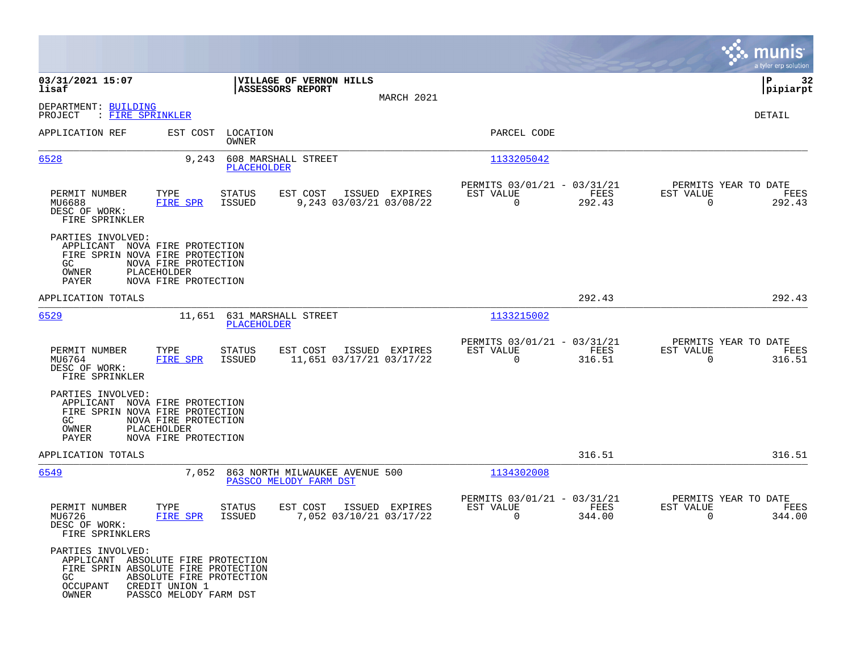|                                                                                                                           |                                                                      |                            |                                                                |                |                                                         |                |                                               | munis<br>a tyler erp solution |
|---------------------------------------------------------------------------------------------------------------------------|----------------------------------------------------------------------|----------------------------|----------------------------------------------------------------|----------------|---------------------------------------------------------|----------------|-----------------------------------------------|-------------------------------|
| 03/31/2021 15:07<br>lisaf                                                                                                 |                                                                      |                            | VILLAGE OF VERNON HILLS<br><b>ASSESSORS REPORT</b>             | MARCH 2021     |                                                         |                |                                               | 32<br>IΡ<br> pipiarpt         |
| DEPARTMENT: BUILDING<br>: FIRE SPRINKLER<br>PROJECT                                                                       |                                                                      |                            |                                                                |                |                                                         |                |                                               | DETAIL                        |
| APPLICATION REF                                                                                                           |                                                                      | EST COST LOCATION<br>OWNER |                                                                |                | PARCEL CODE                                             |                |                                               |                               |
| 6528                                                                                                                      | 9,243                                                                | PLACEHOLDER                | 608 MARSHALL STREET                                            |                | 1133205042                                              |                |                                               |                               |
| PERMIT NUMBER<br>MU6688<br>DESC OF WORK:<br>FIRE SPRINKLER                                                                | TYPE<br>FIRE SPR                                                     | STATUS<br>ISSUED           | EST COST<br>9,243 03/03/21 03/08/22                            | ISSUED EXPIRES | PERMITS 03/01/21 - 03/31/21<br>EST VALUE<br>$\mathbf 0$ | FEES<br>292.43 | PERMITS YEAR TO DATE<br>EST VALUE<br>$\Omega$ | FEES<br>292.43                |
| PARTIES INVOLVED:<br>APPLICANT NOVA FIRE PROTECTION<br>FIRE SPRIN NOVA FIRE PROTECTION<br>GC<br>OWNER<br>PAYER            | NOVA FIRE PROTECTION<br>PLACEHOLDER<br>NOVA FIRE PROTECTION          |                            |                                                                |                |                                                         |                |                                               |                               |
| APPLICATION TOTALS                                                                                                        |                                                                      |                            |                                                                |                |                                                         | 292.43         |                                               | 292.43                        |
| 6529                                                                                                                      |                                                                      | <b>PLACEHOLDER</b>         | 11,651 631 MARSHALL STREET                                     |                | 1133215002                                              |                |                                               |                               |
| PERMIT NUMBER<br>MU6764<br>DESC OF WORK:<br>FIRE SPRINKLER                                                                | TYPE<br>FIRE SPR                                                     | STATUS<br>ISSUED           | EST COST<br>11,651 03/17/21 03/17/22                           | ISSUED EXPIRES | PERMITS 03/01/21 - 03/31/21<br>EST VALUE<br>$\mathbf 0$ | FEES<br>316.51 | PERMITS YEAR TO DATE<br>EST VALUE<br>$\Omega$ | FEES<br>316.51                |
| PARTIES INVOLVED:<br>APPLICANT NOVA FIRE PROTECTION<br>FIRE SPRIN NOVA FIRE PROTECTION<br>GC.<br>OWNER<br>PAYER           | NOVA FIRE PROTECTION<br>PLACEHOLDER<br>NOVA FIRE PROTECTION          |                            |                                                                |                |                                                         |                |                                               |                               |
| APPLICATION TOTALS                                                                                                        |                                                                      |                            |                                                                |                |                                                         | 316.51         |                                               | 316.51                        |
| 6549                                                                                                                      |                                                                      |                            | 7,052 863 NORTH MILWAUKEE AVENUE 500<br>PASSCO MELODY FARM DST |                | 1134302008                                              |                |                                               |                               |
| PERMIT NUMBER<br>MU6726<br>DESC OF WORK:<br>FIRE SPRINKLERS                                                               | TYPE<br>FIRE SPR                                                     | <b>STATUS</b><br>ISSUED    | EST COST<br>7,052 03/10/21 03/17/22                            | ISSUED EXPIRES | PERMITS 03/01/21 - 03/31/21<br>EST VALUE<br>0           | FEES<br>344.00 | PERMITS YEAR TO DATE<br>EST VALUE<br>0        | FEES<br>344.00                |
| PARTIES INVOLVED:<br>APPLICANT ABSOLUTE FIRE PROTECTION<br>FIRE SPRIN ABSOLUTE FIRE PROTECTION<br>GC<br>OCCUPANT<br>OWNER | ABSOLUTE FIRE PROTECTION<br>CREDIT UNION 1<br>PASSCO MELODY FARM DST |                            |                                                                |                |                                                         |                |                                               |                               |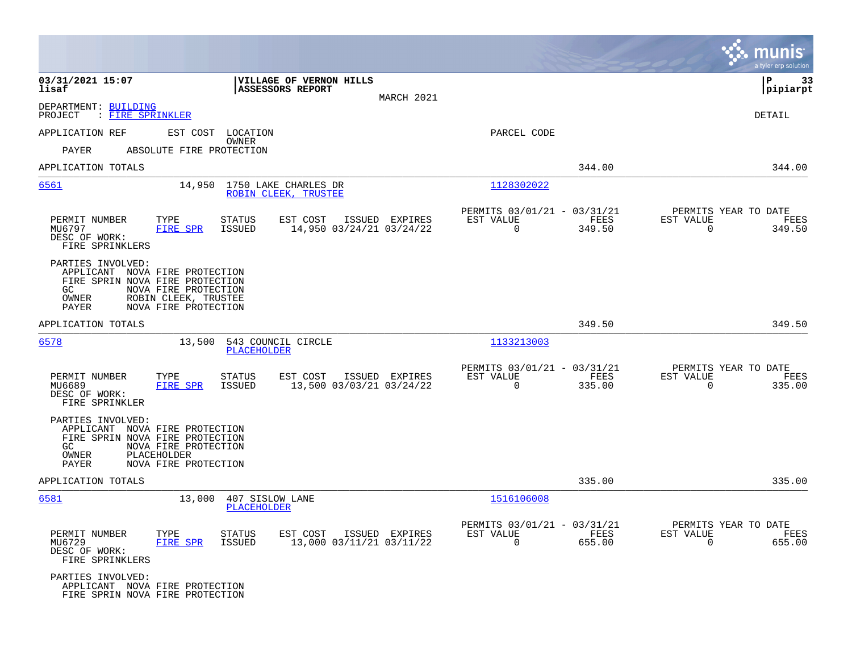|                                                                                                                               |                                                                      |                                              |                |                                                         |                |                                                  | munis<br>a tyler erp solution |
|-------------------------------------------------------------------------------------------------------------------------------|----------------------------------------------------------------------|----------------------------------------------|----------------|---------------------------------------------------------|----------------|--------------------------------------------------|-------------------------------|
| 03/31/2021 15:07<br>lisaf                                                                                                     |                                                                      | VILLAGE OF VERNON HILLS<br>ASSESSORS REPORT  | MARCH 2021     |                                                         |                |                                                  | lР<br>-33<br> pipiarpt        |
| DEPARTMENT: BUILDING<br>PROJECT<br>: FIRE SPRINKLER                                                                           |                                                                      |                                              |                |                                                         |                |                                                  | DETAIL                        |
| APPLICATION REF                                                                                                               | EST COST<br>LOCATION                                                 |                                              |                | PARCEL CODE                                             |                |                                                  |                               |
| <b>PAYER</b>                                                                                                                  | OWNER<br>ABSOLUTE FIRE PROTECTION                                    |                                              |                |                                                         |                |                                                  |                               |
| APPLICATION TOTALS                                                                                                            |                                                                      |                                              |                |                                                         | 344.00         |                                                  | 344.00                        |
| 6561                                                                                                                          | 14,950                                                               | 1750 LAKE CHARLES DR<br>ROBIN CLEEK, TRUSTEE |                | 1128302022                                              |                |                                                  |                               |
| PERMIT NUMBER<br>MU6797<br>DESC OF WORK:<br>FIRE SPRINKLERS                                                                   | TYPE<br><b>STATUS</b><br><b>FIRE SPR</b><br>ISSUED                   | EST COST<br>14,950 03/24/21 03/24/22         | ISSUED EXPIRES | PERMITS 03/01/21 - 03/31/21<br>EST VALUE<br>$\mathbf 0$ | FEES<br>349.50 | PERMITS YEAR TO DATE<br>EST VALUE<br>$\mathbf 0$ | FEES<br>349.50                |
| PARTIES INVOLVED:<br>APPLICANT NOVA FIRE PROTECTION<br>FIRE SPRIN NOVA FIRE PROTECTION<br>GC<br>OWNER<br><b>PAYER</b>         | NOVA FIRE PROTECTION<br>ROBIN CLEEK, TRUSTEE<br>NOVA FIRE PROTECTION |                                              |                |                                                         |                |                                                  |                               |
| APPLICATION TOTALS                                                                                                            |                                                                      |                                              |                |                                                         | 349.50         |                                                  | 349.50                        |
| 6578                                                                                                                          | 13,500<br><b>PLACEHOLDER</b>                                         | 543 COUNCIL CIRCLE                           |                | 1133213003                                              |                |                                                  |                               |
| PERMIT NUMBER<br>MU6689<br>DESC OF WORK:<br>FIRE SPRINKLER                                                                    | TYPE<br><b>STATUS</b><br>FIRE SPR<br>ISSUED                          | EST COST<br>13,500 03/03/21 03/24/22         | ISSUED EXPIRES | PERMITS 03/01/21 - 03/31/21<br>EST VALUE<br>$\mathbf 0$ | FEES<br>335.00 | PERMITS YEAR TO DATE<br>EST VALUE<br>0           | FEES<br>335.00                |
| PARTIES INVOLVED:<br>APPLICANT NOVA FIRE PROTECTION<br>FIRE SPRIN NOVA FIRE PROTECTION<br>GC<br>OWNER<br>PLACEHOLDER<br>PAYER | NOVA FIRE PROTECTION<br>NOVA FIRE PROTECTION                         |                                              |                |                                                         |                |                                                  |                               |
| APPLICATION TOTALS                                                                                                            |                                                                      |                                              |                |                                                         | 335.00         |                                                  | 335.00                        |
| 6581                                                                                                                          | 13,000<br>PLACEHOLDER                                                | 407 SISLOW LANE                              |                | 1516106008                                              |                |                                                  |                               |
| PERMIT NUMBER<br>MU6729<br>DESC OF WORK:<br>FIRE SPRINKLERS                                                                   | TYPE<br><b>STATUS</b><br>FIRE SPR<br>ISSUED                          | EST COST<br>13,000 03/11/21 03/11/22         | ISSUED EXPIRES | PERMITS 03/01/21 - 03/31/21<br>EST VALUE<br>0           | FEES<br>655.00 | PERMITS YEAR TO DATE<br>EST VALUE<br>0           | FEES<br>655.00                |
| PARTIES INVOLVED:<br>APPLICANT NOVA FIRE PROTECTION<br>FIRE SPRIN NOVA FIRE PROTECTION                                        |                                                                      |                                              |                |                                                         |                |                                                  |                               |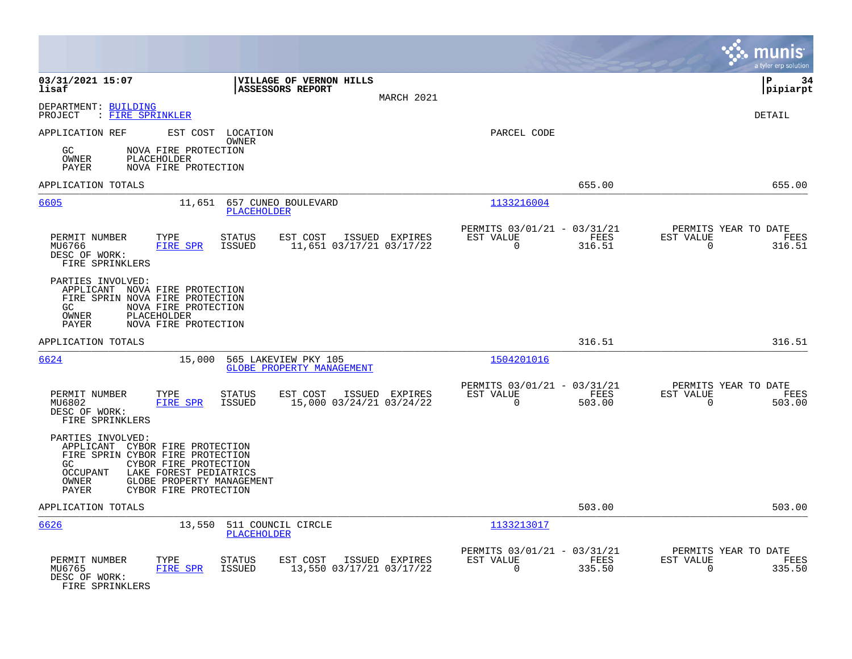|                                                                                                                                                                                                                                                        |                                                                           | munis<br>a tyler erp solution                                         |
|--------------------------------------------------------------------------------------------------------------------------------------------------------------------------------------------------------------------------------------------------------|---------------------------------------------------------------------------|-----------------------------------------------------------------------|
| 03/31/2021 15:07<br>VILLAGE OF VERNON HILLS<br>lisaf<br><b>ASSESSORS REPORT</b><br>MARCH 2021                                                                                                                                                          |                                                                           | l P<br>34<br> pipiarpt                                                |
| DEPARTMENT: BUILDING<br>: FIRE SPRINKLER<br>PROJECT                                                                                                                                                                                                    |                                                                           | <b>DETAIL</b>                                                         |
| APPLICATION REF<br>EST COST LOCATION<br><b>OWNER</b><br>GC.<br>NOVA FIRE PROTECTION<br>OWNER<br>PLACEHOLDER<br>PAYER<br>NOVA FIRE PROTECTION                                                                                                           | PARCEL CODE                                                               |                                                                       |
| APPLICATION TOTALS                                                                                                                                                                                                                                     | 655.00                                                                    | 655.00                                                                |
| 6605<br>11,651 657 CUNEO BOULEVARD<br><b>PLACEHOLDER</b>                                                                                                                                                                                               | 1133216004                                                                |                                                                       |
| PERMIT NUMBER<br>TYPE<br><b>STATUS</b><br>EST COST<br>ISSUED EXPIRES<br><b>FIRE SPR</b><br><b>ISSUED</b><br>11,651 03/17/21 03/17/22<br>MU6766<br>DESC OF WORK:<br>FIRE SPRINKLERS                                                                     | PERMITS 03/01/21 - 03/31/21<br>FEES<br>EST VALUE<br>$\Omega$<br>316.51    | PERMITS YEAR TO DATE<br>EST VALUE<br>FEES<br>$\Omega$<br>316.51       |
| PARTIES INVOLVED:<br>APPLICANT NOVA FIRE PROTECTION<br>FIRE SPRIN NOVA FIRE PROTECTION<br>GC<br>NOVA FIRE PROTECTION<br>PLACEHOLDER<br>OWNER<br><b>PAYER</b><br>NOVA FIRE PROTECTION                                                                   |                                                                           |                                                                       |
| APPLICATION TOTALS                                                                                                                                                                                                                                     | 316.51                                                                    | 316.51                                                                |
| 6624<br>15,000<br>565 LAKEVIEW PKY 105<br>GLOBE PROPERTY MANAGEMENT                                                                                                                                                                                    | 1504201016                                                                |                                                                       |
| PERMIT NUMBER<br>TYPE<br><b>STATUS</b><br>EST COST<br>ISSUED EXPIRES<br>MU6802<br>FIRE SPR<br>ISSUED<br>15,000 03/24/21 03/24/22<br>DESC OF WORK:<br>FIRE SPRINKLERS                                                                                   | PERMITS 03/01/21 - 03/31/21<br>EST VALUE<br>FEES<br>$\mathbf 0$<br>503.00 | PERMITS YEAR TO DATE<br>EST VALUE<br>FEES<br>$\overline{0}$<br>503.00 |
| PARTIES INVOLVED:<br>APPLICANT<br>CYBOR FIRE PROTECTION<br>FIRE SPRIN CYBOR FIRE PROTECTION<br>GC<br>CYBOR FIRE PROTECTION<br><b>OCCUPANT</b><br>LAKE FOREST PEDIATRICS<br>OWNER<br>GLOBE PROPERTY MANAGEMENT<br><b>PAYER</b><br>CYBOR FIRE PROTECTION |                                                                           |                                                                       |
| APPLICATION TOTALS                                                                                                                                                                                                                                     | 503.00                                                                    | 503.00                                                                |
| 6626<br>13,550 511 COUNCIL CIRCLE<br><b>PLACEHOLDER</b>                                                                                                                                                                                                | 1133213017                                                                |                                                                       |
| PERMIT NUMBER<br>TYPE<br>EST COST<br>ISSUED EXPIRES<br>STATUS<br>13,550 03/17/21 03/17/22<br>MU6765<br>FIRE SPR<br>ISSUED<br>DESC OF WORK:<br>FIRE SPRINKLERS                                                                                          | PERMITS 03/01/21 - 03/31/21<br>EST VALUE<br>FEES<br>$\Omega$<br>335.50    | PERMITS YEAR TO DATE<br>EST VALUE<br>FEES<br>335.50<br>0              |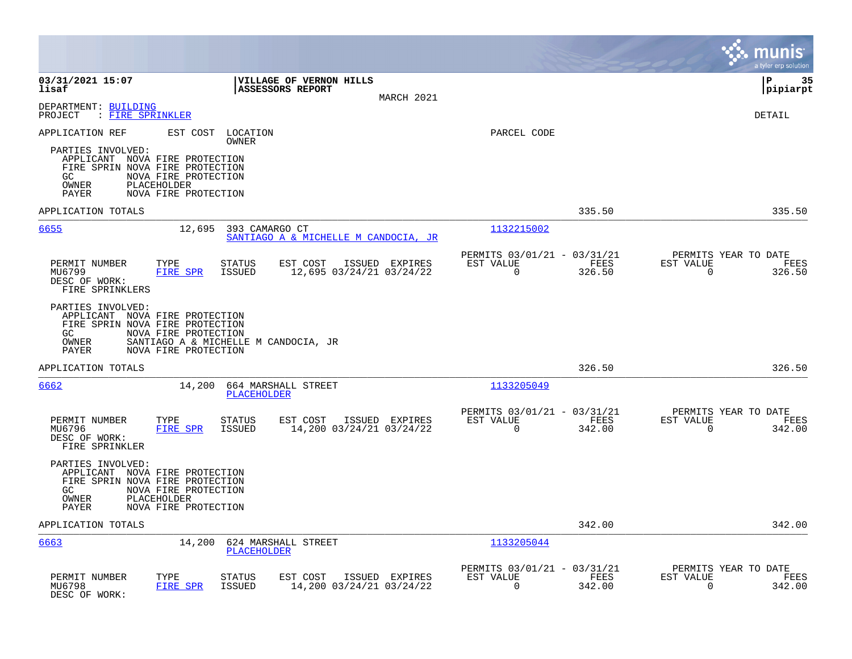|                                                                                                                          |                                                                                      |                                |                                                    |                |                                                         |                | munis<br>a tyler erp solution                                   |
|--------------------------------------------------------------------------------------------------------------------------|--------------------------------------------------------------------------------------|--------------------------------|----------------------------------------------------|----------------|---------------------------------------------------------|----------------|-----------------------------------------------------------------|
| 03/31/2021 15:07<br>lisaf                                                                                                |                                                                                      |                                | VILLAGE OF VERNON HILLS<br><b>ASSESSORS REPORT</b> | MARCH 2021     |                                                         |                | l P<br>35<br> pipiarpt                                          |
| DEPARTMENT: BUILDING<br>: FIRE SPRINKLER<br>PROJECT                                                                      |                                                                                      |                                |                                                    |                |                                                         |                | <b>DETAIL</b>                                                   |
| APPLICATION REF<br>PARTIES INVOLVED:<br>APPLICANT NOVA FIRE PROTECTION<br>FIRE SPRIN NOVA FIRE PROTECTION<br>GC<br>OWNER | EST COST<br>NOVA FIRE PROTECTION<br>PLACEHOLDER                                      | LOCATION<br>OWNER              |                                                    |                | PARCEL CODE                                             |                |                                                                 |
| PAYER<br>APPLICATION TOTALS                                                                                              | NOVA FIRE PROTECTION                                                                 |                                |                                                    |                |                                                         | 335.50         | 335.50                                                          |
| 6655                                                                                                                     | 12,695                                                                               | 393 CAMARGO CT                 | SANTIAGO A & MICHELLE M CANDOCIA, JR               |                | 1132215002                                              |                |                                                                 |
| PERMIT NUMBER<br>MU6799<br>DESC OF WORK:<br>FIRE SPRINKLERS                                                              | TYPE<br>FIRE SPR                                                                     | STATUS<br><b>ISSUED</b>        | EST COST<br>12,695 03/24/21 03/24/22               | ISSUED EXPIRES | PERMITS 03/01/21 - 03/31/21<br>EST VALUE<br>$\mathbf 0$ | FEES<br>326.50 | PERMITS YEAR TO DATE<br>EST VALUE<br>FEES<br>$\Omega$<br>326.50 |
| PARTIES INVOLVED:<br>APPLICANT NOVA FIRE PROTECTION<br>FIRE SPRIN NOVA FIRE PROTECTION<br>GC.<br>OWNER<br>PAYER          | NOVA FIRE PROTECTION<br>SANTIAGO A & MICHELLE M CANDOCIA, JR<br>NOVA FIRE PROTECTION |                                |                                                    |                |                                                         |                |                                                                 |
| APPLICATION TOTALS                                                                                                       |                                                                                      |                                |                                                    |                |                                                         | 326.50         | 326.50                                                          |
| 6662                                                                                                                     | 14,200                                                                               | PLACEHOLDER                    | 664 MARSHALL STREET                                |                | 1133205049                                              |                |                                                                 |
| PERMIT NUMBER<br>MU6796<br>DESC OF WORK:<br>FIRE SPRINKLER                                                               | TYPE<br>FIRE SPR                                                                     | <b>STATUS</b><br>ISSUED        | EST COST<br>14,200 03/24/21 03/24/22               | ISSUED EXPIRES | PERMITS 03/01/21 - 03/31/21<br>EST VALUE<br>$\Omega$    | FEES<br>342.00 | PERMITS YEAR TO DATE<br>EST VALUE<br>FEES<br>$\Omega$<br>342.00 |
| PARTIES INVOLVED:<br>APPLICANT NOVA FIRE PROTECTION<br>FIRE SPRIN NOVA FIRE PROTECTION<br>GC.<br>OWNER<br>PAYER          | NOVA FIRE PROTECTION<br>PLACEHOLDER<br>NOVA FIRE PROTECTION                          |                                |                                                    |                |                                                         |                |                                                                 |
| APPLICATION TOTALS                                                                                                       |                                                                                      |                                |                                                    |                |                                                         | 342.00         | 342.00                                                          |
| 6663                                                                                                                     | 14,200                                                                               | <b>PLACEHOLDER</b>             | 624 MARSHALL STREET                                |                | 1133205044                                              |                |                                                                 |
| PERMIT NUMBER<br>MU6798<br>DESC OF WORK:                                                                                 | TYPE<br><b>FIRE SPR</b>                                                              | <b>STATUS</b><br><b>ISSUED</b> | EST COST<br>14,200 03/24/21 03/24/22               | ISSUED EXPIRES | PERMITS 03/01/21 - 03/31/21<br>EST VALUE<br>0           | FEES<br>342.00 | PERMITS YEAR TO DATE<br>EST VALUE<br>FEES<br>342.00<br>0        |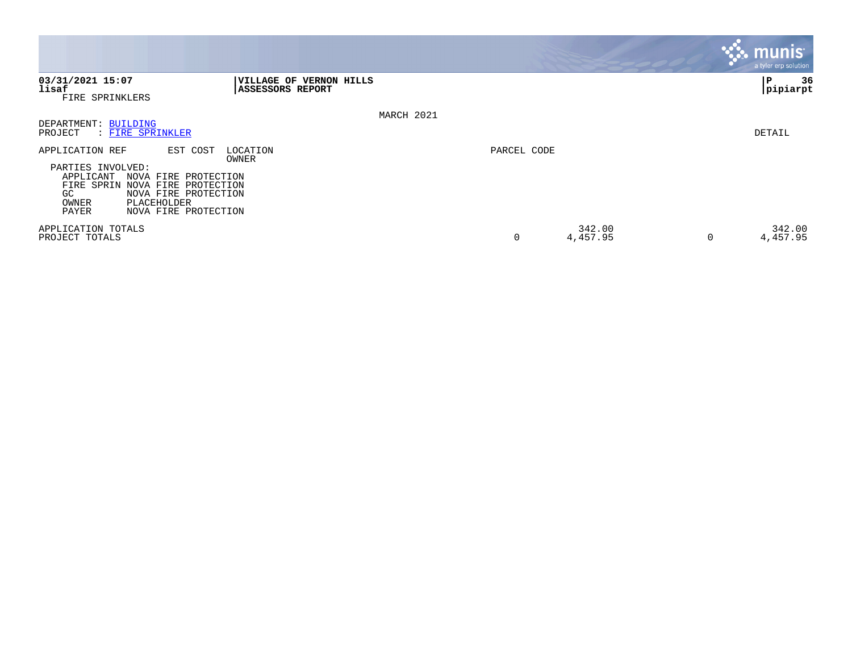|                                                                                                                                                                                                                     |                                             |            |             |                    |   | $\sim$ munis l<br>a tyler erp solution |
|---------------------------------------------------------------------------------------------------------------------------------------------------------------------------------------------------------------------|---------------------------------------------|------------|-------------|--------------------|---|----------------------------------------|
| 03/31/2021 15:07<br>lisaf<br>FIRE SPRINKLERS                                                                                                                                                                        | VILLAGE OF VERNON HILLS<br>ASSESSORS REPORT |            |             |                    |   | 36<br>∣P<br> pipiarpt                  |
|                                                                                                                                                                                                                     |                                             | MARCH 2021 |             |                    |   |                                        |
| DEPARTMENT: BUILDING<br>: FIRE SPRINKLER<br>PROJECT                                                                                                                                                                 |                                             |            |             |                    |   | DETAIL                                 |
| APPLICATION REF<br>EST COST<br>PARTIES INVOLVED:<br>APPLICANT<br>NOVA FIRE PROTECTION<br>FIRE SPRIN<br>NOVA FIRE PROTECTION<br>GC.<br>NOVA FIRE PROTECTION<br>PLACEHOLDER<br>OWNER<br>PAYER<br>NOVA FIRE PROTECTION | LOCATION<br>OWNER                           |            | PARCEL CODE |                    |   |                                        |
| APPLICATION TOTALS<br>PROJECT TOTALS                                                                                                                                                                                |                                             |            | 0           | 342.00<br>4,457.95 | 0 | 342.00<br>4,457.95                     |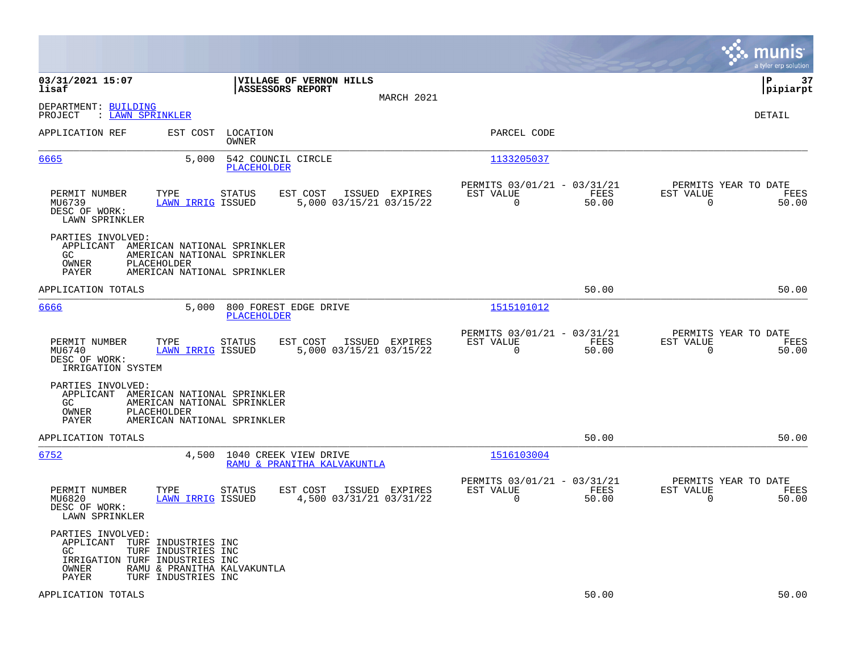|                                                                                                               |                                                                                                     |                                                                          | munis<br>a tyler erp solution                                     |
|---------------------------------------------------------------------------------------------------------------|-----------------------------------------------------------------------------------------------------|--------------------------------------------------------------------------|-------------------------------------------------------------------|
| 03/31/2021 15:07<br>lisaf                                                                                     | VILLAGE OF VERNON HILLS<br><b>ASSESSORS REPORT</b>                                                  | MARCH 2021                                                               | P<br>37<br> pipiarpt                                              |
| DEPARTMENT: BUILDING<br>PROJECT<br>: LAWN SPRINKLER                                                           |                                                                                                     |                                                                          | <b>DETAIL</b>                                                     |
| APPLICATION REF                                                                                               | EST COST<br>LOCATION<br>OWNER                                                                       | PARCEL CODE                                                              |                                                                   |
| 6665                                                                                                          | 5,000<br>542 COUNCIL CIRCLE<br>PLACEHOLDER                                                          | 1133205037                                                               |                                                                   |
| PERMIT NUMBER<br>TYPE<br>MU6739<br>DESC OF WORK:<br>LAWN SPRINKLER                                            | EST COST<br>ISSUED EXPIRES<br>STATUS<br>5,000 03/15/21 03/15/22<br><b>LAWN IRRIG ISSUED</b>         | PERMITS 03/01/21 - 03/31/21<br>EST VALUE<br>FEES<br>$\mathbf 0$<br>50.00 | PERMITS YEAR TO DATE<br>EST VALUE<br>FEES<br>50.00<br>0           |
| PARTIES INVOLVED:<br>GC<br>OWNER<br>PLACEHOLDER<br>PAYER                                                      | APPLICANT AMERICAN NATIONAL SPRINKLER<br>AMERICAN NATIONAL SPRINKLER<br>AMERICAN NATIONAL SPRINKLER |                                                                          |                                                                   |
| APPLICATION TOTALS                                                                                            |                                                                                                     | 50.00                                                                    | 50.00                                                             |
| 6666                                                                                                          | 5,000<br>800 FOREST EDGE DRIVE<br><b>PLACEHOLDER</b>                                                | 1515101012                                                               |                                                                   |
| PERMIT NUMBER<br>TYPE<br>MU6740<br>DESC OF WORK:<br>IRRIGATION SYSTEM                                         | <b>STATUS</b><br>EST COST<br>ISSUED EXPIRES<br><b>LAWN IRRIG ISSUED</b><br>5,000 03/15/21 03/15/22  | PERMITS 03/01/21 - 03/31/21<br>EST VALUE<br>FEES<br>$\mathbf 0$<br>50.00 | PERMITS YEAR TO DATE<br>EST VALUE<br>FEES<br>$\mathbf 0$<br>50.00 |
| PARTIES INVOLVED:<br>GC.<br>PLACEHOLDER<br>OWNER<br>PAYER                                                     | APPLICANT AMERICAN NATIONAL SPRINKLER<br>AMERICAN NATIONAL SPRINKLER<br>AMERICAN NATIONAL SPRINKLER |                                                                          |                                                                   |
| APPLICATION TOTALS                                                                                            |                                                                                                     | 50.00                                                                    | 50.00                                                             |
| 6752                                                                                                          | 4,500 1040 CREEK VIEW DRIVE<br>RAMU & PRANITHA KALVAKUNTLA                                          | 1516103004                                                               |                                                                   |
| PERMIT NUMBER<br>TYPE<br>MU6820<br>DESC OF WORK:<br>LAWN SPRINKLER                                            | <b>STATUS</b><br>EST COST<br>ISSUED EXPIRES<br>4,500 03/31/21 03/31/22<br>LAWN IRRIG ISSUED         | PERMITS 03/01/21 - 03/31/21<br>EST VALUE<br>FEES<br>$\Omega$<br>50.00    | PERMITS YEAR TO DATE<br>EST VALUE<br>FEES<br>0<br>50.00           |
| PARTIES INVOLVED:<br>APPLICANT TURF INDUSTRIES INC<br>GC.<br>IRRIGATION TURF INDUSTRIES INC<br>OWNER<br>PAYER | TURF INDUSTRIES INC<br>RAMU & PRANITHA KALVAKUNTLA<br>TURF INDUSTRIES INC                           |                                                                          |                                                                   |
| APPLICATION TOTALS                                                                                            |                                                                                                     | 50.00                                                                    | 50.00                                                             |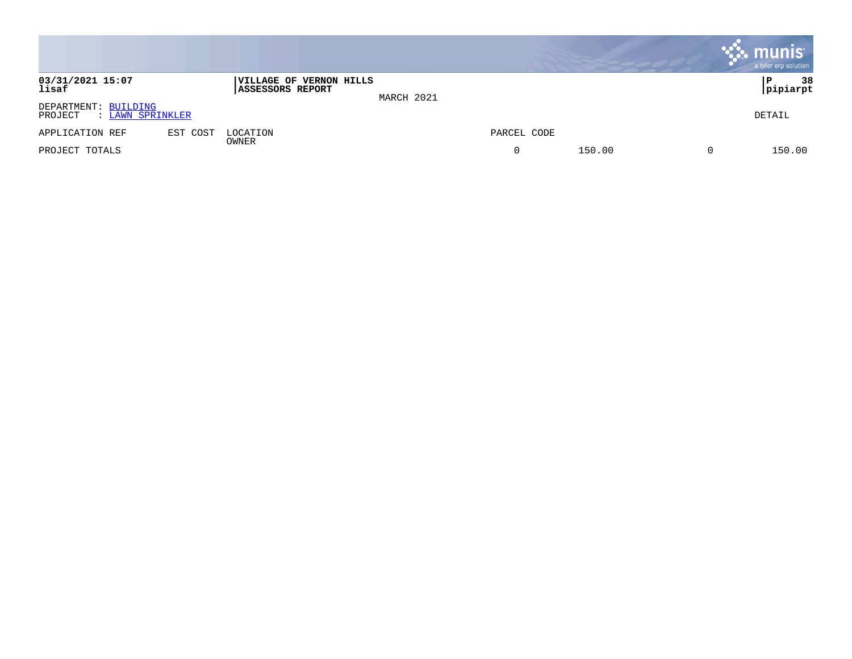|                                                     |          |                                                            |            |             |        | $\cdot$ munis $\cdot$<br>a tyler erp solution |
|-----------------------------------------------------|----------|------------------------------------------------------------|------------|-------------|--------|-----------------------------------------------|
| 03/31/2021 15:07<br>lisaf                           |          | <b> VILLAGE OF VERNON HILLS</b><br><b>ASSESSORS REPORT</b> | MARCH 2021 |             |        | 38<br>P<br> pipiarpt                          |
| DEPARTMENT: BUILDING<br>PROJECT<br>: LAWN SPRINKLER |          |                                                            |            |             |        | DETAIL                                        |
| APPLICATION REF                                     | EST COST | LOCATION                                                   |            | PARCEL CODE |        |                                               |
| PROJECT TOTALS                                      |          | OWNER                                                      |            |             | 150.00 | 150.00                                        |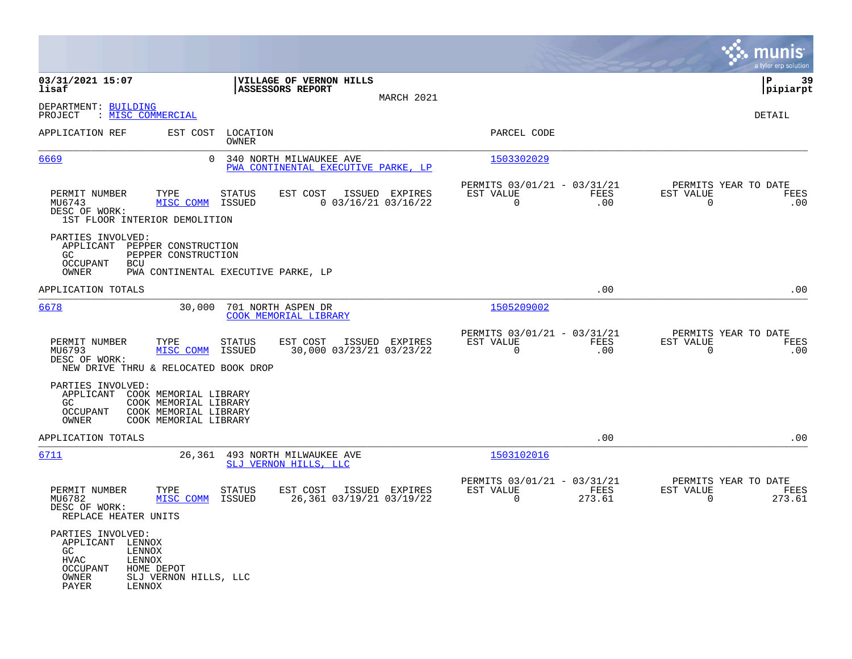|                                                                                                                                                                       |                                                                                   |                                                                           | munis<br>a tyler erp solution                                      |
|-----------------------------------------------------------------------------------------------------------------------------------------------------------------------|-----------------------------------------------------------------------------------|---------------------------------------------------------------------------|--------------------------------------------------------------------|
| 03/31/2021 15:07<br>lisaf                                                                                                                                             | VILLAGE OF VERNON HILLS<br>ASSESSORS REPORT<br>MARCH 2021                         |                                                                           | P<br>-39<br> pipiarpt                                              |
| DEPARTMENT: BUILDING<br>PROJECT<br>: MISC COMMERCIAL                                                                                                                  |                                                                                   |                                                                           | DETAIL                                                             |
| APPLICATION REF                                                                                                                                                       | EST COST LOCATION<br>OWNER                                                        | PARCEL CODE                                                               |                                                                    |
| <u>6669</u>                                                                                                                                                           | $\Omega$<br>340 NORTH MILWAUKEE AVE<br>PWA CONTINENTAL EXECUTIVE PARKE, LP        | 1503302029                                                                |                                                                    |
| PERMIT NUMBER<br>TYPE<br>MU6743<br>MISC COMM<br>DESC OF WORK:<br>1ST FLOOR INTERIOR DEMOLITION                                                                        | EST COST<br>ISSUED EXPIRES<br>STATUS<br>$0$ 03/16/21 03/16/22<br>ISSUED           | PERMITS 03/01/21 - 03/31/21<br>EST VALUE<br>FEES<br>$\Omega$<br>.00       | PERMITS YEAR TO DATE<br>EST VALUE<br>FEES<br>$\Omega$<br>.00       |
| PARTIES INVOLVED:<br>APPLICANT PEPPER CONSTRUCTION<br>GC<br>PEPPER CONSTRUCTION<br>OCCUPANT<br><b>BCU</b><br>OWNER                                                    | PWA CONTINENTAL EXECUTIVE PARKE, LP                                               |                                                                           |                                                                    |
| APPLICATION TOTALS                                                                                                                                                    |                                                                                   | .00                                                                       | .00                                                                |
| 6678                                                                                                                                                                  | 30,000<br>701 NORTH ASPEN DR<br>COOK MEMORIAL LIBRARY                             | 1505209002                                                                |                                                                    |
| PERMIT NUMBER<br>TYPE<br>MU6793<br>MISC COMM<br>DESC OF WORK:<br>NEW DRIVE THRU & RELOCATED BOOK DROP                                                                 | <b>STATUS</b><br>EST COST<br>ISSUED EXPIRES<br>30,000 03/23/21 03/23/22<br>ISSUED | PERMITS 03/01/21 - 03/31/21<br>EST VALUE<br>FEES<br>$\mathbf 0$<br>.00    | PERMITS YEAR TO DATE<br>EST VALUE<br>FEES<br>$\mathbf 0$<br>.00    |
| PARTIES INVOLVED:<br>APPLICANT COOK MEMORIAL LIBRARY<br>COOK MEMORIAL LIBRARY<br>GC<br>COOK MEMORIAL LIBRARY<br>OCCUPANT<br>OWNER<br>COOK MEMORIAL LIBRARY            |                                                                                   |                                                                           |                                                                    |
| APPLICATION TOTALS                                                                                                                                                    |                                                                                   | .00                                                                       | .00                                                                |
| 6711                                                                                                                                                                  | 26,361 493 NORTH MILWAUKEE AVE<br>SLJ VERNON HILLS, LLC                           | 1503102016                                                                |                                                                    |
| PERMIT NUMBER<br>TYPE<br>MISC COMM<br>MU6782<br>DESC OF WORK:<br>REPLACE HEATER UNITS                                                                                 | <b>STATUS</b><br>EST COST<br>ISSUED EXPIRES<br>26,361 03/19/21 03/19/22<br>ISSUED | PERMITS 03/01/21 - 03/31/21<br>EST VALUE<br>FEES<br>$\mathbf 0$<br>273.61 | PERMITS YEAR TO DATE<br>EST VALUE<br>FEES<br>$\mathbf 0$<br>273.61 |
| PARTIES INVOLVED:<br>APPLICANT LENNOX<br>LENNOX<br>GC.<br>HVAC<br>LENNOX<br><b>OCCUPANT</b><br>HOME DEPOT<br>SLJ VERNON HILLS, LLC<br>OWNER<br><b>PAYER</b><br>LENNOX |                                                                                   |                                                                           |                                                                    |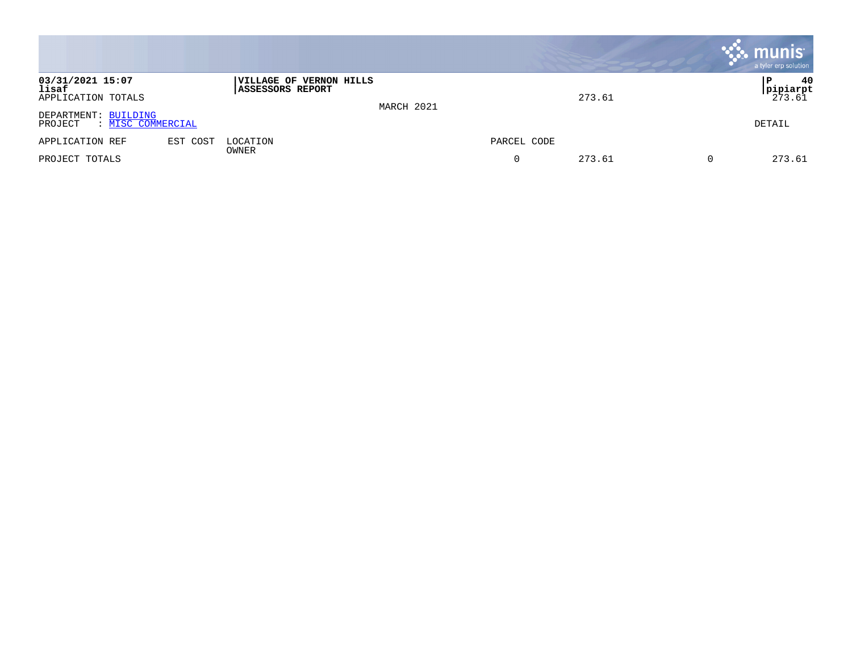|                                                      |                                             |            |             |        | munis'<br>a tyler erp solution       |
|------------------------------------------------------|---------------------------------------------|------------|-------------|--------|--------------------------------------|
| 03/31/2021 15:07<br>lisaf<br>APPLICATION TOTALS      | VILLAGE OF VERNON HILLS<br>ASSESSORS REPORT | MARCH 2021 |             | 273.61 | 40<br>Р<br><b>pipiarpt</b><br>273.61 |
| DEPARTMENT: BUILDING<br>: MISC COMMERCIAL<br>PROJECT |                                             |            |             |        | DETAIL                               |
| APPLICATION REF<br>EST COST                          | LOCATION<br>OWNER                           |            | PARCEL CODE |        |                                      |
| PROJECT TOTALS                                       |                                             |            |             | 273.61 | 273.61                               |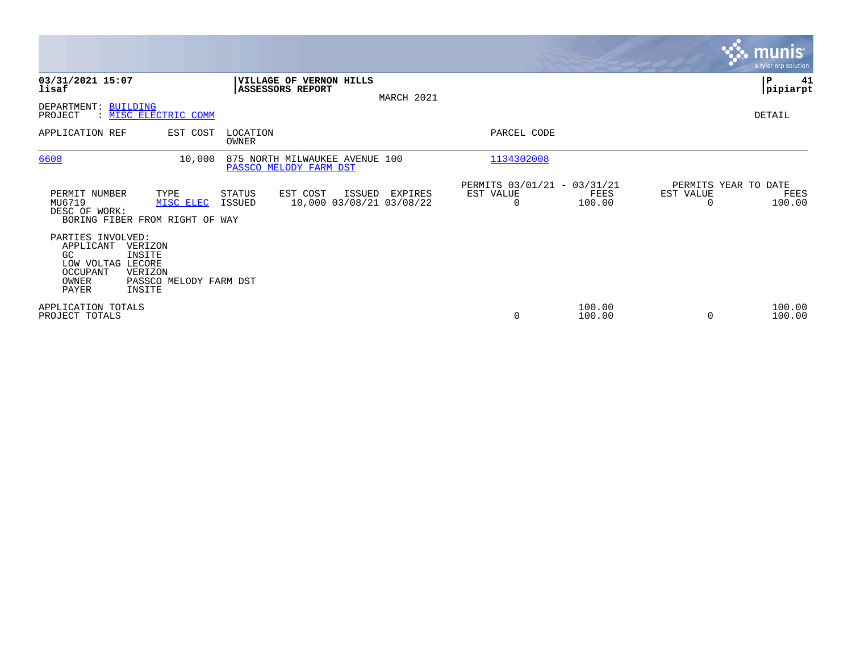|                                                                                          |                                                                  |                         |                                                           |            |                                               |                  |           | <u>munis </u><br>a tyler erp solution  |
|------------------------------------------------------------------------------------------|------------------------------------------------------------------|-------------------------|-----------------------------------------------------------|------------|-----------------------------------------------|------------------|-----------|----------------------------------------|
| 03/31/2021 15:07<br>lisaf                                                                |                                                                  |                         | <b>VILLAGE OF VERNON HILLS</b><br><b>ASSESSORS REPORT</b> | MARCH 2021 |                                               |                  |           | ∣₽<br>41<br> pipiarpt                  |
| DEPARTMENT: BUILDING<br>PROJECT                                                          | : MISC ELECTRIC COMM                                             |                         |                                                           |            |                                               |                  |           | DETAIL                                 |
| APPLICATION REF                                                                          | EST COST                                                         | LOCATION<br>OWNER       |                                                           |            | PARCEL CODE                                   |                  |           |                                        |
| 6608                                                                                     | 10,000                                                           |                         | 875 NORTH MILWAUKEE AVENUE 100<br>PASSCO MELODY FARM DST  |            | 1134302008                                    |                  |           |                                        |
| PERMIT NUMBER<br>MU6719<br>DESC OF WORK:                                                 | TYPE<br>MISC ELEC<br>BORING FIBER FROM RIGHT OF WAY              | <b>STATUS</b><br>ISSUED | EST COST<br>ISSUED<br>10,000 03/08/21 03/08/22            | EXPIRES    | PERMITS 03/01/21 - 03/31/21<br>EST VALUE<br>0 | FEES<br>100.00   | EST VALUE | PERMITS YEAR TO DATE<br>FEES<br>100.00 |
| PARTIES INVOLVED:<br>APPLICANT<br>GC.<br>LOW VOLTAG LECORE<br>OCCUPANT<br>OWNER<br>PAYER | VERIZON<br>INSITE<br>VERIZON<br>PASSCO MELODY FARM DST<br>INSITE |                         |                                                           |            |                                               |                  |           |                                        |
| APPLICATION TOTALS<br>PROJECT TOTALS                                                     |                                                                  |                         |                                                           |            | 0                                             | 100.00<br>100.00 |           | 100.00<br>100.00                       |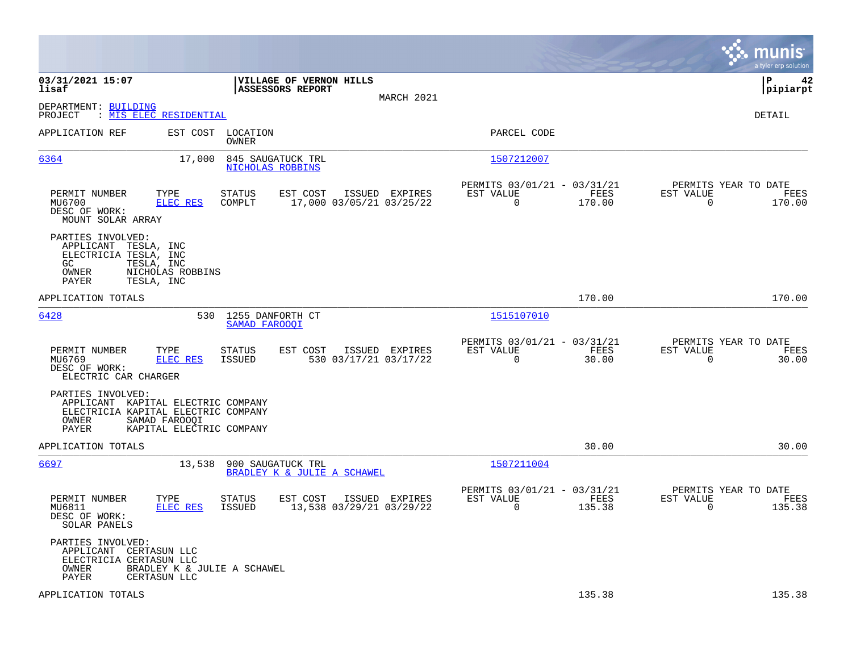|                                                                                                                                                                      |                                                                                          |                                                                            | munis<br>a tyler erp solution                                   |
|----------------------------------------------------------------------------------------------------------------------------------------------------------------------|------------------------------------------------------------------------------------------|----------------------------------------------------------------------------|-----------------------------------------------------------------|
| 03/31/2021 15:07<br>lisaf                                                                                                                                            | VILLAGE OF VERNON HILLS<br>ASSESSORS REPORT<br>MARCH 2021                                |                                                                            | P<br>42<br>pipiarpt                                             |
| DEPARTMENT: BUILDING<br>PROJECT<br>: MIS ELEC RESIDENTIAL                                                                                                            |                                                                                          |                                                                            | DETAIL                                                          |
| APPLICATION REF                                                                                                                                                      | EST COST LOCATION<br>OWNER                                                               | PARCEL CODE                                                                |                                                                 |
| 6364<br>17,000                                                                                                                                                       | 845 SAUGATUCK TRL<br>NICHOLAS ROBBINS                                                    | 1507212007                                                                 |                                                                 |
| PERMIT NUMBER<br>TYPE<br>MU6700<br>ELEC RES<br>DESC OF WORK:<br>MOUNT SOLAR ARRAY                                                                                    | <b>STATUS</b><br>EST COST<br>ISSUED EXPIRES<br>17,000 03/05/21 03/25/22<br>COMPLT        | PERMITS 03/01/21 - 03/31/21<br>EST VALUE<br>FEES<br>$\mathsf{O}$<br>170.00 | PERMITS YEAR TO DATE<br>EST VALUE<br>FEES<br>$\Omega$<br>170.00 |
| PARTIES INVOLVED:<br>APPLICANT TESLA, INC<br>ELECTRICIA TESLA, INC<br>GC<br>TESLA, INC<br>OWNER<br>NICHOLAS ROBBINS<br><b>PAYER</b><br>TESLA, INC                    |                                                                                          |                                                                            |                                                                 |
| APPLICATION TOTALS                                                                                                                                                   |                                                                                          | 170.00                                                                     | 170.00                                                          |
| 6428<br>530                                                                                                                                                          | 1255 DANFORTH CT<br>SAMAD FAROOQI                                                        | 1515107010                                                                 |                                                                 |
| TYPE<br>PERMIT NUMBER<br><b>ELEC RES</b><br>MU6769<br>DESC OF WORK:<br>ELECTRIC CAR CHARGER                                                                          | <b>STATUS</b><br>EST COST<br>ISSUED EXPIRES<br>530 03/17/21 03/17/22<br><b>ISSUED</b>    | PERMITS 03/01/21 - 03/31/21<br>EST VALUE<br>FEES<br>$\mathbf 0$<br>30.00   | PERMITS YEAR TO DATE<br>EST VALUE<br>FEES<br>$\Omega$<br>30.00  |
| PARTIES INVOLVED:<br>APPLICANT KAPITAL ELECTRIC COMPANY<br>ELECTRICIA KAPITAL ELECTRIC COMPANY<br>OWNER<br>SAMAD FAROOQI<br>KAPITAL ELECTRIC COMPANY<br><b>PAYER</b> |                                                                                          |                                                                            |                                                                 |
| APPLICATION TOTALS                                                                                                                                                   |                                                                                          | 30.00                                                                      | 30.00                                                           |
| 6697<br>13,538                                                                                                                                                       | 900 SAUGATUCK TRL<br>BRADLEY K & JULIE A SCHAWEL                                         | 1507211004                                                                 |                                                                 |
| PERMIT NUMBER<br>TYPE<br>ELEC RES<br>MU6811<br>DESC OF WORK:<br>SOLAR PANELS                                                                                         | <b>STATUS</b><br>EST COST<br>ISSUED EXPIRES<br><b>ISSUED</b><br>13,538 03/29/21 03/29/22 | PERMITS 03/01/21 - 03/31/21<br>EST VALUE<br>FEES<br>$\mathbf 0$<br>135.38  | PERMITS YEAR TO DATE<br>EST VALUE<br>FEES<br>$\Omega$<br>135.38 |
| PARTIES INVOLVED:<br>APPLICANT<br>CERTASUN LLC<br>ELECTRICIA CERTASUN LLC<br>OWNER<br>BRADLEY K & JULIE A SCHAWEL<br><b>PAYER</b><br>CERTASUN LLC                    |                                                                                          |                                                                            |                                                                 |
| APPLICATION TOTALS                                                                                                                                                   |                                                                                          | 135.38                                                                     | 135.38                                                          |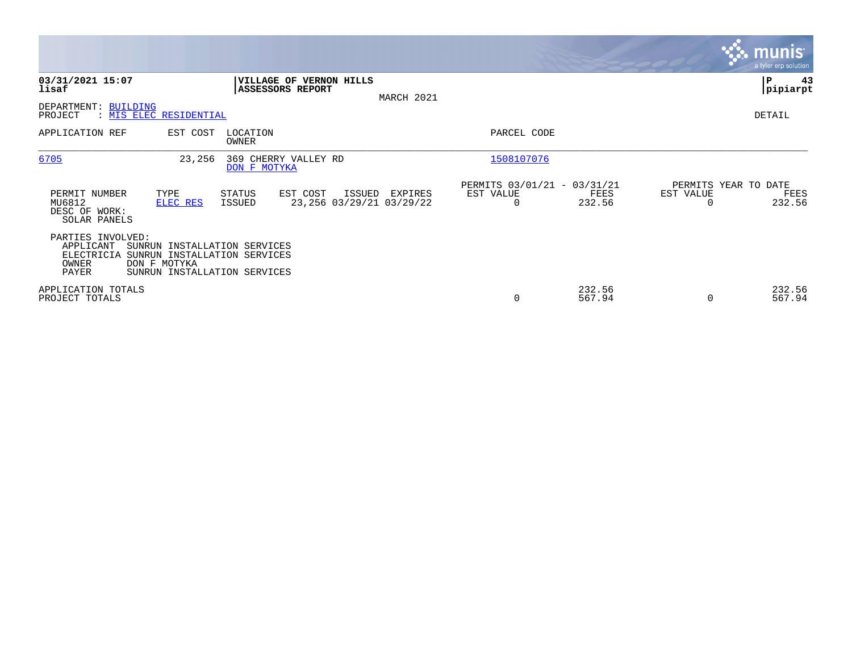|                                                                                             |                                                                              |                   |                                                    |                                               |                                               |                  |           | munis <sup>®</sup><br>a tyler erp solution |
|---------------------------------------------------------------------------------------------|------------------------------------------------------------------------------|-------------------|----------------------------------------------------|-----------------------------------------------|-----------------------------------------------|------------------|-----------|--------------------------------------------|
| 03/31/2021 15:07<br>lisaf                                                                   |                                                                              |                   | <b>VILLAGE OF VERNON HILLS</b><br>ASSESSORS REPORT | MARCH 2021                                    |                                               |                  |           | l P<br>43<br> pipiarpt                     |
| DEPARTMENT: BUILDING<br>PROJECT                                                             | : MIS ELEC RESIDENTIAL                                                       |                   |                                                    |                                               |                                               |                  |           | DETAIL                                     |
| APPLICATION REF                                                                             | EST COST                                                                     | LOCATION<br>OWNER |                                                    |                                               | PARCEL CODE                                   |                  |           |                                            |
| 6705                                                                                        | 23,256                                                                       | DON F MOTYKA      | 369 CHERRY VALLEY RD                               |                                               | 1508107076                                    |                  |           |                                            |
| PERMIT NUMBER<br>MU6812<br>DESC OF WORK:<br>SOLAR PANELS                                    | TYPE<br>ELEC RES                                                             | STATUS<br>ISSUED  | EST COST                                           | ISSUED<br>EXPIRES<br>23,256 03/29/21 03/29/22 | PERMITS 03/01/21 - 03/31/21<br>EST VALUE<br>0 | FEES<br>232.56   | EST VALUE | PERMITS YEAR TO DATE<br>FEES<br>232.56     |
| PARTIES INVOLVED:<br>APPLICANT<br>ELECTRICIA SUNRUN INSTALLATION SERVICES<br>OWNER<br>PAYER | SUNRUN INSTALLATION SERVICES<br>DON F MOTYKA<br>SUNRUN INSTALLATION SERVICES |                   |                                                    |                                               |                                               |                  |           |                                            |
| APPLICATION TOTALS<br>PROJECT TOTALS                                                        |                                                                              |                   |                                                    |                                               | 0                                             | 232.56<br>567.94 | $\Omega$  | 232.56<br>567.94                           |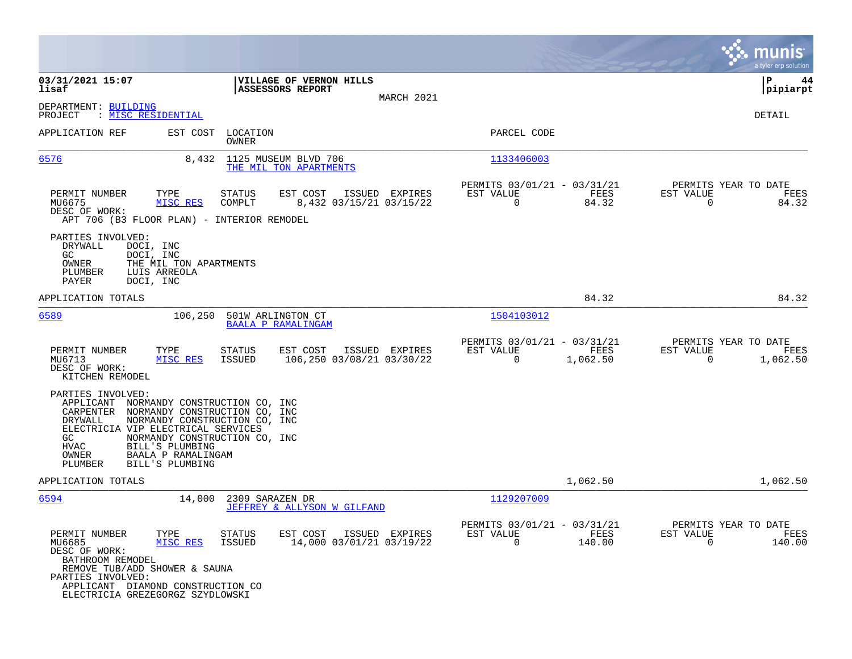|                                                                                                                                                                                                                                                                                                                          |                                                                 |                |                                                            |                  |                                                     | munis<br>a tyler erp solution |
|--------------------------------------------------------------------------------------------------------------------------------------------------------------------------------------------------------------------------------------------------------------------------------------------------------------------------|-----------------------------------------------------------------|----------------|------------------------------------------------------------|------------------|-----------------------------------------------------|-------------------------------|
| 03/31/2021 15:07<br>lisaf                                                                                                                                                                                                                                                                                                | VILLAGE OF VERNON HILLS<br><b>ASSESSORS REPORT</b>              | MARCH 2021     |                                                            |                  |                                                     | IΡ<br>44<br> pipiarpt         |
| DEPARTMENT: BUILDING<br>: MISC RESIDENTIAL<br>PROJECT                                                                                                                                                                                                                                                                    |                                                                 |                |                                                            |                  |                                                     | DETAIL                        |
| APPLICATION REF                                                                                                                                                                                                                                                                                                          | EST COST LOCATION<br>OWNER                                      |                | PARCEL CODE                                                |                  |                                                     |                               |
| 6576<br>8,432                                                                                                                                                                                                                                                                                                            | 1125 MUSEUM BLVD 706<br>THE MIL TON APARTMENTS                  |                | 1133406003                                                 |                  |                                                     |                               |
| TYPE<br>PERMIT NUMBER<br>MISC RES<br>MU6675<br>DESC OF WORK:<br>APT 706 (B3 FLOOR PLAN) - INTERIOR REMODEL                                                                                                                                                                                                               | STATUS<br>EST COST<br>COMPLT<br>8,432 03/15/21 03/15/22         | ISSUED EXPIRES | PERMITS 03/01/21 - 03/31/21<br>EST VALUE<br>$\Omega$       | FEES<br>84.32    | PERMITS YEAR TO DATE<br>EST VALUE<br>$\Omega$       | FEES<br>84.32                 |
| PARTIES INVOLVED:<br>DRYWALL<br>DOCI, INC<br>GC<br>DOCI, INC<br>OWNER<br>THE MIL TON APARTMENTS<br>PLUMBER<br>LUIS ARREOLA<br>PAYER<br>DOCI, INC                                                                                                                                                                         |                                                                 |                |                                                            |                  |                                                     |                               |
| APPLICATION TOTALS                                                                                                                                                                                                                                                                                                       |                                                                 |                |                                                            | 84.32            |                                                     | 84.32                         |
| 6589<br>106,250                                                                                                                                                                                                                                                                                                          | 501W ARLINGTON CT<br><b>BAALA P RAMALINGAM</b>                  |                | 1504103012                                                 |                  |                                                     |                               |
| PERMIT NUMBER<br>TYPE<br>MU6713<br>MISC RES<br>DESC OF WORK:<br>KITCHEN REMODEL                                                                                                                                                                                                                                          | EST COST<br>STATUS<br>106,250 03/08/21 03/30/22<br>ISSUED       | ISSUED EXPIRES | PERMITS 03/01/21 - 03/31/21<br>EST VALUE<br>$\Omega$       | FEES<br>1,062.50 | PERMITS YEAR TO DATE<br>EST VALUE<br>$\Omega$       | FEES<br>1,062.50              |
| PARTIES INVOLVED:<br>APPLICANT NORMANDY CONSTRUCTION CO, INC<br>CARPENTER NORMANDY CONSTRUCTION CO, INC<br>DRYWALL<br>NORMANDY CONSTRUCTION CO, INC<br>ELECTRICIA VIP ELECTRICAL SERVICES<br>NORMANDY CONSTRUCTION CO, INC<br>GC<br>BILL'S PLUMBING<br>HVAC<br>OWNER<br>BAALA P RAMALINGAM<br>BILL'S PLUMBING<br>PLUMBER |                                                                 |                |                                                            |                  |                                                     |                               |
| APPLICATION TOTALS                                                                                                                                                                                                                                                                                                       |                                                                 |                |                                                            | 1,062.50         |                                                     | 1,062.50                      |
| 6594<br>14,000                                                                                                                                                                                                                                                                                                           | 2309 SARAZEN DR<br>JEFFREY & ALLYSON W GILFAND                  |                | 1129207009                                                 |                  |                                                     |                               |
| PERMIT NUMBER<br>TYPE<br>MU6685<br>MISC RES<br>DESC OF WORK:<br>BATHROOM REMODEL<br>REMOVE TUB/ADD SHOWER & SAUNA<br>PARTIES INVOLVED:<br>APPLICANT DIAMOND CONSTRUCTION CO<br>ELECTRICIA GREZEGORGZ SZYDLOWSKI                                                                                                          | <b>STATUS</b><br>EST COST<br>14,000 03/01/21 03/19/22<br>ISSUED | ISSUED EXPIRES | PERMITS 03/01/21 - 03/31/21<br>EST VALUE<br>$\overline{0}$ | FEES<br>140.00   | PERMITS YEAR TO DATE<br>EST VALUE<br>$\overline{0}$ | FEES<br>140.00                |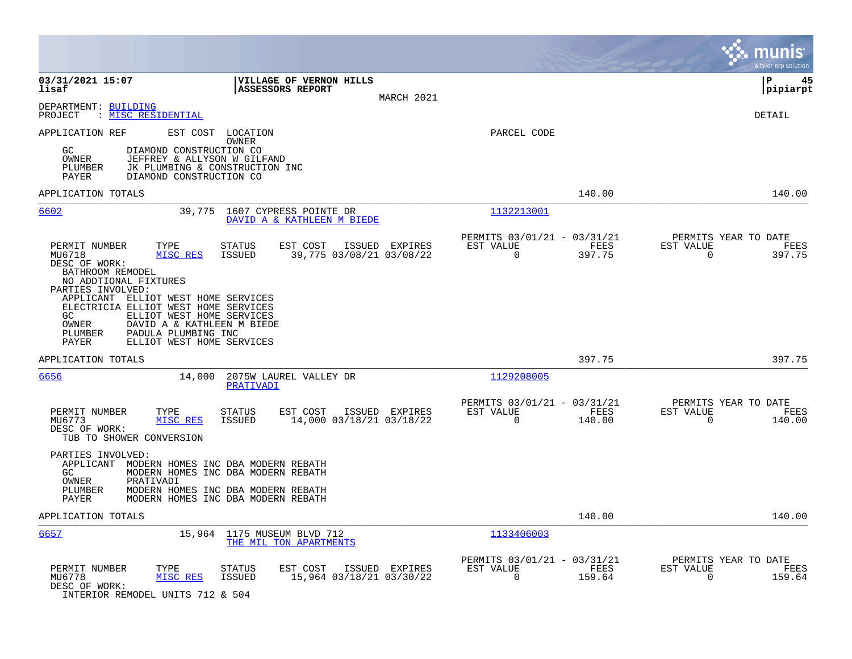|                                                                                                                                                                                                                                                                                                                                                                                                                                                      |                                                                           | munis<br>a tyler erp solution                                         |
|------------------------------------------------------------------------------------------------------------------------------------------------------------------------------------------------------------------------------------------------------------------------------------------------------------------------------------------------------------------------------------------------------------------------------------------------------|---------------------------------------------------------------------------|-----------------------------------------------------------------------|
| 03/31/2021 15:07<br>VILLAGE OF VERNON HILLS<br>ASSESSORS REPORT<br>lisaf<br>MARCH 2021                                                                                                                                                                                                                                                                                                                                                               |                                                                           | lР<br>45<br> pipiarpt                                                 |
| DEPARTMENT: BUILDING<br>: MISC RESIDENTIAL<br>PROJECT                                                                                                                                                                                                                                                                                                                                                                                                |                                                                           | <b>DETAIL</b>                                                         |
| APPLICATION REF<br>EST COST LOCATION<br><b>OWNER</b><br>GC<br>DIAMOND CONSTRUCTION CO<br>OWNER<br>JEFFREY & ALLYSON W GILFAND<br>JK PLUMBING & CONSTRUCTION INC<br>PLUMBER<br>PAYER<br>DIAMOND CONSTRUCTION CO                                                                                                                                                                                                                                       | PARCEL CODE                                                               |                                                                       |
| APPLICATION TOTALS                                                                                                                                                                                                                                                                                                                                                                                                                                   | 140.00                                                                    | 140.00                                                                |
| 6602<br>39,775 1607 CYPRESS POINTE DR<br>DAVID A & KATHLEEN M BIEDE                                                                                                                                                                                                                                                                                                                                                                                  | 1132213001                                                                |                                                                       |
| PERMIT NUMBER<br>TYPE<br><b>STATUS</b><br>EST COST<br>ISSUED EXPIRES<br>MISC RES<br>ISSUED<br>39,775 03/08/21 03/08/22<br>MU6718<br>DESC OF WORK:<br>BATHROOM REMODEL<br>NO ADDTIONAL FIXTURES<br>PARTIES INVOLVED:<br>APPLICANT ELLIOT WEST HOME SERVICES<br>ELECTRICIA ELLIOT WEST HOME SERVICES<br>ELLIOT WEST HOME SERVICES<br>GC<br>DAVID A & KATHLEEN M BIEDE<br>OWNER<br>PADULA PLUMBING INC<br>PLUMBER<br>ELLIOT WEST HOME SERVICES<br>PAYER | PERMITS 03/01/21 - 03/31/21<br>EST VALUE<br>FEES<br>$\mathbf 0$<br>397.75 | PERMITS YEAR TO DATE<br>EST VALUE<br>FEES<br>$\mathbf 0$<br>397.75    |
| APPLICATION TOTALS                                                                                                                                                                                                                                                                                                                                                                                                                                   | 397.75                                                                    | 397.75                                                                |
| 14,000<br>6656<br>2075W LAUREL VALLEY DR<br>PRATIVADI                                                                                                                                                                                                                                                                                                                                                                                                | 1129208005                                                                |                                                                       |
| PERMIT NUMBER<br>TYPE<br>EST COST<br>ISSUED EXPIRES<br><b>STATUS</b><br>MU6773<br>MISC RES<br>14,000 03/18/21 03/18/22<br>ISSUED<br>DESC OF WORK:<br>TUB TO SHOWER CONVERSION                                                                                                                                                                                                                                                                        | PERMITS 03/01/21 - 03/31/21<br>EST VALUE<br>FEES<br>$\Omega$<br>140.00    | PERMITS YEAR TO DATE<br>EST VALUE<br>FEES<br>$\Omega$<br>140.00       |
| PARTIES INVOLVED:<br>APPLICANT MODERN HOMES INC DBA MODERN REBATH<br>MODERN HOMES INC DBA MODERN REBATH<br>GC<br>OWNER<br>PRATIVADI<br>PLUMBER<br>MODERN HOMES INC DBA MODERN REBATH<br>MODERN HOMES INC DBA MODERN REBATH<br>PAYER                                                                                                                                                                                                                  |                                                                           |                                                                       |
| APPLICATION TOTALS                                                                                                                                                                                                                                                                                                                                                                                                                                   | 140.00                                                                    | 140.00                                                                |
| 6657<br>15,964 1175 MUSEUM BLVD 712<br>THE MIL TON APARTMENTS                                                                                                                                                                                                                                                                                                                                                                                        | 1133406003                                                                |                                                                       |
| PERMIT NUMBER<br>TYPE<br><b>STATUS</b><br>EST COST<br>ISSUED EXPIRES<br>15,964 03/18/21 03/30/22<br>MU6778<br>MISC RES<br>ISSUED<br>DESC OF WORK:<br>INTERIOR REMODEL UNITS 712 & 504                                                                                                                                                                                                                                                                | PERMITS 03/01/21 - 03/31/21<br>EST VALUE<br>FEES<br>$\mathbf 0$<br>159.64 | PERMITS YEAR TO DATE<br>EST VALUE<br>FEES<br>159.64<br>$\overline{0}$ |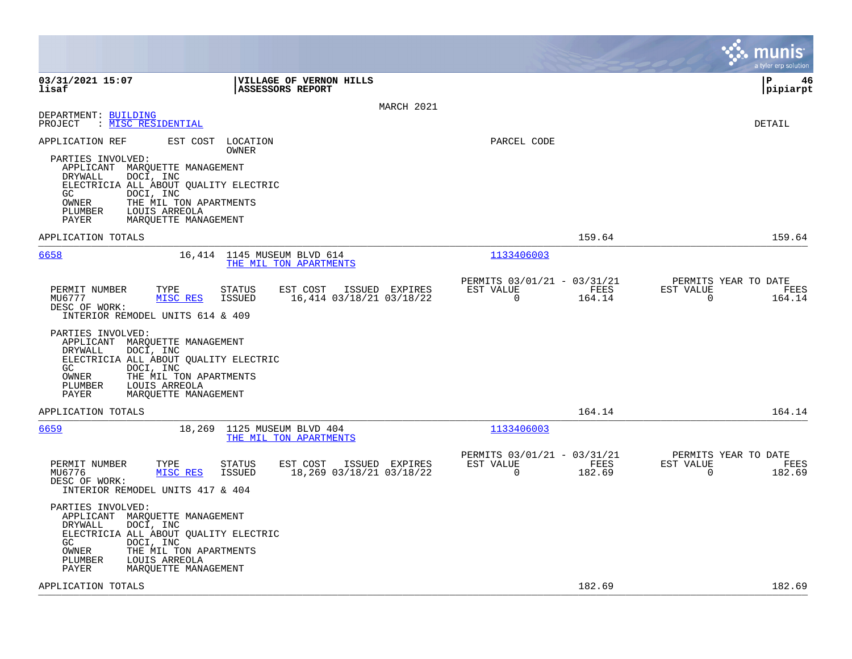|                                                                                                                                                                                                                                                                                              |                                            |                                                         |                | munis<br>a tyler erp solution                                      |
|----------------------------------------------------------------------------------------------------------------------------------------------------------------------------------------------------------------------------------------------------------------------------------------------|--------------------------------------------|---------------------------------------------------------|----------------|--------------------------------------------------------------------|
| 03/31/2021 15:07<br>VILLAGE OF VERNON HILLS<br>lisaf<br><b>ASSESSORS REPORT</b>                                                                                                                                                                                                              |                                            |                                                         |                | l P<br>46<br> pipiarpt                                             |
|                                                                                                                                                                                                                                                                                              | MARCH 2021                                 |                                                         |                |                                                                    |
| DEPARTMENT: BUILDING<br>: MISC RESIDENTIAL<br>PROJECT                                                                                                                                                                                                                                        |                                            |                                                         |                | DETAIL                                                             |
| APPLICATION REF<br>EST COST<br>LOCATION<br>OWNER<br>PARTIES INVOLVED:<br>APPLICANT MARQUETTE MANAGEMENT<br>DOCI, INC<br>DRYWALL<br>ELECTRICIA ALL ABOUT QUALITY ELECTRIC<br>DOCI, INC<br>GC.<br>OWNER<br>THE MIL TON APARTMENTS<br>PLUMBER<br>LOUIS ARREOLA<br>PAYER<br>MAROUETTE MANAGEMENT |                                            | PARCEL CODE                                             |                |                                                                    |
| APPLICATION TOTALS                                                                                                                                                                                                                                                                           |                                            |                                                         | 159.64         | 159.64                                                             |
| 6658<br>16,414 1145 MUSEUM BLVD 614<br>THE MIL TON APARTMENTS                                                                                                                                                                                                                                |                                            | 1133406003                                              |                |                                                                    |
| PERMIT NUMBER<br>TYPE<br>STATUS<br>EST COST<br>MU6777<br>MISC RES<br><b>ISSUED</b><br>DESC OF WORK:<br>INTERIOR REMODEL UNITS 614 & 409                                                                                                                                                      | ISSUED EXPIRES<br>16,414 03/18/21 03/18/22 | PERMITS 03/01/21 - 03/31/21<br>EST VALUE<br>$\mathbf 0$ | FEES<br>164.14 | PERMITS YEAR TO DATE<br>EST VALUE<br>FEES<br>$\mathbf 0$<br>164.14 |
| PARTIES INVOLVED:<br>APPLICANT MARQUETTE MANAGEMENT<br>DOCI, INC<br>DRYWALL<br>ELECTRICIA ALL ABOUT QUALITY ELECTRIC<br>GC.<br>DOCI, INC<br>OWNER<br>THE MIL TON APARTMENTS<br>LOUIS ARREOLA<br>PLUMBER<br>PAYER<br>MARQUETTE MANAGEMENT                                                     |                                            |                                                         |                |                                                                    |
| APPLICATION TOTALS                                                                                                                                                                                                                                                                           |                                            |                                                         | 164.14         | 164.14                                                             |
| 6659<br>18,269<br>1125 MUSEUM BLVD 404<br>THE MIL TON APARTMENTS                                                                                                                                                                                                                             |                                            | 1133406003                                              |                |                                                                    |
| PERMIT NUMBER<br>TYPE<br><b>STATUS</b><br>EST COST<br>MU6776<br>MISC RES<br>ISSUED<br>DESC OF WORK:<br>INTERIOR REMODEL UNITS 417 & 404                                                                                                                                                      | ISSUED EXPIRES<br>18,269 03/18/21 03/18/22 | PERMITS 03/01/21 - 03/31/21<br>EST VALUE<br>$\mathbf 0$ | FEES<br>182.69 | PERMITS YEAR TO DATE<br>EST VALUE<br>FEES<br>$\mathbf 0$<br>182.69 |
| PARTIES INVOLVED:<br>APPLICANT MARQUETTE MANAGEMENT<br>DRYWALL<br>DOCI, INC<br>ELECTRICIA ALL ABOUT QUALITY ELECTRIC<br>GC.<br>DOCI, INC<br>OWNER<br>THE MIL TON APARTMENTS<br>PLUMBER<br>LOUIS ARREOLA<br>PAYER<br>MAROUETTE MANAGEMENT                                                     |                                            |                                                         |                |                                                                    |
| APPLICATION TOTALS                                                                                                                                                                                                                                                                           |                                            |                                                         | 182.69         | 182.69                                                             |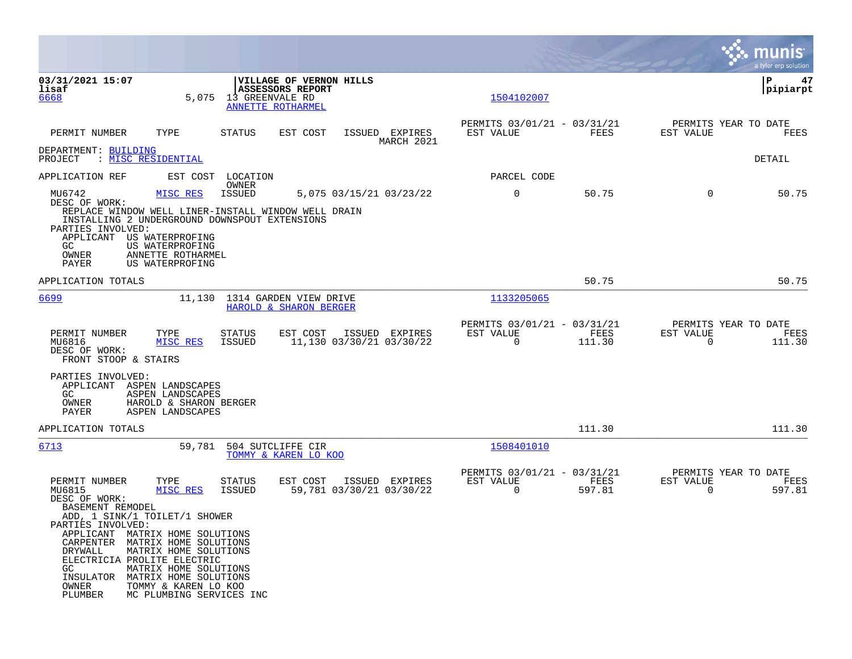|                                                                                                                                                                                                                                                                                                                                                                                                                                                                                                                   |                                                                           | munis<br>a tyler erp solution                                      |
|-------------------------------------------------------------------------------------------------------------------------------------------------------------------------------------------------------------------------------------------------------------------------------------------------------------------------------------------------------------------------------------------------------------------------------------------------------------------------------------------------------------------|---------------------------------------------------------------------------|--------------------------------------------------------------------|
| 03/31/2021 15:07<br>VILLAGE OF VERNON HILLS<br>ASSESSORS REPORT<br>lisaf<br>6668<br>5,075<br>13 GREENVALE RD<br>ANNETTE ROTHARMEL                                                                                                                                                                                                                                                                                                                                                                                 | 1504102007                                                                | ΙP<br>47<br> pipiarpt                                              |
| PERMIT NUMBER<br>TYPE<br>STATUS<br>EST COST<br>ISSUED EXPIRES<br>MARCH 2021                                                                                                                                                                                                                                                                                                                                                                                                                                       | PERMITS 03/01/21 - 03/31/21<br>EST VALUE<br>FEES                          | PERMITS YEAR TO DATE<br>EST VALUE<br>FEES                          |
| DEPARTMENT: BUILDING<br>: MISC RESIDENTIAL<br>PROJECT                                                                                                                                                                                                                                                                                                                                                                                                                                                             |                                                                           | <b>DETAIL</b>                                                      |
| APPLICATION REF<br>EST COST<br>LOCATION<br>OWNER                                                                                                                                                                                                                                                                                                                                                                                                                                                                  | PARCEL CODE                                                               |                                                                    |
| MU6742<br>MISC RES<br><b>ISSUED</b><br>5,075 03/15/21 03/23/22<br>DESC OF WORK:<br>REPLACE WINDOW WELL LINER-INSTALL WINDOW WELL DRAIN<br>INSTALLING 2 UNDERGROUND DOWNSPOUT EXTENSIONS<br>PARTIES INVOLVED:<br>APPLICANT<br>US WATERPROFING<br>US WATERPROFING<br>GC<br>OWNER<br>ANNETTE ROTHARMEL<br>PAYER<br>US WATERPROFING                                                                                                                                                                                   | 0<br>50.75                                                                | 50.75<br>0                                                         |
| APPLICATION TOTALS                                                                                                                                                                                                                                                                                                                                                                                                                                                                                                | 50.75                                                                     | 50.75                                                              |
| 6699<br>1314 GARDEN VIEW DRIVE<br>11,130<br>HAROLD & SHARON BERGER                                                                                                                                                                                                                                                                                                                                                                                                                                                | 1133205065                                                                |                                                                    |
| STATUS<br>PERMIT NUMBER<br>TYPE<br>EST COST<br>ISSUED EXPIRES<br>11,130 03/30/21 03/30/22<br>MU6816<br>MISC RES<br><b>ISSUED</b><br>DESC OF WORK:<br>FRONT STOOP & STAIRS                                                                                                                                                                                                                                                                                                                                         | PERMITS 03/01/21 - 03/31/21<br>EST VALUE<br>FEES<br>$\Omega$<br>111.30    | PERMITS YEAR TO DATE<br>EST VALUE<br>FEES<br>$\Omega$<br>111.30    |
| PARTIES INVOLVED:<br>APPLICANT ASPEN LANDSCAPES<br>GC.<br>ASPEN LANDSCAPES<br>OWNER<br>HAROLD & SHARON BERGER<br>PAYER<br>ASPEN LANDSCAPES                                                                                                                                                                                                                                                                                                                                                                        |                                                                           |                                                                    |
| APPLICATION TOTALS                                                                                                                                                                                                                                                                                                                                                                                                                                                                                                | 111.30                                                                    | 111.30                                                             |
| 6713<br>59,781<br>504 SUTCLIFFE CIR<br>TOMMY & KAREN LO KOO                                                                                                                                                                                                                                                                                                                                                                                                                                                       | 1508401010                                                                |                                                                    |
| STATUS<br>EST COST<br>ISSUED EXPIRES<br>PERMIT NUMBER<br>TYPE<br>MU6815<br>MISC RES<br>ISSUED<br>59,781 03/30/21 03/30/22<br>DESC OF WORK:<br>BASEMENT REMODEL<br>ADD, 1 SINK/1 TOILET/1 SHOWER<br>PARTIES INVOLVED:<br>APPLICANT<br>MATRIX HOME SOLUTIONS<br>MATRIX HOME SOLUTIONS<br>CARPENTER<br>DRYWALL<br>MATRIX HOME SOLUTIONS<br>ELECTRICIA PROLITE ELECTRIC<br>MATRIX HOME SOLUTIONS<br>GC.<br>MATRIX HOME SOLUTIONS<br>INSULATOR<br>OWNER<br>TOMMY & KAREN LO KOO<br>PLUMBER<br>MC PLUMBING SERVICES INC | PERMITS 03/01/21 - 03/31/21<br>EST VALUE<br>FEES<br>$\mathbf 0$<br>597.81 | PERMITS YEAR TO DATE<br>EST VALUE<br>FEES<br>$\mathbf 0$<br>597.81 |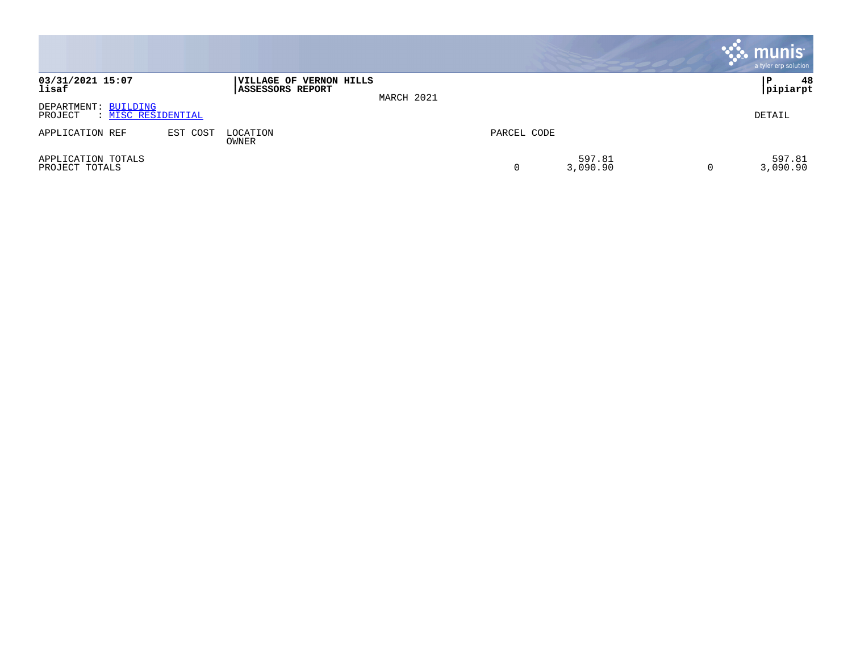|                                                       |          |                                                            |            |             |                    | $\cdot$ munis $\cdot$<br>a tyler erp solution |
|-------------------------------------------------------|----------|------------------------------------------------------------|------------|-------------|--------------------|-----------------------------------------------|
| 03/31/2021 15:07<br>lisaf                             |          | <b> VILLAGE OF VERNON HILLS</b><br><b>ASSESSORS REPORT</b> | MARCH 2021 |             |                    | 48<br> pipiarpt                               |
| DEPARTMENT: BUILDING<br>: MISC RESIDENTIAL<br>PROJECT |          |                                                            |            |             |                    | DETAIL                                        |
| APPLICATION REF                                       | EST COST | LOCATION<br>OWNER                                          |            | PARCEL CODE |                    |                                               |
| APPLICATION TOTALS<br>PROJECT TOTALS                  |          |                                                            |            | 0           | 597.81<br>3,090.90 | 597.81<br>3,090.90                            |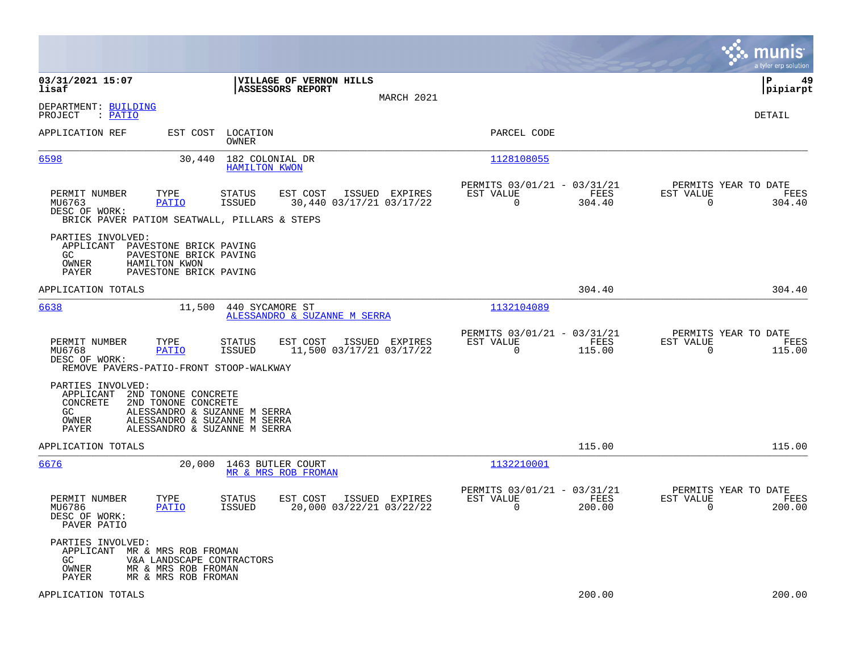|                                                                                                                                                                                                                          |                                                                  |                                                                           | munis<br>a tyler erp solution                                      |
|--------------------------------------------------------------------------------------------------------------------------------------------------------------------------------------------------------------------------|------------------------------------------------------------------|---------------------------------------------------------------------------|--------------------------------------------------------------------|
| 03/31/2021 15:07<br>lisaf                                                                                                                                                                                                | VILLAGE OF VERNON HILLS<br><b>ASSESSORS REPORT</b><br>MARCH 2021 |                                                                           | lР<br>49<br> pipiarpt                                              |
| DEPARTMENT: BUILDING<br>PROJECT<br>: PATIO                                                                                                                                                                               |                                                                  |                                                                           | DETAIL                                                             |
| APPLICATION REF<br>EST COST LOCATION<br>OWNER                                                                                                                                                                            |                                                                  | PARCEL CODE                                                               |                                                                    |
| 6598<br>30,440                                                                                                                                                                                                           | 182 COLONIAL DR<br>HAMILTON KWON                                 | 1128108055                                                                |                                                                    |
| PERMIT NUMBER<br>TYPE<br>STATUS<br>MU6763<br><b>PATIO</b><br><b>ISSUED</b><br>DESC OF WORK:<br>BRICK PAVER PATIOM SEATWALL, PILLARS & STEPS                                                                              | EST COST<br>ISSUED EXPIRES<br>30,440 03/17/21 03/17/22           | PERMITS 03/01/21 - 03/31/21<br>EST VALUE<br>FEES<br>$\mathbf 0$<br>304.40 | PERMITS YEAR TO DATE<br>EST VALUE<br>FEES<br>0<br>304.40           |
| PARTIES INVOLVED:<br>APPLICANT<br>PAVESTONE BRICK PAVING<br>PAVESTONE BRICK PAVING<br>GC<br>OWNER<br>HAMILTON KWON<br>PAYER<br>PAVESTONE BRICK PAVING                                                                    |                                                                  |                                                                           |                                                                    |
| APPLICATION TOTALS                                                                                                                                                                                                       |                                                                  | 304.40                                                                    | 304.40                                                             |
| 6638<br>11,500                                                                                                                                                                                                           | 440 SYCAMORE ST<br>ALESSANDRO & SUZANNE M SERRA                  | 1132104089                                                                |                                                                    |
| PERMIT NUMBER<br>TYPE<br><b>STATUS</b><br>MU6768<br><b>PATIO</b><br><b>ISSUED</b><br>DESC OF WORK:<br>REMOVE PAVERS-PATIO-FRONT STOOP-WALKWAY                                                                            | EST COST<br>ISSUED EXPIRES<br>11,500 03/17/21 03/17/22           | PERMITS 03/01/21 - 03/31/21<br>EST VALUE<br>FEES<br>115.00<br>$\Omega$    | PERMITS YEAR TO DATE<br>EST VALUE<br>FEES<br>$\Omega$<br>115.00    |
| PARTIES INVOLVED:<br>APPLICANT<br>2ND TONONE CONCRETE<br><b>CONCRETE</b><br>2ND TONONE CONCRETE<br>GC.<br>ALESSANDRO & SUZANNE M SERRA<br>ALESSANDRO & SUZANNE M SERRA<br>OWNER<br>ALESSANDRO & SUZANNE M SERRA<br>PAYER |                                                                  |                                                                           |                                                                    |
| APPLICATION TOTALS                                                                                                                                                                                                       |                                                                  | 115.00                                                                    | 115.00                                                             |
| 6676                                                                                                                                                                                                                     | 20,000 1463 BUTLER COURT<br>MR & MRS ROB FROMAN                  | 1132210001                                                                |                                                                    |
| PERMIT NUMBER<br>TYPE<br><b>STATUS</b><br><b>ISSUED</b><br>MU6786<br><b>PATIO</b><br>DESC OF WORK:<br>PAVER PATIO                                                                                                        | EST COST<br>ISSUED EXPIRES<br>20,000 03/22/21 03/22/22           | PERMITS 03/01/21 - 03/31/21<br>EST VALUE<br>FEES<br>$\mathbf 0$<br>200.00 | PERMITS YEAR TO DATE<br>EST VALUE<br>FEES<br>$\mathbf 0$<br>200.00 |
| PARTIES INVOLVED:<br>APPLICANT MR & MRS ROB FROMAN<br>GC<br>V&A LANDSCAPE CONTRACTORS<br>OWNER<br>MR & MRS ROB FROMAN<br>MR & MRS ROB FROMAN<br>PAYER                                                                    |                                                                  |                                                                           |                                                                    |
| APPLICATION TOTALS                                                                                                                                                                                                       |                                                                  | 200.00                                                                    | 200.00                                                             |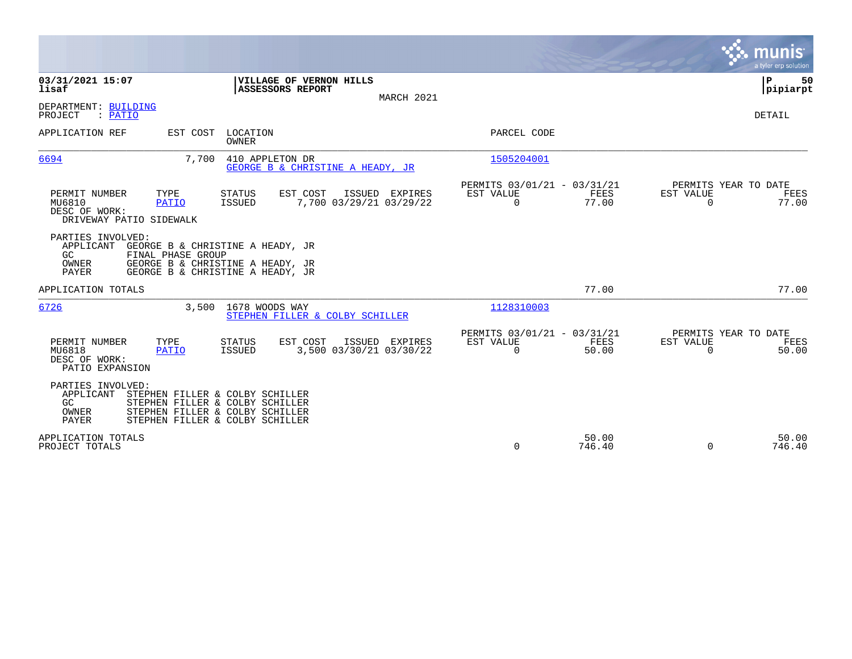|                                                                                                                                                                                                     |                                                                                     | munis<br>a tyler erp solution                                     |
|-----------------------------------------------------------------------------------------------------------------------------------------------------------------------------------------------------|-------------------------------------------------------------------------------------|-------------------------------------------------------------------|
| 03/31/2021 15:07<br>VILLAGE OF VERNON HILLS<br>lisaf<br>ASSESSORS REPORT                                                                                                                            | MARCH 2021                                                                          | P<br>50<br> pipiarpt                                              |
| DEPARTMENT: BUILDING<br>PROJECT<br>: PATIO                                                                                                                                                          |                                                                                     | DETAIL                                                            |
| APPLICATION REF<br>EST COST LOCATION<br><b>OWNER</b>                                                                                                                                                | PARCEL CODE                                                                         |                                                                   |
| 6694<br>7,700<br>410 APPLETON DR<br>GEORGE B & CHRISTINE A HEADY, JR                                                                                                                                | 1505204001                                                                          |                                                                   |
| PERMIT NUMBER<br>TYPE<br>STATUS<br>EST COST<br>ISSUED<br>MU6810<br><b>ISSUED</b><br>7,700 03/29/21 03/29/22<br><b>PATIO</b><br>DESC OF WORK:<br>DRIVEWAY PATIO SIDEWALK                             | PERMITS 03/01/21 - 03/31/21<br>EXPIRES<br>EST VALUE<br>FEES<br>$\mathbf 0$<br>77.00 | PERMITS YEAR TO DATE<br>EST VALUE<br>FEES<br>$\Omega$<br>77.00    |
| PARTIES INVOLVED:<br>GEORGE B & CHRISTINE A HEADY, JR<br>APPLICANT<br>GC<br>FINAL PHASE GROUP<br>GEORGE B & CHRISTINE A HEADY, JR<br>OWNER<br>PAYER<br>GEORGE B & CHRISTINE A HEADY, JR             |                                                                                     |                                                                   |
| APPLICATION TOTALS                                                                                                                                                                                  | 77.00                                                                               | 77.00                                                             |
| 6726<br>3,500 1678 WOODS WAY<br>STEPHEN FILLER & COLBY SCHILLER                                                                                                                                     | 1128310003                                                                          |                                                                   |
| EST COST<br>PERMIT NUMBER<br>TYPE<br><b>STATUS</b><br>ISSUED EXPIRES<br>3,500 03/30/21 03/30/22<br>MU6818<br>ISSUED<br><b>PATIO</b><br>DESC OF WORK:<br>PATIO EXPANSION                             | PERMITS 03/01/21 - 03/31/21<br>FEES<br>EST VALUE<br>50.00<br>0                      | PERMITS YEAR TO DATE<br>EST VALUE<br>FEES<br>50.00<br>$\mathbf 0$ |
| PARTIES INVOLVED:<br>APPLICANT<br>STEPHEN FILLER & COLBY SCHILLER<br>GC.<br>STEPHEN FILLER & COLBY SCHILLER<br>STEPHEN FILLER & COLBY SCHILLER<br>OWNER<br>STEPHEN FILLER & COLBY SCHILLER<br>PAYER |                                                                                     |                                                                   |
| APPLICATION TOTALS<br>PROJECT TOTALS                                                                                                                                                                | 50.00<br>0<br>746.40                                                                | 50.00<br>$\Omega$<br>746.40                                       |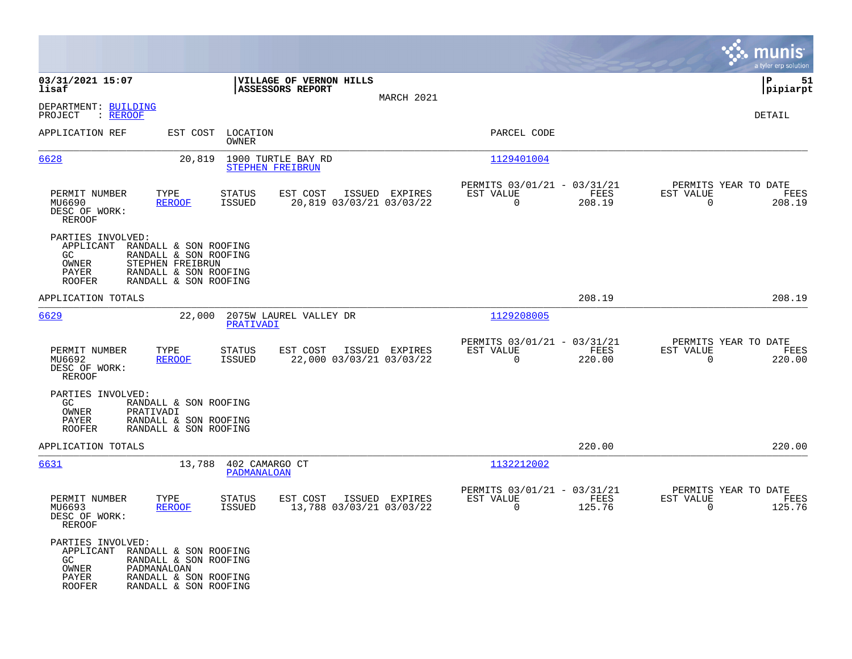|                                                                          |                                                                                                                      |                                |                                             |                                            |                                                         |                |                                                  | munis<br>a tyler erp solution |
|--------------------------------------------------------------------------|----------------------------------------------------------------------------------------------------------------------|--------------------------------|---------------------------------------------|--------------------------------------------|---------------------------------------------------------|----------------|--------------------------------------------------|-------------------------------|
| 03/31/2021 15:07<br>lisaf                                                |                                                                                                                      |                                | VILLAGE OF VERNON HILLS<br>ASSESSORS REPORT | MARCH 2021                                 |                                                         |                |                                                  | P<br>51<br> pipiarpt          |
| DEPARTMENT: BUILDING<br>: REROOF<br>PROJECT                              |                                                                                                                      |                                |                                             |                                            |                                                         |                |                                                  | DETAIL                        |
| APPLICATION REF                                                          | EST COST LOCATION                                                                                                    | OWNER                          |                                             |                                            | PARCEL CODE                                             |                |                                                  |                               |
| 6628                                                                     | 20,819                                                                                                               | STEPHEN FREIBRUN               | 1900 TURTLE BAY RD                          |                                            | 1129401004                                              |                |                                                  |                               |
| PERMIT NUMBER<br>MU6690<br>DESC OF WORK:<br><b>REROOF</b>                | TYPE<br><b>REROOF</b>                                                                                                | <b>STATUS</b><br><b>ISSUED</b> | EST COST                                    | ISSUED EXPIRES<br>20,819 03/03/21 03/03/22 | PERMITS 03/01/21 - 03/31/21<br>EST VALUE<br>0           | FEES<br>208.19 | PERMITS YEAR TO DATE<br>EST VALUE<br>$\mathbf 0$ | FEES<br>208.19                |
| PARTIES INVOLVED:<br>APPLICANT<br>GC.<br>OWNER<br>PAYER<br><b>ROOFER</b> | RANDALL & SON ROOFING<br>RANDALL & SON ROOFING<br>STEPHEN FREIBRUN<br>RANDALL & SON ROOFING<br>RANDALL & SON ROOFING |                                |                                             |                                            |                                                         |                |                                                  |                               |
| APPLICATION TOTALS                                                       |                                                                                                                      |                                |                                             |                                            |                                                         | 208.19         |                                                  | 208.19                        |
| 6629                                                                     | 22,000                                                                                                               | PRATIVADI                      | 2075W LAUREL VALLEY DR                      |                                            | 1129208005                                              |                |                                                  |                               |
| PERMIT NUMBER<br>MU6692<br>DESC OF WORK:<br><b>REROOF</b>                | TYPE<br><b>REROOF</b>                                                                                                | <b>STATUS</b><br><b>ISSUED</b> | EST COST                                    | ISSUED EXPIRES<br>22,000 03/03/21 03/03/22 | PERMITS 03/01/21 - 03/31/21<br>EST VALUE<br>$\mathbf 0$ | FEES<br>220.00 | PERMITS YEAR TO DATE<br>EST VALUE<br>0           | FEES<br>220.00                |
| PARTIES INVOLVED:<br>GC.<br>OWNER<br>PAYER<br><b>ROOFER</b>              | RANDALL & SON ROOFING<br>PRATIVADI<br>RANDALL & SON ROOFING<br>RANDALL & SON ROOFING                                 |                                |                                             |                                            |                                                         |                |                                                  |                               |
| APPLICATION TOTALS                                                       |                                                                                                                      |                                |                                             |                                            |                                                         | 220.00         |                                                  | 220.00                        |
| 6631                                                                     | 13,788                                                                                                               | 402 CAMARGO CT<br>PADMANALOAN  |                                             |                                            | 1132212002                                              |                |                                                  |                               |
| PERMIT NUMBER<br>MU6693<br>DESC OF WORK:<br><b>REROOF</b>                | TYPE<br><b>REROOF</b>                                                                                                | <b>STATUS</b><br>ISSUED        | EST COST                                    | ISSUED EXPIRES<br>13,788 03/03/21 03/03/22 | PERMITS 03/01/21 - 03/31/21<br>EST VALUE<br>$\mathbf 0$ | FEES<br>125.76 | PERMITS YEAR TO DATE<br>EST VALUE<br>$\mathbf 0$ | FEES<br>125.76                |
| PARTIES INVOLVED:<br>APPLICANT<br>GC.<br>OWNER<br>PAYER<br><b>ROOFER</b> | RANDALL & SON ROOFING<br>RANDALL & SON ROOFING<br>PADMANALOAN<br>RANDALL & SON ROOFING<br>RANDALL & SON ROOFING      |                                |                                             |                                            |                                                         |                |                                                  |                               |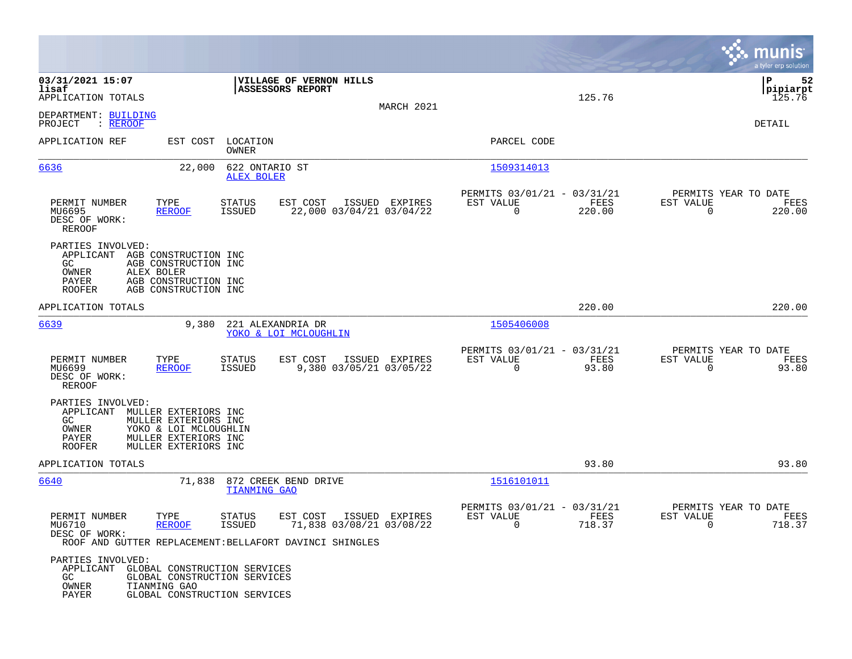|                                                                                               |                                                                                               |                              |                                                                                                 |                |                                                            |                |                                                     | munis<br>a tyler erp solution   |
|-----------------------------------------------------------------------------------------------|-----------------------------------------------------------------------------------------------|------------------------------|-------------------------------------------------------------------------------------------------|----------------|------------------------------------------------------------|----------------|-----------------------------------------------------|---------------------------------|
| 03/31/2021 15:07<br>lisaf<br>APPLICATION TOTALS                                               |                                                                                               |                              | VILLAGE OF VERNON HILLS<br>ASSESSORS REPORT                                                     | MARCH 2021     |                                                            | 125.76         |                                                     | ΙP<br>52<br> pipiarpt<br>125.76 |
| DEPARTMENT: BUILDING<br>PROJECT<br>: REROOF                                                   |                                                                                               |                              |                                                                                                 |                |                                                            |                |                                                     | DETAIL                          |
| APPLICATION REF                                                                               |                                                                                               | EST COST LOCATION<br>OWNER   |                                                                                                 |                | PARCEL CODE                                                |                |                                                     |                                 |
| 6636                                                                                          | 22,000                                                                                        | 622 ONTARIO ST<br>ALEX BOLER |                                                                                                 |                | 1509314013                                                 |                |                                                     |                                 |
| PERMIT NUMBER<br>MU6695<br>DESC OF WORK:<br><b>REROOF</b>                                     | TYPE<br><b>REROOF</b>                                                                         | <b>STATUS</b><br>ISSUED      | EST COST<br>22,000 03/04/21 03/04/22                                                            | ISSUED EXPIRES | PERMITS 03/01/21 - 03/31/21<br>EST VALUE<br>$\mathbf 0$    | FEES<br>220.00 | PERMITS YEAR TO DATE<br>EST VALUE<br>$\overline{0}$ | FEES<br>220.00                  |
| PARTIES INVOLVED:<br>APPLICANT AGB CONSTRUCTION INC<br>GC.<br>OWNER<br>PAYER<br><b>ROOFER</b> | AGB CONSTRUCTION INC<br>ALEX BOLER<br>AGB CONSTRUCTION INC<br>AGB CONSTRUCTION INC            |                              |                                                                                                 |                |                                                            |                |                                                     |                                 |
| APPLICATION TOTALS                                                                            |                                                                                               |                              |                                                                                                 |                |                                                            | 220.00         |                                                     | 220.00                          |
| 6639                                                                                          | 9,380                                                                                         | 221 ALEXANDRIA DR            | YOKO & LOI MCLOUGHLIN                                                                           |                | 1505406008                                                 |                |                                                     |                                 |
| PERMIT NUMBER<br>MU6699<br>DESC OF WORK:<br><b>REROOF</b>                                     | TYPE<br><b>REROOF</b>                                                                         | STATUS<br>ISSUED             | EST COST<br>9,380 03/05/21 03/05/22                                                             | ISSUED EXPIRES | PERMITS 03/01/21 - 03/31/21<br>EST VALUE<br>$\Omega$       | FEES<br>93.80  | PERMITS YEAR TO DATE<br>EST VALUE<br>$\overline{0}$ | FEES<br>93.80                   |
| PARTIES INVOLVED:<br>APPLICANT MULLER EXTERIORS INC<br>GC<br>OWNER<br>PAYER<br><b>ROOFER</b>  | MULLER EXTERIORS INC<br>YOKO & LOI MCLOUGHLIN<br>MULLER EXTERIORS INC<br>MULLER EXTERIORS INC |                              |                                                                                                 |                |                                                            |                |                                                     |                                 |
| APPLICATION TOTALS                                                                            |                                                                                               |                              |                                                                                                 |                |                                                            | 93.80          |                                                     | 93.80                           |
| 6640                                                                                          | 71,838                                                                                        | <b>TIANMING GAO</b>          | 872 CREEK BEND DRIVE                                                                            |                | <u>1516101011</u>                                          |                |                                                     |                                 |
| PERMIT NUMBER<br>MU6710<br>DESC OF WORK:                                                      | TYPE<br><b>REROOF</b>                                                                         | <b>STATUS</b><br>ISSUED      | EST COST<br>71,838 03/08/21 03/08/22<br>ROOF AND GUTTER REPLACEMENT: BELLAFORT DAVINCI SHINGLES | ISSUED EXPIRES | PERMITS 03/01/21 - 03/31/21<br>EST VALUE<br>$\overline{0}$ | FEES<br>718.37 | PERMITS YEAR TO DATE<br>EST VALUE<br>$\overline{0}$ | FEES<br>718.37                  |
| PARTIES INVOLVED:<br>APPLICANT GLOBAL CONSTRUCTION SERVICES<br>GC<br>OWNER<br>PAYER           | GLOBAL CONSTRUCTION SERVICES<br>TIANMING GAO<br>GLOBAL CONSTRUCTION SERVICES                  |                              |                                                                                                 |                |                                                            |                |                                                     |                                 |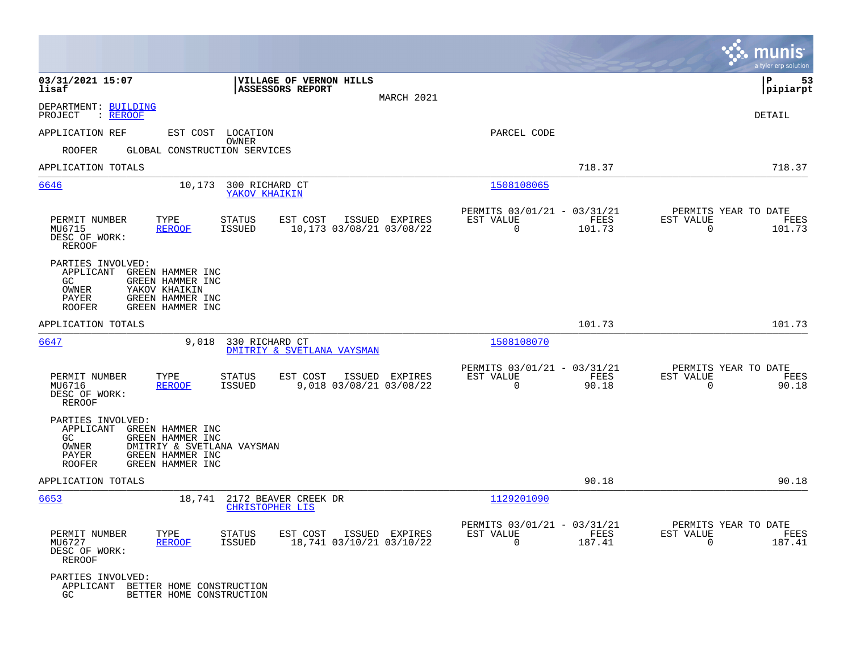|                                                                                                                                                                                        |                                                                                          |                                                         |                                                                    | munis<br>a tyler erp solution |
|----------------------------------------------------------------------------------------------------------------------------------------------------------------------------------------|------------------------------------------------------------------------------------------|---------------------------------------------------------|--------------------------------------------------------------------|-------------------------------|
| 03/31/2021 15:07<br>lisaf                                                                                                                                                              | VILLAGE OF VERNON HILLS<br><b>ASSESSORS REPORT</b>                                       | MARCH 2021                                              |                                                                    | l P<br>53<br> pipiarpt        |
| DEPARTMENT: BUILDING<br>: <u>REROOF</u><br>PROJECT                                                                                                                                     |                                                                                          |                                                         |                                                                    | DETAIL                        |
| APPLICATION REF                                                                                                                                                                        | EST COST LOCATION                                                                        | PARCEL CODE                                             |                                                                    |                               |
| <b>ROOFER</b><br>GLOBAL CONSTRUCTION SERVICES                                                                                                                                          | OWNER                                                                                    |                                                         |                                                                    |                               |
| APPLICATION TOTALS                                                                                                                                                                     |                                                                                          |                                                         | 718.37                                                             | 718.37                        |
| 6646<br>10,173                                                                                                                                                                         | 300 RICHARD CT<br>YAKOV KHAIKIN                                                          | 1508108065                                              |                                                                    |                               |
| PERMIT NUMBER<br>TYPE<br>MU6715<br><b>REROOF</b><br>DESC OF WORK:<br>REROOF                                                                                                            | EST COST<br>ISSUED EXPIRES<br><b>STATUS</b><br><b>ISSUED</b><br>10,173 03/08/21 03/08/22 | PERMITS 03/01/21 - 03/31/21<br>EST VALUE<br>$\mathbf 0$ | PERMITS YEAR TO DATE<br>FEES<br>EST VALUE<br>101.73<br>$\mathbf 0$ | FEES<br>101.73                |
| PARTIES INVOLVED:<br>APPLICANT<br>GREEN HAMMER INC<br>GC<br>GREEN HAMMER INC<br>YAKOV KHAIKIN<br>OWNER<br>GREEN HAMMER INC<br>PAYER<br><b>ROOFER</b><br>GREEN HAMMER INC               |                                                                                          |                                                         |                                                                    |                               |
| APPLICATION TOTALS                                                                                                                                                                     |                                                                                          |                                                         | 101.73                                                             | 101.73                        |
| 6647<br>9,018                                                                                                                                                                          | 330 RICHARD CT<br>DMITRIY & SVETLANA VAYSMAN                                             | 1508108070                                              |                                                                    |                               |
| PERMIT NUMBER<br>TYPE<br>MU6716<br><b>REROOF</b><br>DESC OF WORK:<br><b>REROOF</b>                                                                                                     | <b>STATUS</b><br>EST COST<br>ISSUED EXPIRES<br>9,018 03/08/21 03/08/22<br><b>ISSUED</b>  | PERMITS 03/01/21 - 03/31/21<br>EST VALUE<br>0           | PERMITS YEAR TO DATE<br>FEES<br>EST VALUE<br>$\mathbf 0$<br>90.18  | FEES<br>90.18                 |
| PARTIES INVOLVED:<br>APPLICANT<br>GREEN HAMMER INC<br>GREEN HAMMER INC<br>GC.<br>OWNER<br>DMITRIY & SVETLANA VAYSMAN<br>GREEN HAMMER INC<br>PAYER<br>GREEN HAMMER INC<br><b>ROOFER</b> |                                                                                          |                                                         |                                                                    |                               |
| APPLICATION TOTALS                                                                                                                                                                     |                                                                                          |                                                         | 90.18                                                              | 90.18                         |
| 6653<br>18,741                                                                                                                                                                         | 2172 BEAVER CREEK DR<br>CHRISTOPHER LIS                                                  | 1129201090                                              |                                                                    |                               |
| PERMIT NUMBER<br>TYPE<br>MU6727<br><b>REROOF</b><br>DESC OF WORK:<br>REROOF                                                                                                            | <b>STATUS</b><br>EST COST<br>ISSUED EXPIRES<br><b>ISSUED</b><br>18,741 03/10/21 03/10/22 | PERMITS 03/01/21 - 03/31/21<br>EST VALUE<br>$\mathbf 0$ | PERMITS YEAR TO DATE<br>FEES<br>EST VALUE<br>187.41<br>$\Omega$    | FEES<br>187.41                |
| PARTIES INVOLVED:<br>APPLICANT BETTER HOME CONSTRUCTION<br>GC.<br>BETTER HOME CONSTRUCTION                                                                                             |                                                                                          |                                                         |                                                                    |                               |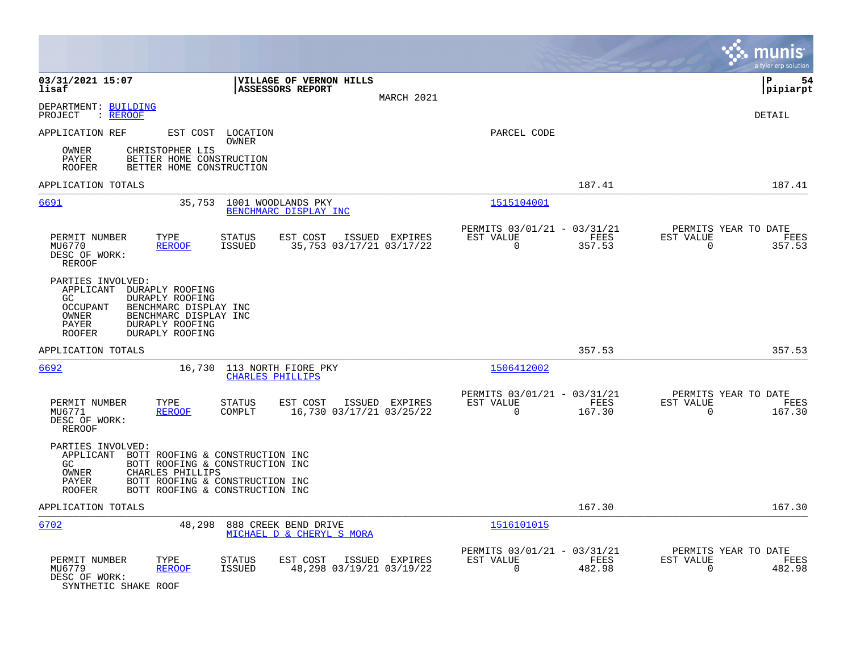|                                                                                                                                                                                                                    |                                                                                                       |                                                                           | munis<br>a tyler erp solution                                      |
|--------------------------------------------------------------------------------------------------------------------------------------------------------------------------------------------------------------------|-------------------------------------------------------------------------------------------------------|---------------------------------------------------------------------------|--------------------------------------------------------------------|
| 03/31/2021 15:07<br>lisaf                                                                                                                                                                                          | VILLAGE OF VERNON HILLS<br>ASSESSORS REPORT<br>MARCH 2021                                             |                                                                           | 54<br>l P<br> pipiarpt                                             |
| DEPARTMENT: BUILDING<br>PROJECT<br>: <u>REROOF</u>                                                                                                                                                                 |                                                                                                       |                                                                           | DETAIL                                                             |
| APPLICATION REF                                                                                                                                                                                                    | EST COST LOCATION<br>OWNER                                                                            | PARCEL CODE                                                               |                                                                    |
| CHRISTOPHER LIS<br>OWNER<br>PAYER<br>BETTER HOME CONSTRUCTION<br>BETTER HOME CONSTRUCTION<br><b>ROOFER</b>                                                                                                         |                                                                                                       |                                                                           |                                                                    |
| APPLICATION TOTALS                                                                                                                                                                                                 |                                                                                                       | 187.41                                                                    | 187.41                                                             |
| 6691<br>35,753                                                                                                                                                                                                     | 1001 WOODLANDS PKY<br>BENCHMARC DISPLAY INC                                                           | 1515104001                                                                |                                                                    |
| PERMIT NUMBER<br>TYPE<br><b>REROOF</b><br>MU6770<br>DESC OF WORK:<br><b>REROOF</b>                                                                                                                                 | <b>STATUS</b><br>EST COST<br>ISSUED EXPIRES<br>35,753 03/17/21 03/17/22<br><b>ISSUED</b>              | PERMITS 03/01/21 - 03/31/21<br>EST VALUE<br>FEES<br>$\Omega$<br>357.53    | PERMITS YEAR TO DATE<br>EST VALUE<br>FEES<br>$\Omega$<br>357.53    |
| PARTIES INVOLVED:<br>APPLICANT<br>DURAPLY ROOFING<br>DURAPLY ROOFING<br>GC.<br>OCCUPANT<br>BENCHMARC DISPLAY INC<br>OWNER<br>BENCHMARC DISPLAY INC<br>PAYER<br>DURAPLY ROOFING<br><b>ROOFER</b><br>DURAPLY ROOFING |                                                                                                       |                                                                           |                                                                    |
| APPLICATION TOTALS                                                                                                                                                                                                 |                                                                                                       | 357.53                                                                    | 357.53                                                             |
| 6692<br>16,730                                                                                                                                                                                                     | 113 NORTH FIORE PKY<br><b>CHARLES PHILLIPS</b>                                                        | 1506412002                                                                |                                                                    |
| PERMIT NUMBER<br>TYPE<br>MU6771<br><b>REROOF</b><br>DESC OF WORK:<br>REROOF                                                                                                                                        | <b>STATUS</b><br>EST COST<br>ISSUED EXPIRES<br>COMPLT<br>16,730 03/17/21 03/25/22                     | PERMITS 03/01/21 - 03/31/21<br>EST VALUE<br>FEES<br>$\mathbf 0$<br>167.30 | PERMITS YEAR TO DATE<br>EST VALUE<br>FEES<br>$\mathbf 0$<br>167.30 |
| PARTIES INVOLVED:<br>APPLICANT BOTT ROOFING & CONSTRUCTION INC<br>GC.<br>OWNER<br>CHARLES PHILLIPS<br>PAYER<br><b>ROOFER</b>                                                                                       | BOTT ROOFING & CONSTRUCTION INC<br>BOTT ROOFING & CONSTRUCTION INC<br>BOTT ROOFING & CONSTRUCTION INC |                                                                           |                                                                    |
| APPLICATION TOTALS                                                                                                                                                                                                 |                                                                                                       | 167.30                                                                    | 167.30                                                             |
| 6702<br>48,298                                                                                                                                                                                                     | 888 CREEK BEND DRIVE<br>MICHAEL D & CHERYL S MORA                                                     | 1516101015                                                                |                                                                    |
| PERMIT NUMBER<br>TYPE<br>MU6779<br><b>REROOF</b><br>DESC OF WORK:<br>SYNTHETIC SHAKE ROOF                                                                                                                          | <b>STATUS</b><br>EST COST<br>ISSUED EXPIRES<br>48,298 03/19/21 03/19/22<br><b>ISSUED</b>              | PERMITS 03/01/21 - 03/31/21<br>EST VALUE<br>FEES<br>$\Omega$<br>482.98    | PERMITS YEAR TO DATE<br>EST VALUE<br>FEES<br>482.98<br>$\mathbf 0$ |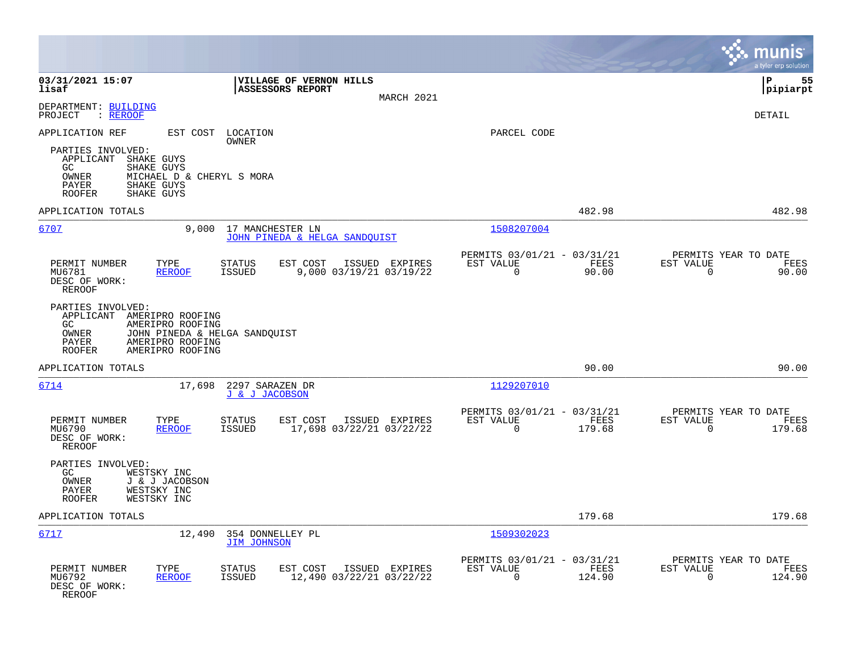|                                                                                                                                                                                           |                                                                                          |                                                                           | munis<br>a tyler erp solution                                      |
|-------------------------------------------------------------------------------------------------------------------------------------------------------------------------------------------|------------------------------------------------------------------------------------------|---------------------------------------------------------------------------|--------------------------------------------------------------------|
| 03/31/2021 15:07<br>lisaf                                                                                                                                                                 | VILLAGE OF VERNON HILLS<br><b>ASSESSORS REPORT</b><br>MARCH 2021                         |                                                                           | l P<br>55<br> pipiarpt                                             |
| DEPARTMENT: BUILDING<br>PROJECT<br>: REROOF                                                                                                                                               |                                                                                          |                                                                           | <b>DETAIL</b>                                                      |
| APPLICATION REF<br>EST COST                                                                                                                                                               | LOCATION<br>OWNER                                                                        | PARCEL CODE                                                               |                                                                    |
| PARTIES INVOLVED:<br>APPLICANT<br>SHAKE GUYS<br>SHAKE GUYS<br>GC<br>OWNER<br>MICHAEL D & CHERYL S MORA<br>PAYER<br>SHAKE GUYS<br><b>ROOFER</b><br>SHAKE GUYS                              |                                                                                          |                                                                           |                                                                    |
| APPLICATION TOTALS                                                                                                                                                                        |                                                                                          | 482.98                                                                    | 482.98                                                             |
| 6707<br>9,000                                                                                                                                                                             | 17 MANCHESTER LN<br>JOHN PINEDA & HELGA SANDOUIST                                        | 1508207004                                                                |                                                                    |
| PERMIT NUMBER<br>TYPE<br>MU6781<br><b>REROOF</b><br>DESC OF WORK:<br><b>REROOF</b>                                                                                                        | <b>STATUS</b><br>EST COST<br>ISSUED EXPIRES<br><b>ISSUED</b><br>9,000 03/19/21 03/19/22  | PERMITS 03/01/21 - 03/31/21<br>EST VALUE<br>FEES<br>$\Omega$<br>90.00     | PERMITS YEAR TO DATE<br>EST VALUE<br>FEES<br>$\Omega$<br>90.00     |
| PARTIES INVOLVED:<br>APPLICANT<br>AMERIPRO ROOFING<br>GC.<br>AMERIPRO ROOFING<br>OWNER<br>JOHN PINEDA & HELGA SANDQUIST<br>AMERIPRO ROOFING<br>PAYER<br><b>ROOFER</b><br>AMERIPRO ROOFING |                                                                                          |                                                                           |                                                                    |
| APPLICATION TOTALS                                                                                                                                                                        |                                                                                          | 90.00                                                                     | 90.00                                                              |
| 6714<br>17,698                                                                                                                                                                            | 2297 SARAZEN DR<br>J & J JACOBSON                                                        | 1129207010                                                                |                                                                    |
| PERMIT NUMBER<br>TYPE<br><b>REROOF</b><br>MU6790<br>DESC OF WORK:<br><b>REROOF</b>                                                                                                        | <b>STATUS</b><br>EST COST<br>ISSUED EXPIRES<br>17,698 03/22/21 03/22/22<br>ISSUED        | PERMITS 03/01/21 - 03/31/21<br>EST VALUE<br>FEES<br>$\Omega$<br>179.68    | PERMITS YEAR TO DATE<br>EST VALUE<br>FEES<br>$\Omega$<br>179.68    |
| PARTIES INVOLVED:<br>GC<br>WESTSKY INC<br>OWNER<br>J & J JACOBSON<br>WESTSKY INC<br>PAYER<br>WESTSKY INC<br><b>ROOFER</b>                                                                 |                                                                                          |                                                                           |                                                                    |
| APPLICATION TOTALS                                                                                                                                                                        |                                                                                          | 179.68                                                                    | 179.68                                                             |
| 6717<br>12,490                                                                                                                                                                            | 354 DONNELLEY PL<br><b>JIM JOHNSON</b>                                                   | 1509302023                                                                |                                                                    |
| PERMIT NUMBER<br>TYPE<br>MU6792<br><b>REROOF</b><br>DESC OF WORK:<br>REROOF                                                                                                               | <b>STATUS</b><br>EST COST<br>ISSUED EXPIRES<br>12,490 03/22/21 03/22/22<br><b>ISSUED</b> | PERMITS 03/01/21 - 03/31/21<br>EST VALUE<br>FEES<br>$\mathbf 0$<br>124.90 | PERMITS YEAR TO DATE<br>EST VALUE<br>FEES<br>$\mathbf 0$<br>124.90 |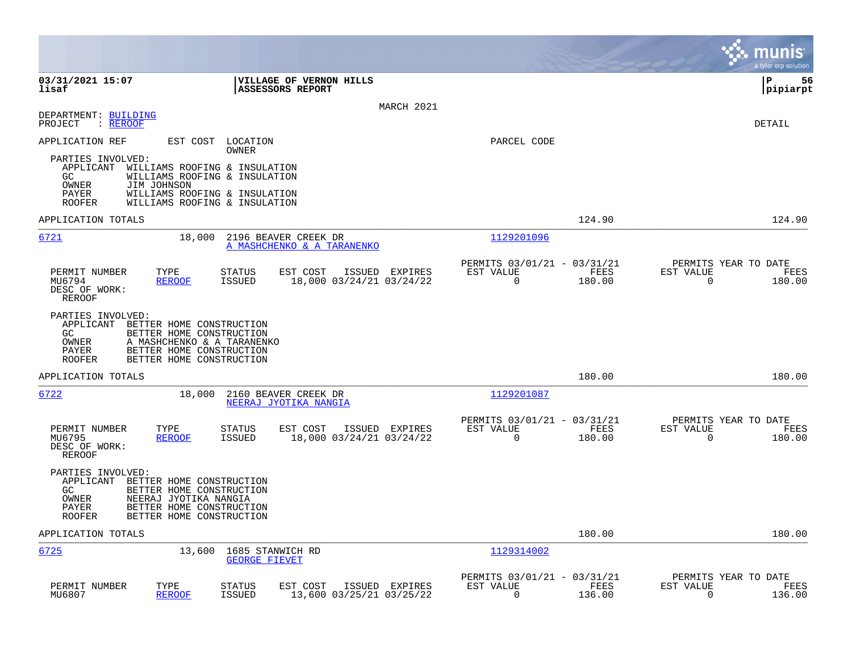|                                                                                                                                                                                                                          |                                                                                          |                                                                           | munis<br>a tyler erp solution                                      |
|--------------------------------------------------------------------------------------------------------------------------------------------------------------------------------------------------------------------------|------------------------------------------------------------------------------------------|---------------------------------------------------------------------------|--------------------------------------------------------------------|
| 03/31/2021 15:07<br>lisaf                                                                                                                                                                                                | VILLAGE OF VERNON HILLS<br><b>ASSESSORS REPORT</b>                                       |                                                                           | l P<br>56<br> pipiarpt                                             |
|                                                                                                                                                                                                                          | MARCH 2021                                                                               |                                                                           |                                                                    |
| DEPARTMENT: BUILDING<br>: <u>REROOF</u><br>PROJECT                                                                                                                                                                       |                                                                                          |                                                                           | <b>DETAIL</b>                                                      |
| APPLICATION REF<br>EST COST                                                                                                                                                                                              | LOCATION<br>OWNER                                                                        | PARCEL CODE                                                               |                                                                    |
| PARTIES INVOLVED:<br>APPLICANT WILLIAMS ROOFING & INSULATION<br>GC.<br>WILLIAMS ROOFING & INSULATION<br>OWNER<br>JIM JOHNSON<br>WILLIAMS ROOFING & INSULATION<br>PAYER<br>WILLIAMS ROOFING & INSULATION<br><b>ROOFER</b> |                                                                                          |                                                                           |                                                                    |
| APPLICATION TOTALS                                                                                                                                                                                                       |                                                                                          | 124.90                                                                    | 124.90                                                             |
| 6721<br>18,000                                                                                                                                                                                                           | 2196 BEAVER CREEK DR<br>A MASHCHENKO & A TARANENKO                                       | 1129201096                                                                |                                                                    |
| PERMIT NUMBER<br>TYPE<br>MU6794<br><b>REROOF</b><br>DESC OF WORK:<br><b>REROOF</b>                                                                                                                                       | EST COST<br>STATUS<br>ISSUED EXPIRES<br>18,000 03/24/21 03/24/22<br><b>ISSUED</b>        | PERMITS 03/01/21 - 03/31/21<br>FEES<br>EST VALUE<br>$\mathbf 0$<br>180.00 | PERMITS YEAR TO DATE<br>EST VALUE<br>FEES<br>$\mathbf 0$<br>180.00 |
| PARTIES INVOLVED:<br>APPLICANT<br>BETTER HOME CONSTRUCTION<br>GC.<br>BETTER HOME CONSTRUCTION<br>OWNER<br>A MASHCHENKO & A TARANENKO<br>PAYER<br>BETTER HOME CONSTRUCTION<br>BETTER HOME CONSTRUCTION<br>ROOFER          |                                                                                          |                                                                           |                                                                    |
| APPLICATION TOTALS                                                                                                                                                                                                       |                                                                                          | 180.00                                                                    | 180.00                                                             |
| 6722<br>18,000                                                                                                                                                                                                           | 2160 BEAVER CREEK DR<br>NEERAJ JYOTIKA NANGIA                                            | 1129201087                                                                |                                                                    |
| TYPE<br>PERMIT NUMBER<br>MU6795<br><b>REROOF</b><br>DESC OF WORK:<br><b>REROOF</b>                                                                                                                                       | EST COST<br>ISSUED EXPIRES<br>STATUS<br><b>ISSUED</b><br>18,000 03/24/21 03/24/22        | PERMITS 03/01/21 - 03/31/21<br>EST VALUE<br>FEES<br>$\mathbf 0$<br>180.00 | PERMITS YEAR TO DATE<br>EST VALUE<br>FEES<br>$\mathbf 0$<br>180.00 |
| PARTIES INVOLVED:<br>APPLICANT<br>BETTER HOME CONSTRUCTION<br>GC<br>BETTER HOME CONSTRUCTION<br>OWNER<br>NEERAJ JYOTIKA NANGIA<br>PAYER<br>BETTER HOME CONSTRUCTION<br><b>ROOFER</b><br>BETTER HOME CONSTRUCTION         |                                                                                          |                                                                           |                                                                    |
| APPLICATION TOTALS                                                                                                                                                                                                       |                                                                                          | 180.00                                                                    | 180.00                                                             |
| 6725<br>13,600                                                                                                                                                                                                           | 1685 STANWICH RD<br><b>GEORGE FIEVET</b>                                                 | 1129314002                                                                |                                                                    |
| PERMIT NUMBER<br>TYPE<br>MU6807<br><b>REROOF</b>                                                                                                                                                                         | <b>STATUS</b><br>EST COST<br>ISSUED EXPIRES<br><b>ISSUED</b><br>13,600 03/25/21 03/25/22 | PERMITS 03/01/21 - 03/31/21<br>EST VALUE<br>FEES<br>$\Omega$<br>136.00    | PERMITS YEAR TO DATE<br>EST VALUE<br>FEES<br>0<br>136.00           |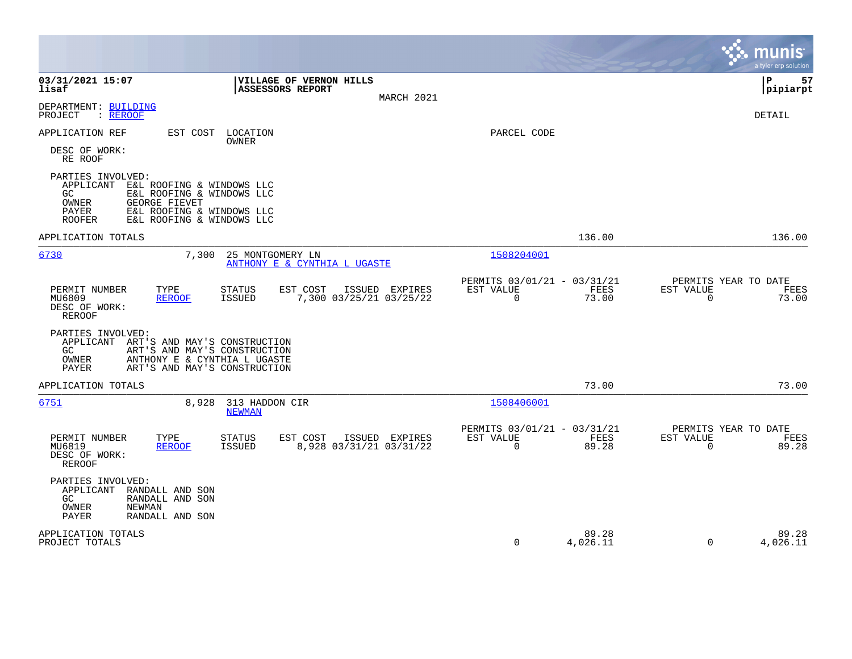|                                                                                                                                                                                                               |                                                                                         |                                                                          | munis<br>a tyler erp solution                                     |
|---------------------------------------------------------------------------------------------------------------------------------------------------------------------------------------------------------------|-----------------------------------------------------------------------------------------|--------------------------------------------------------------------------|-------------------------------------------------------------------|
| 03/31/2021 15:07<br>lisaf                                                                                                                                                                                     | VILLAGE OF VERNON HILLS<br>ASSESSORS REPORT<br>MARCH 2021                               |                                                                          | lР<br>57<br> pipiarpt                                             |
| DEPARTMENT: BUILDING<br>PROJECT<br>: <u>REROOF</u>                                                                                                                                                            |                                                                                         |                                                                          | <b>DETAIL</b>                                                     |
| APPLICATION REF<br>EST COST                                                                                                                                                                                   | LOCATION<br>OWNER                                                                       | PARCEL CODE                                                              |                                                                   |
| DESC OF WORK:<br>RE ROOF                                                                                                                                                                                      |                                                                                         |                                                                          |                                                                   |
| PARTIES INVOLVED:<br>APPLICANT<br>E&L ROOFING & WINDOWS LLC<br>E&L ROOFING & WINDOWS LLC<br>GC.<br>OWNER<br>GEORGE FIEVET<br>E&L ROOFING & WINDOWS LLC<br>PAYER<br><b>ROOFER</b><br>E&L ROOFING & WINDOWS LLC |                                                                                         |                                                                          |                                                                   |
| APPLICATION TOTALS                                                                                                                                                                                            |                                                                                         | 136.00                                                                   | 136.00                                                            |
| 6730<br>7,300                                                                                                                                                                                                 | 25 MONTGOMERY LN<br>ANTHONY E & CYNTHIA L UGASTE                                        | 1508204001                                                               |                                                                   |
| TYPE<br>PERMIT NUMBER<br>MU6809<br><b>REROOF</b><br>DESC OF WORK:<br><b>REROOF</b>                                                                                                                            | EST COST<br>STATUS<br>ISSUED EXPIRES<br>7,300 03/25/21 03/25/22<br>ISSUED               | PERMITS 03/01/21 - 03/31/21<br>FEES<br>EST VALUE<br>$\mathbf 0$<br>73.00 | PERMITS YEAR TO DATE<br>EST VALUE<br>FEES<br>$\mathbf 0$<br>73.00 |
| PARTIES INVOLVED:<br>APPLICANT<br>ART'S AND MAY'S CONSTRUCTION<br>GC<br>ART'S AND MAY'S CONSTRUCTION<br>OWNER<br>ANTHONY E & CYNTHIA L UGASTE<br>ART'S AND MAY'S CONSTRUCTION<br>PAYER                        |                                                                                         |                                                                          |                                                                   |
| APPLICATION TOTALS                                                                                                                                                                                            |                                                                                         | 73.00                                                                    | 73.00                                                             |
| 6751<br>8,928                                                                                                                                                                                                 | 313 HADDON CIR<br><b>NEWMAN</b>                                                         | 1508406001                                                               |                                                                   |
| PERMIT NUMBER<br>TYPE<br>MU6819<br><b>REROOF</b><br>DESC OF WORK:<br><b>REROOF</b>                                                                                                                            | <b>STATUS</b><br>EST COST<br>ISSUED EXPIRES<br><b>ISSUED</b><br>8,928 03/31/21 03/31/22 | PERMITS 03/01/21 - 03/31/21<br>EST VALUE<br>FEES<br>$\Omega$<br>89.28    | PERMITS YEAR TO DATE<br>EST VALUE<br>FEES<br>89.28<br>$\Omega$    |
| PARTIES INVOLVED:<br>APPLICANT<br>RANDALL AND SON<br>RANDALL AND SON<br>GC.<br>NEWMAN<br>OWNER<br>PAYER<br>RANDALL AND SON                                                                                    |                                                                                         |                                                                          |                                                                   |
| APPLICATION TOTALS<br>PROJECT TOTALS                                                                                                                                                                          |                                                                                         | 89.28<br>$\mathbf 0$<br>4,026.11                                         | 89.28<br>4,026.11<br>$\Omega$                                     |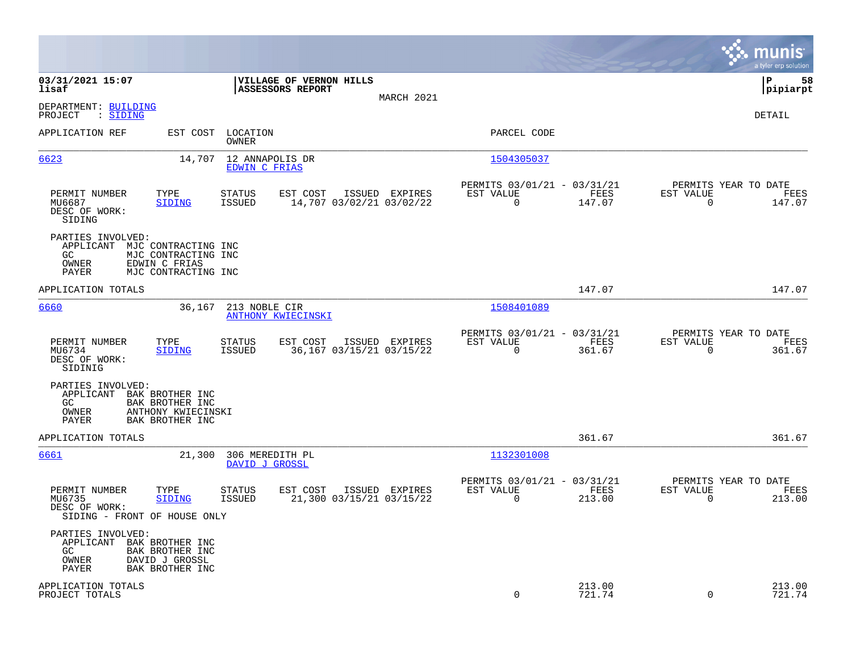|                                                                          |                                                                                    |                                            |                                                    |                |                                                         |                  |                             | munis<br>a tyler erp solution          |
|--------------------------------------------------------------------------|------------------------------------------------------------------------------------|--------------------------------------------|----------------------------------------------------|----------------|---------------------------------------------------------|------------------|-----------------------------|----------------------------------------|
| 03/31/2021 15:07<br>lisaf                                                |                                                                                    |                                            | VILLAGE OF VERNON HILLS<br><b>ASSESSORS REPORT</b> | MARCH 2021     |                                                         |                  |                             | ΙP<br>58<br> pipiarpt                  |
| DEPARTMENT: BUILDING<br>PROJECT<br>: SIDING                              |                                                                                    |                                            |                                                    |                |                                                         |                  |                             | DETAIL                                 |
| APPLICATION REF                                                          |                                                                                    | EST COST LOCATION<br>OWNER                 |                                                    |                | PARCEL CODE                                             |                  |                             |                                        |
| 6623                                                                     | 14,707                                                                             | 12 ANNAPOLIS DR<br>EDWIN C FRIAS           |                                                    |                | 1504305037                                              |                  |                             |                                        |
| PERMIT NUMBER<br>MU6687<br>DESC OF WORK:<br>SIDING                       | TYPE<br>SIDING                                                                     | STATUS<br>ISSUED                           | EST COST<br>14,707 03/02/21 03/02/22               | ISSUED EXPIRES | PERMITS 03/01/21 - 03/31/21<br>EST VALUE<br>$\mathbf 0$ | FEES<br>147.07   | EST VALUE<br>$\Omega$       | PERMITS YEAR TO DATE<br>FEES<br>147.07 |
| PARTIES INVOLVED:<br>APPLICANT<br>GC.<br>OWNER<br>PAYER                  | MJC CONTRACTING INC<br>MJC CONTRACTING INC<br>EDWIN C FRIAS<br>MJC CONTRACTING INC |                                            |                                                    |                |                                                         |                  |                             |                                        |
| APPLICATION TOTALS                                                       |                                                                                    |                                            |                                                    |                |                                                         | 147.07           |                             | 147.07                                 |
| 6660                                                                     | 36,167                                                                             | 213 NOBLE CIR<br><b>ANTHONY KWIECINSKI</b> |                                                    |                | 1508401089                                              |                  |                             |                                        |
| PERMIT NUMBER<br>MU6734<br>DESC OF WORK:<br>SIDINIG                      | TYPE<br><b>SIDING</b>                                                              | <b>STATUS</b><br>ISSUED                    | EST COST<br>36,167 03/15/21 03/15/22               | ISSUED EXPIRES | PERMITS 03/01/21 - 03/31/21<br>EST VALUE<br>$\mathbf 0$ | FEES<br>361.67   | EST VALUE<br>$\overline{0}$ | PERMITS YEAR TO DATE<br>FEES<br>361.67 |
| PARTIES INVOLVED:<br>APPLICANT<br>GC<br>OWNER<br>PAYER                   | BAK BROTHER INC<br>BAK BROTHER INC<br>ANTHONY KWIECINSKI<br>BAK BROTHER INC        |                                            |                                                    |                |                                                         |                  |                             |                                        |
| APPLICATION TOTALS                                                       |                                                                                    |                                            |                                                    |                |                                                         | 361.67           |                             | 361.67                                 |
| 6661                                                                     | 21,300                                                                             | 306 MEREDITH PL<br>DAVID J GROSSL          |                                                    |                | 1132301008                                              |                  |                             |                                        |
| PERMIT NUMBER<br>MU6735<br>DESC OF WORK:<br>SIDING - FRONT OF HOUSE ONLY | TYPE<br><b>SIDING</b>                                                              | <b>STATUS</b><br>ISSUED                    | EST COST<br>21,300 03/15/21 03/15/22               | ISSUED EXPIRES | PERMITS 03/01/21 - 03/31/21<br>EST VALUE<br>$\mathbf 0$ | FEES<br>213.00   | EST VALUE<br>$\Omega$       | PERMITS YEAR TO DATE<br>FEES<br>213.00 |
| PARTIES INVOLVED:<br>APPLICANT<br>GC.<br>OWNER<br>PAYER                  | BAK BROTHER INC<br>BAK BROTHER INC<br>DAVID J GROSSL<br>BAK BROTHER INC            |                                            |                                                    |                |                                                         |                  |                             |                                        |
| APPLICATION TOTALS<br>PROJECT TOTALS                                     |                                                                                    |                                            |                                                    |                | 0                                                       | 213.00<br>721.74 | $\mathsf{O}$                | 213.00<br>721.74                       |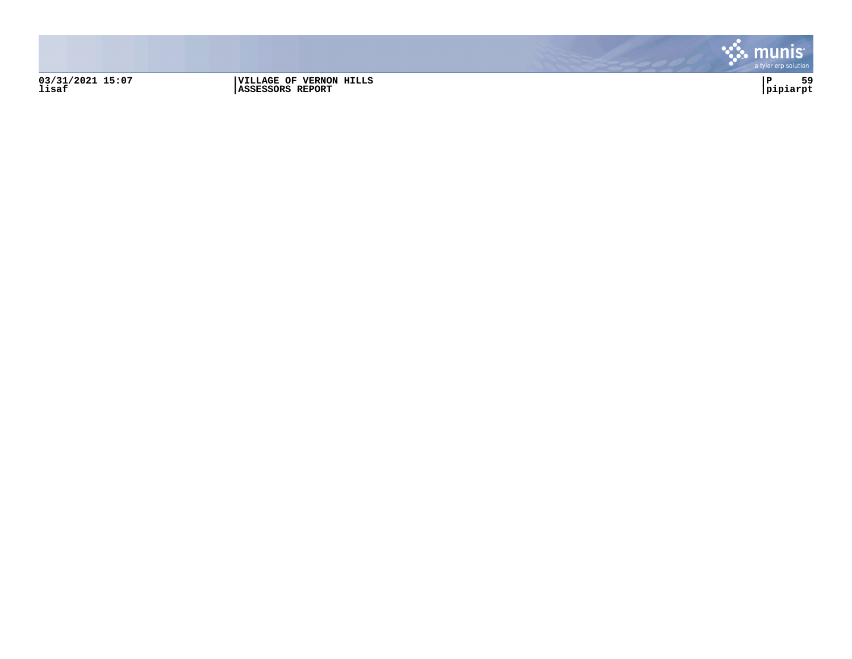**03/31/2021 15:07 |VILLAGE OF VERNON HILLS |P 59 lisaf |ASSESSORS REPORT |pipiarpt**

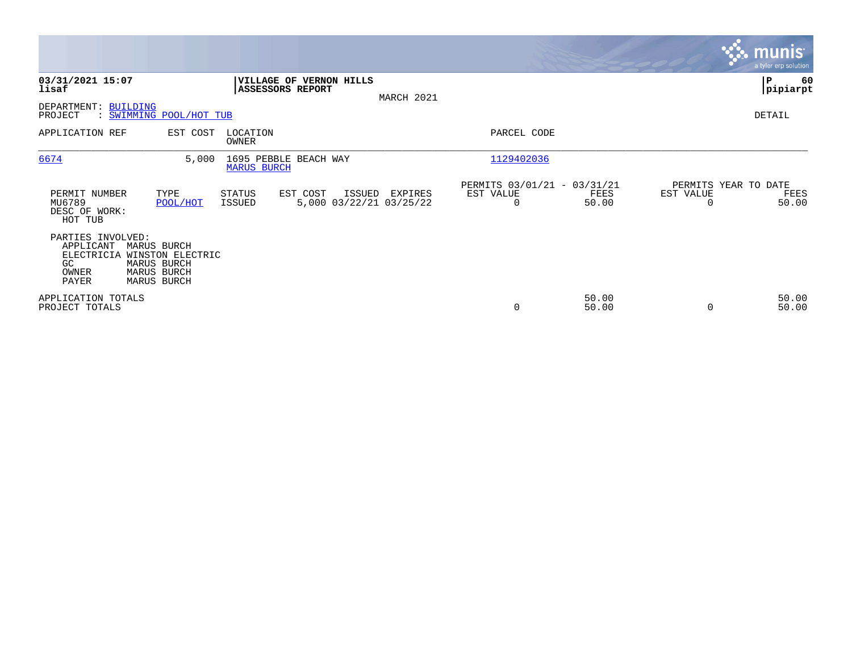|                                                                      |                                                                              |                    |                                             |        |                                    |                                                      |                |                                   | <b>munis</b><br>a tyler erp solution |
|----------------------------------------------------------------------|------------------------------------------------------------------------------|--------------------|---------------------------------------------|--------|------------------------------------|------------------------------------------------------|----------------|-----------------------------------|--------------------------------------|
| 03/31/2021 15:07<br>lisaf                                            |                                                                              |                    | VILLAGE OF VERNON HILLS<br>ASSESSORS REPORT |        | MARCH 2021                         |                                                      |                |                                   | ∣P<br>60<br> pipiarpt                |
| BUILDING<br>DEPARTMENT:<br>PROJECT                                   | : SWIMMING POOL/HOT TUB                                                      |                    |                                             |        |                                    |                                                      |                |                                   | DETAIL                               |
| APPLICATION REF                                                      | EST COST                                                                     | LOCATION<br>OWNER  |                                             |        |                                    | PARCEL CODE                                          |                |                                   |                                      |
| 6674                                                                 | 5,000                                                                        | <b>MARUS BURCH</b> | 1695 PEBBLE BEACH WAY                       |        |                                    | 1129402036                                           |                |                                   |                                      |
| PERMIT NUMBER<br>MU6789<br>DESC OF WORK:<br>HOT TUB                  | TYPE<br>POOL/HOT                                                             | STATUS<br>ISSUED   | EST COST                                    | ISSUED | EXPIRES<br>5,000 03/22/21 03/25/22 | PERMITS 03/01/21 - 03/31/21<br>EST VALUE<br>$\Omega$ | FEES<br>50.00  | PERMITS YEAR TO DATE<br>EST VALUE | FEES<br>50.00                        |
| PARTIES INVOLVED:<br>APPLICANT<br>ELECTRICIA<br>GC<br>OWNER<br>PAYER | MARUS BURCH<br>WINSTON ELECTRIC<br>MARUS BURCH<br>MARUS BURCH<br>MARUS BURCH |                    |                                             |        |                                    |                                                      |                |                                   |                                      |
| APPLICATION TOTALS<br>PROJECT TOTALS                                 |                                                                              |                    |                                             |        |                                    | 0                                                    | 50.00<br>50.00 | $\Omega$                          | 50.00<br>50.00                       |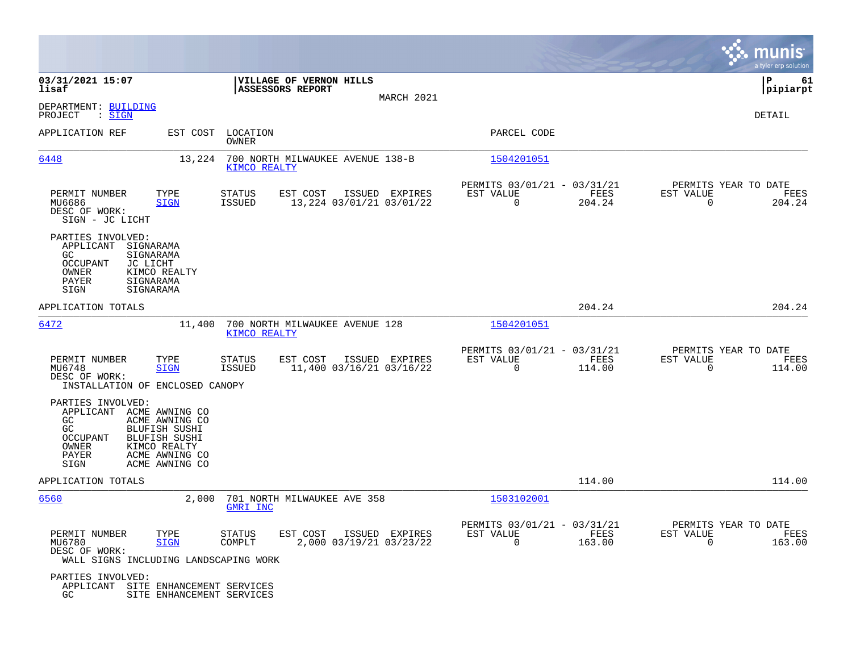|                                                                                                                                                                                                                          |                                                                                          |                                                                           | munis<br>a tyler erp solut <u>ion</u>                              |
|--------------------------------------------------------------------------------------------------------------------------------------------------------------------------------------------------------------------------|------------------------------------------------------------------------------------------|---------------------------------------------------------------------------|--------------------------------------------------------------------|
| 03/31/2021 15:07<br>lisaf                                                                                                                                                                                                | <b>VILLAGE OF VERNON HILLS</b><br><b>ASSESSORS REPORT</b><br>MARCH 2021                  |                                                                           | l P<br>61<br> pipiarpt                                             |
| DEPARTMENT: BUILDING<br>: <u>SIGN</u><br>PROJECT                                                                                                                                                                         |                                                                                          |                                                                           | <b>DETAIL</b>                                                      |
| APPLICATION REF                                                                                                                                                                                                          | EST COST<br>LOCATION<br>OWNER                                                            | PARCEL CODE                                                               |                                                                    |
| 6448                                                                                                                                                                                                                     | 13,224<br>700 NORTH MILWAUKEE AVENUE 138-B<br>KIMCO REALTY                               | 1504201051                                                                |                                                                    |
| PERMIT NUMBER<br>TYPE<br>MU6686<br><b>SIGN</b><br>DESC OF WORK:<br>SIGN - JC LICHT                                                                                                                                       | <b>STATUS</b><br>EST COST<br>ISSUED EXPIRES<br><b>ISSUED</b><br>13,224 03/01/21 03/01/22 | PERMITS 03/01/21 - 03/31/21<br>EST VALUE<br>FEES<br>$\mathbf 0$<br>204.24 | PERMITS YEAR TO DATE<br>EST VALUE<br>FEES<br>$\Omega$<br>204.24    |
| PARTIES INVOLVED:<br>APPLICANT SIGNARAMA<br>GC<br>SIGNARAMA<br><b>OCCUPANT</b><br>JC LICHT<br>OWNER<br>KIMCO REALTY<br>PAYER<br>SIGNARAMA<br>SIGN<br>SIGNARAMA                                                           |                                                                                          |                                                                           |                                                                    |
| APPLICATION TOTALS                                                                                                                                                                                                       |                                                                                          | 204.24                                                                    | 204.24                                                             |
| 6472                                                                                                                                                                                                                     | 700 NORTH MILWAUKEE AVENUE 128<br>11,400<br><b>KIMCO REALTY</b>                          | 1504201051                                                                |                                                                    |
| PERMIT NUMBER<br>TYPE<br>MU6748<br><b>SIGN</b><br>DESC OF WORK:<br>INSTALLATION OF ENCLOSED CANOPY                                                                                                                       | EST COST<br><b>STATUS</b><br>ISSUED EXPIRES<br>11,400 03/16/21 03/16/22<br><b>ISSUED</b> | PERMITS 03/01/21 - 03/31/21<br>EST VALUE<br>FEES<br>$\mathbf 0$<br>114.00 | PERMITS YEAR TO DATE<br>EST VALUE<br>FEES<br>$\mathbf 0$<br>114.00 |
| PARTIES INVOLVED:<br>APPLICANT<br>ACME AWNING CO<br>GC<br>ACME AWNING CO<br>GC<br>BLUFISH SUSHI<br><b>OCCUPANT</b><br><b>BLUFISH SUSHI</b><br>KIMCO REALTY<br>OWNER<br>PAYER<br>ACME AWNING CO<br>SIGN<br>ACME AWNING CO |                                                                                          |                                                                           |                                                                    |
| APPLICATION TOTALS                                                                                                                                                                                                       |                                                                                          | 114.00                                                                    | 114.00                                                             |
| 6560                                                                                                                                                                                                                     | 2,000<br>701 NORTH MILWAUKEE AVE 358<br>GMRI INC                                         | 1503102001                                                                |                                                                    |
| PERMIT NUMBER<br>TYPE<br><b>SIGN</b><br>MU6780<br>DESC OF WORK:<br>WALL SIGNS INCLUDING LANDSCAPING WORK                                                                                                                 | EST COST<br>ISSUED EXPIRES<br>STATUS<br>COMPLT<br>2,000 03/19/21 03/23/22                | PERMITS 03/01/21 - 03/31/21<br>EST VALUE<br>FEES<br>$\mathbf 0$<br>163.00 | PERMITS YEAR TO DATE<br>EST VALUE<br>FEES<br>$\mathbf 0$<br>163.00 |
| PARTIES INVOLVED:<br>APPLICANT SITE ENHANCEMENT SERVICES<br>GC.                                                                                                                                                          | SITE ENHANCEMENT SERVICES                                                                |                                                                           |                                                                    |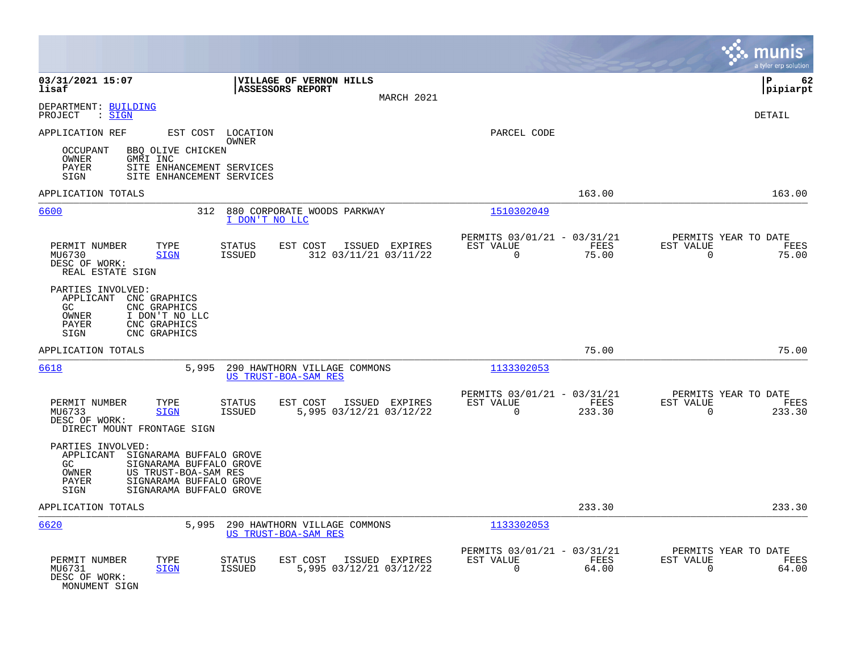|                                                                                                                                                                                                     |                                                                        | munis<br>a tyler erp solution                                     |
|-----------------------------------------------------------------------------------------------------------------------------------------------------------------------------------------------------|------------------------------------------------------------------------|-------------------------------------------------------------------|
| 03/31/2021 15:07<br>VILLAGE OF VERNON HILLS<br>lisaf<br>ASSESSORS REPORT<br>MARCH 2021                                                                                                              |                                                                        | P<br>62<br> pipiarpt                                              |
| DEPARTMENT: BUILDING<br>PROJECT<br>: SIGN                                                                                                                                                           |                                                                        | <b>DETAIL</b>                                                     |
| APPLICATION REF<br>EST COST LOCATION<br>OWNER<br>OCCUPANT<br>BBQ OLIVE CHICKEN<br>OWNER<br>GMRI INC                                                                                                 | PARCEL CODE                                                            |                                                                   |
| PAYER<br>SITE ENHANCEMENT SERVICES<br>SIGN<br>SITE ENHANCEMENT SERVICES                                                                                                                             |                                                                        |                                                                   |
| APPLICATION TOTALS                                                                                                                                                                                  | 163.00                                                                 | 163.00                                                            |
| 6600<br>312<br>880 CORPORATE WOODS PARKWAY<br>I DON'T NO LLC                                                                                                                                        | 1510302049                                                             |                                                                   |
| PERMIT NUMBER<br>TYPE<br><b>STATUS</b><br>EST COST<br>ISSUED EXPIRES<br><b>ISSUED</b><br>312 03/11/21 03/11/22<br>MU6730<br><b>SIGN</b><br>DESC OF WORK:<br>REAL ESTATE SIGN                        | PERMITS 03/01/21 - 03/31/21<br>EST VALUE<br>FEES<br>$\Omega$<br>75.00  | PERMITS YEAR TO DATE<br>EST VALUE<br>FEES<br>$\mathbf 0$<br>75.00 |
| PARTIES INVOLVED:<br>APPLICANT<br>CNC GRAPHICS<br>GC<br>CNC GRAPHICS<br>OWNER<br>I DON'T NO LLC<br>PAYER<br>CNC GRAPHICS<br>SIGN<br>CNC GRAPHICS                                                    |                                                                        |                                                                   |
| APPLICATION TOTALS                                                                                                                                                                                  | 75.00                                                                  | 75.00                                                             |
| 6618<br>5,995<br>290 HAWTHORN VILLAGE COMMONS<br>US TRUST-BOA-SAM RES                                                                                                                               | 1133302053                                                             |                                                                   |
| PERMIT NUMBER<br>TYPE<br><b>STATUS</b><br>EST COST<br>ISSUED EXPIRES<br>ISSUED<br>5,995 03/12/21 03/12/22<br>MU6733<br>SIGN<br>DESC OF WORK:<br>DIRECT MOUNT FRONTAGE SIGN                          | PERMITS 03/01/21 - 03/31/21<br>EST VALUE<br>FEES<br>$\Omega$<br>233.30 | PERMITS YEAR TO DATE<br>EST VALUE<br>FEES<br>233.30<br>$\Omega$   |
| PARTIES INVOLVED:<br>APPLICANT<br>SIGNARAMA BUFFALO GROVE<br>SIGNARAMA BUFFALO GROVE<br>GC.<br>OWNER<br>US TRUST-BOA-SAM RES<br>PAYER<br>SIGNARAMA BUFFALO GROVE<br>SIGNARAMA BUFFALO GROVE<br>SIGN |                                                                        |                                                                   |
| APPLICATION TOTALS                                                                                                                                                                                  | 233.30                                                                 | 233.30                                                            |
| 6620<br>5,995<br>290 HAWTHORN VILLAGE COMMONS<br><b>US TRUST-BOA-SAM RES</b>                                                                                                                        | 1133302053                                                             |                                                                   |
| PERMIT NUMBER<br>TYPE<br><b>STATUS</b><br>EST COST<br>ISSUED EXPIRES<br>MU6731<br><b>SIGN</b><br><b>ISSUED</b><br>5,995 03/12/21 03/12/22<br>DESC OF WORK:<br>MONUMENT SIGN                         | PERMITS 03/01/21 - 03/31/21<br>EST VALUE<br>FEES<br>0<br>64.00         | PERMITS YEAR TO DATE<br>EST VALUE<br>FEES<br>$\mathbf 0$<br>64.00 |